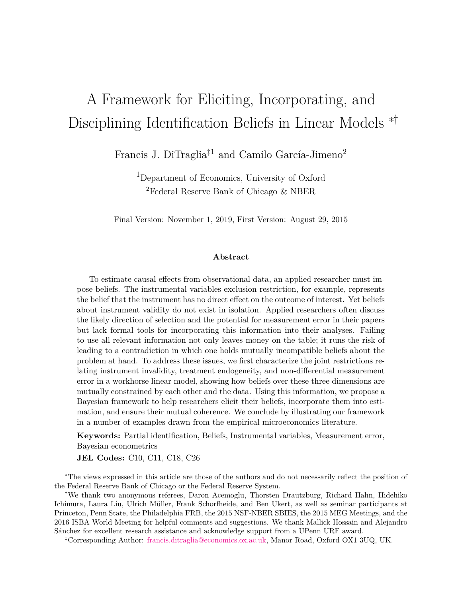# A Framework for Eliciting, Incorporating, and Disciplining Identification Beliefs in Linear Models ∗†

Francis J. DiTraglia<sup> $\ddagger$ 1</sup> and Camilo García-Jimeno<sup>2</sup>

<sup>1</sup>Department of Economics, University of Oxford <sup>2</sup>Federal Reserve Bank of Chicago & NBER

Final Version: November 1, 2019, First Version: August 29, 2015

#### **Abstract**

To estimate causal effects from observational data, an applied researcher must impose beliefs. The instrumental variables exclusion restriction, for example, represents the belief that the instrument has no direct effect on the outcome of interest. Yet beliefs about instrument validity do not exist in isolation. Applied researchers often discuss the likely direction of selection and the potential for measurement error in their papers but lack formal tools for incorporating this information into their analyses. Failing to use all relevant information not only leaves money on the table; it runs the risk of leading to a contradiction in which one holds mutually incompatible beliefs about the problem at hand. To address these issues, we first characterize the joint restrictions relating instrument invalidity, treatment endogeneity, and non-differential measurement error in a workhorse linear model, showing how beliefs over these three dimensions are mutually constrained by each other and the data. Using this information, we propose a Bayesian framework to help researchers elicit their beliefs, incorporate them into estimation, and ensure their mutual coherence. We conclude by illustrating our framework in a number of examples drawn from the empirical microeconomics literature.

**Keywords:** Partial identification, Beliefs, Instrumental variables, Measurement error, Bayesian econometrics

**JEL Codes:** C10, C11, C18, C26

<sup>∗</sup>The views expressed in this article are those of the authors and do not necessarily reflect the position of the Federal Reserve Bank of Chicago or the Federal Reserve System.

<sup>†</sup>We thank two anonymous referees, Daron Acemoglu, Thorsten Drautzburg, Richard Hahn, Hidehiko Ichimura, Laura Liu, Ulrich Müller, Frank Schorfheide, and Ben Ukert, as well as seminar participants at Princeton, Penn State, the Philadelphia FRB, the 2015 NSF-NBER SBIES, the 2015 MEG Meetings, and the 2016 ISBA World Meeting for helpful comments and suggestions. We thank Mallick Hossain and Alejandro Sánchez for excellent research assistance and acknowledge support from a UPenn URF award.

<sup>‡</sup>Corresponding Author: [francis.ditraglia@economics.ox.ac.uk,](mailto:francis.ditraglia@economics.ox.ax.uk) Manor Road, Oxford OX1 3UQ, UK.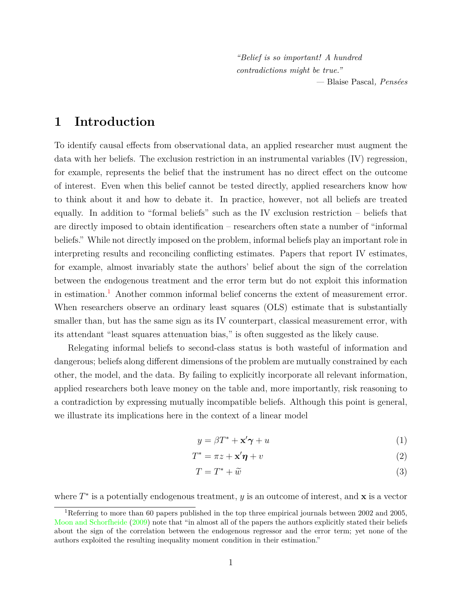*"Belief is so important! A hundred contradictions might be true." —* Blaise Pascal*, Pensées*

## **1 Introduction**

To identify causal effects from observational data, an applied researcher must augment the data with her beliefs. The exclusion restriction in an instrumental variables (IV) regression, for example, represents the belief that the instrument has no direct effect on the outcome of interest. Even when this belief cannot be tested directly, applied researchers know how to think about it and how to debate it. In practice, however, not all beliefs are treated equally. In addition to "formal beliefs" such as the IV exclusion restriction – beliefs that are directly imposed to obtain identification – researchers often state a number of "informal beliefs." While not directly imposed on the problem, informal beliefs play an important role in interpreting results and reconciling conflicting estimates. Papers that report IV estimates, for example, almost invariably state the authors' belief about the sign of the correlation between the endogenous treatment and the error term but do not exploit this information in estimation.<sup>[1](#page-1-0)</sup> Another common informal belief concerns the extent of measurement error. When researchers observe an ordinary least squares (OLS) estimate that is substantially smaller than, but has the same sign as its IV counterpart, classical measurement error, with its attendant "least squares attenuation bias," is often suggested as the likely cause.

Relegating informal beliefs to second-class status is both wasteful of information and dangerous; beliefs along different dimensions of the problem are mutually constrained by each other, the model, and the data. By failing to explicitly incorporate all relevant information, applied researchers both leave money on the table and, more importantly, risk reasoning to a contradiction by expressing mutually incompatible beliefs. Although this point is general, we illustrate its implications here in the context of a linear model

<span id="page-1-3"></span><span id="page-1-2"></span><span id="page-1-1"></span>
$$
y = \beta T^* + \mathbf{x}' \boldsymbol{\gamma} + u \tag{1}
$$

$$
T^* = \pi z + \mathbf{x}'\pmb{\eta} + v \tag{2}
$$

$$
T = T^* + \tilde{w}
$$
 (3)

where  $T^*$  is a potentially endogenous treatment, y is an outcome of interest, and x is a vector

<span id="page-1-0"></span><sup>1</sup>Referring to more than 60 papers published in the top three empirical journals between 2002 and 2005, [Moon and Schorfheide](#page-35-0) [\(2009\)](#page-35-0) note that "in almost all of the papers the authors explicitly stated their beliefs about the sign of the correlation between the endogenous regressor and the error term; yet none of the authors exploited the resulting inequality moment condition in their estimation."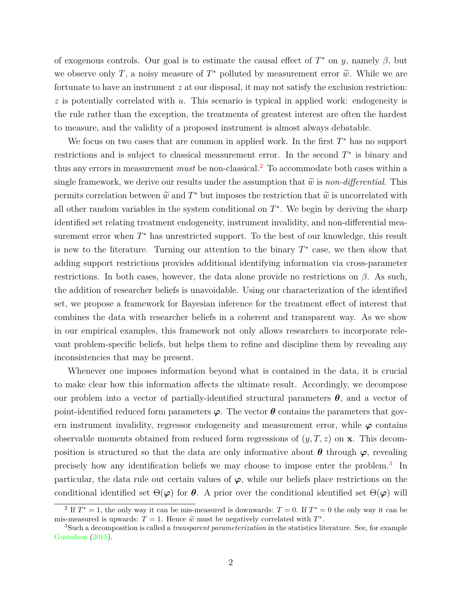of exogenous controls. Our goal is to estimate the causal effect of  $T^*$  on y, namely  $\beta$ , but we observe only T, a noisy measure of  $T^*$  polluted by measurement error  $\tilde{w}$ . While we are fortunate to have an instrument z at our disposal, it may not satisfy the exclusion restriction:  $z$  is potentially correlated with u. This scenario is typical in applied work: endogeneity is the rule rather than the exception, the treatments of greatest interest are often the hardest to measure, and the validity of a proposed instrument is almost always debatable.

We focus on two cases that are common in applied work. In the first  $T^*$  has no support restrictions and is subject to classical measurement error. In the second  $T^*$  is binary and thus any errors in measurement *must* be non-classical.[2](#page-2-0) To accommodate both cases within a single framework, we derive our results under the assumption that  $\tilde{w}$  is *non-differential*. This permits correlation between  $\tilde{w}$  and  $T^*$  but imposes the restriction that  $\tilde{w}$  is uncorrelated with all other random variables in the system conditional on  $T^*$ . We begin by deriving the sharp identified set relating treatment endogeneity, instrument invalidity, and non-differential measurement error when  $T^*$  has unrestricted support. To the best of our knowledge, this result is new to the literature. Turning our attention to the binary  $T^*$  case, we then show that adding support restrictions provides additional identifying information via cross-parameter restrictions. In both cases, however, the data alone provide no restrictions on  $\beta$ . As such, the addition of researcher beliefs is unavoidable. Using our characterization of the identified set, we propose a framework for Bayesian inference for the treatment effect of interest that combines the data with researcher beliefs in a coherent and transparent way. As we show in our empirical examples, this framework not only allows researchers to incorporate relevant problem-specific beliefs, but helps them to refine and discipline them by revealing any inconsistencies that may be present.

Whenever one imposes information beyond what is contained in the data, it is crucial to make clear how this information affects the ultimate result. Accordingly, we decompose our problem into a vector of partially-identified structural parameters  $\theta$ , and a vector of point-identified reduced form parameters  $\varphi$ . The vector  $\theta$  contains the parameters that govern instrument invalidity, regressor endogeneity and measurement error, while  $\varphi$  contains observable moments obtained from reduced form regressions of  $(y, T, z)$  on **x**. This decomposition is structured so that the data are only informative about  $\theta$  through  $\varphi$ , revealing precisely how any identification beliefs we may choose to impose enter the problem.<sup>[3](#page-2-1)</sup> In particular, the data rule out certain values of  $\varphi$ , while our beliefs place restrictions on the conditional identified set  $\Theta(\varphi)$  for  $\theta$ . A prior over the conditional identified set  $\Theta(\varphi)$  will

<span id="page-2-0"></span><sup>&</sup>lt;sup>2</sup> If  $T^* = 1$ , the only way it can be mis-measured is downwards:  $T = 0$ . If  $T^* = 0$  the only way it can be mis-measured is upwards:  $T = 1$ . Hence  $\tilde{w}$  must be negatively correlated with  $T^*$ .<br><sup>3</sup>Such a decomposition is called a *transpersent nergy aterization* in the statistics lit

<span id="page-2-1"></span><sup>3</sup>Such a decomposition is called a *transparent parameterization* in the statistics literature. See, for example [Gustafson](#page-34-0) [\(2015\)](#page-34-0).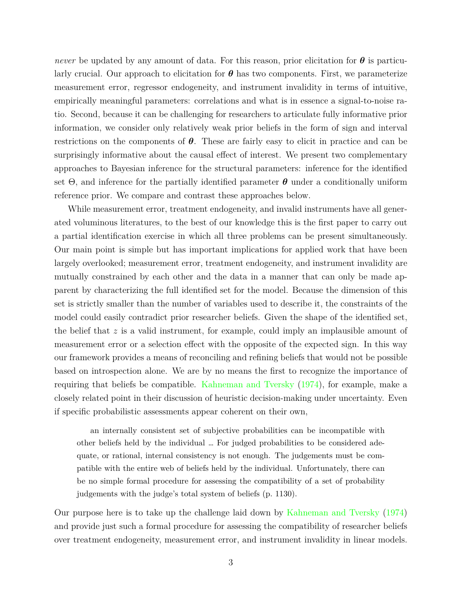*never* be updated by any amount of data. For this reason, prior elicitation for  $\theta$  is particularly crucial. Our approach to elicitation for  $\theta$  has two components. First, we parameterize measurement error, regressor endogeneity, and instrument invalidity in terms of intuitive, empirically meaningful parameters: correlations and what is in essence a signal-to-noise ratio. Second, because it can be challenging for researchers to articulate fully informative prior information, we consider only relatively weak prior beliefs in the form of sign and interval restrictions on the components of  $\theta$ . These are fairly easy to elicit in practice and can be surprisingly informative about the causal effect of interest. We present two complementary approaches to Bayesian inference for the structural parameters: inference for the identified set  $\Theta$ , and inference for the partially identified parameter  $\theta$  under a conditionally uniform reference prior. We compare and contrast these approaches below.

While measurement error, treatment endogeneity, and invalid instruments have all generated voluminous literatures, to the best of our knowledge this is the first paper to carry out a partial identification exercise in which all three problems can be present simultaneously. Our main point is simple but has important implications for applied work that have been largely overlooked; measurement error, treatment endogeneity, and instrument invalidity are mutually constrained by each other and the data in a manner that can only be made apparent by characterizing the full identified set for the model. Because the dimension of this set is strictly smaller than the number of variables used to describe it, the constraints of the model could easily contradict prior researcher beliefs. Given the shape of the identified set, the belief that  $z$  is a valid instrument, for example, could imply an implausible amount of measurement error or a selection effect with the opposite of the expected sign. In this way our framework provides a means of reconciling and refining beliefs that would not be possible based on introspection alone. We are by no means the first to recognize the importance of requiring that beliefs be compatible. [Kahneman and Tversky](#page-34-1) [\(1974\)](#page-34-1), for example, make a closely related point in their discussion of heuristic decision-making under uncertainty. Even if specific probabilistic assessments appear coherent on their own,

an internally consistent set of subjective probabilities can be incompatible with other beliefs held by the individual … For judged probabilities to be considered adequate, or rational, internal consistency is not enough. The judgements must be compatible with the entire web of beliefs held by the individual. Unfortunately, there can be no simple formal procedure for assessing the compatibility of a set of probability judgements with the judge's total system of beliefs (p. 1130).

Our purpose here is to take up the challenge laid down by [Kahneman and Tversky](#page-34-1) [\(1974\)](#page-34-1) and provide just such a formal procedure for assessing the compatibility of researcher beliefs over treatment endogeneity, measurement error, and instrument invalidity in linear models.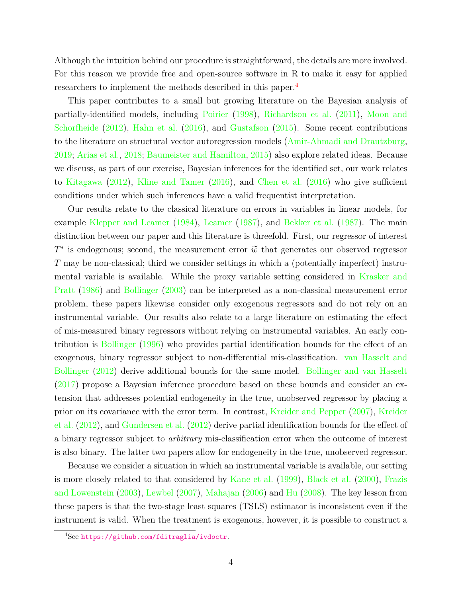Although the intuition behind our procedure is straightforward, the details are more involved. For this reason we provide free and open-source software in R to make it easy for applied researchers to implement the methods described in this paper.[4](#page-4-0)

This paper contributes to a small but growing literature on the Bayesian analysis of partially-identified models, including [Poirier](#page-35-1) [\(1998\)](#page-35-1), [Richardson et al.](#page-35-2) [\(2011\)](#page-35-2), [Moon and](#page-35-3) [Schorfheide](#page-35-3) [\(2012\)](#page-35-3), [Hahn et al.](#page-34-2) [\(2016\)](#page-34-2), and [Gustafson](#page-34-0) [\(2015\)](#page-34-0). Some recent contributions to the literature on structural vector autoregression models [\(Amir-Ahmadi and Drautzburg,](#page-33-0) [2019;](#page-33-0) [Arias et al.,](#page-33-1) [2018;](#page-33-1) [Baumeister and Hamilton,](#page-33-2) [2015\)](#page-33-2) also explore related ideas. Because we discuss, as part of our exercise, Bayesian inferences for the identified set, our work relates to [Kitagawa](#page-34-3) [\(2012\)](#page-34-3), [Kline and Tamer](#page-34-4) [\(2016\)](#page-34-4), and [Chen et al.](#page-34-5) [\(2016\)](#page-34-5) who give sufficient conditions under which such inferences have a valid frequentist interpretation.

Our results relate to the classical literature on errors in variables in linear models, for example [Klepper and Leamer](#page-34-6) [\(1984\)](#page-34-6), [Leamer](#page-35-4) [\(1987\)](#page-35-4), and [Bekker et al.](#page-33-3) [\(1987\)](#page-33-3). The main distinction between our paper and this literature is threefold. First, our regressor of interest  $T^*$  is endogenous; second, the measurement error  $\tilde{w}$  that generates our observed regressor T may be non-classical; third we consider settings in which a (potentially imperfect) instrumental variable is available. While the proxy variable setting considered in [Krasker and](#page-35-5) [Pratt](#page-35-5) [\(1986\)](#page-35-5) and [Bollinger](#page-33-4) [\(2003\)](#page-33-4) can be interpreted as a non-classical measurement error problem, these papers likewise consider only exogenous regressors and do not rely on an instrumental variable. Our results also relate to a large literature on estimating the effect of mis-measured binary regressors without relying on instrumental variables. An early contribution is [Bollinger](#page-33-5) [\(1996\)](#page-33-5) who provides partial identification bounds for the effect of an exogenous, binary regressor subject to non-differential mis-classification. [van Hasselt and](#page-35-6) [Bollinger](#page-35-6) [\(2012\)](#page-35-6) derive additional bounds for the same model. [Bollinger and van Hasselt](#page-34-7) [\(2017\)](#page-34-7) propose a Bayesian inference procedure based on these bounds and consider an extension that addresses potential endogeneity in the true, unobserved regressor by placing a prior on its covariance with the error term. In contrast, [Kreider and Pepper](#page-35-7) [\(2007\)](#page-35-7), [Kreider](#page-35-8) [et al.](#page-35-8) [\(2012\)](#page-35-8), and [Gundersen et al.](#page-34-8) [\(2012\)](#page-34-8) derive partial identification bounds for the effect of a binary regressor subject to *arbitrary* mis-classification error when the outcome of interest is also binary. The latter two papers allow for endogeneity in the true, unobserved regressor.

Because we consider a situation in which an instrumental variable is available, our setting is more closely related to that considered by [Kane et al.](#page-34-9) [\(1999\)](#page-34-9), [Black et al.](#page-33-6) [\(2000\)](#page-33-6), [Frazis](#page-34-10) [and Lowenstein](#page-34-10) [\(2003\)](#page-34-10), [Lewbel](#page-35-9) [\(2007\)](#page-35-9), [Mahajan](#page-35-10) [\(2006\)](#page-35-10) and [Hu](#page-34-11) [\(2008\)](#page-34-11). The key lesson from these papers is that the two-stage least squares (TSLS) estimator is inconsistent even if the instrument is valid. When the treatment is exogenous, however, it is possible to construct a

<span id="page-4-0"></span><sup>4</sup>See <https://github.com/fditraglia/ivdoctr>.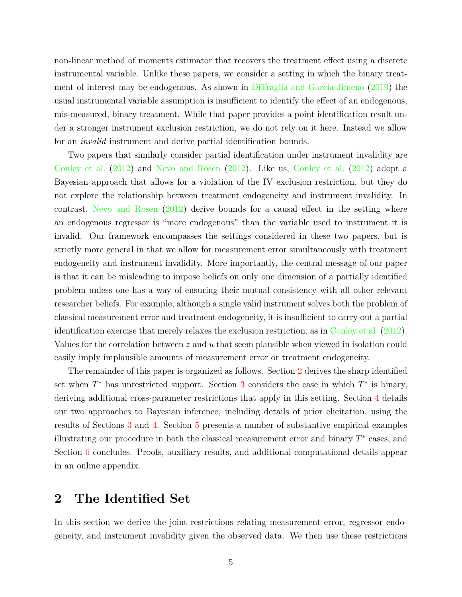non-linear method of moments estimator that recovers the treatment effect using a discrete instrumental variable. Unlike these papers, we consider a setting in which the binary treatment of interest may be endogenous. As shown in [DiTraglia and García-Jimeno](#page-34-12) [\(2019\)](#page-34-12) the usual instrumental variable assumption is insufficient to identify the effect of an endogenous, mis-measured, binary treatment. While that paper provides a point identification result under a stronger instrument exclusion restriction, we do not rely on it here. Instead we allow for an *invalid* instrument and derive partial identification bounds.

Two papers that similarly consider partial identification under instrument invalidity are [Conley et al.](#page-34-13) [\(2012\)](#page-34-13) and [Nevo and Rosen](#page-35-11) [\(2012\)](#page-35-11). Like us, [Conley et al.](#page-34-13) [\(2012\)](#page-34-13) adopt a Bayesian approach that allows for a violation of the IV exclusion restriction, but they do not explore the relationship between treatment endogeneity and instrument invalidity. In contrast, [Nevo and Rosen](#page-35-11) [\(2012\)](#page-35-11) derive bounds for a causal effect in the setting where an endogenous regressor is "more endogenous" than the variable used to instrument it is invalid. Our framework encompasses the settings considered in these two papers, but is strictly more general in that we allow for measurement error simultaneously with treatment endogeneity and instrument invalidity. More importantly, the central message of our paper is that it can be misleading to impose beliefs on only one dimension of a partially identified problem unless one has a way of ensuring their mutual consistency with all other relevant researcher beliefs. For example, although a single valid instrument solves both the problem of classical measurement error and treatment endogeneity, it is insufficient to carry out a partial identification exercise that merely relaxes the exclusion restriction, as in [Conley et al.](#page-34-13) [\(2012\)](#page-34-13). Values for the correlation between  $z$  and  $u$  that seem plausible when viewed in isolation could easily imply implausible amounts of measurement error or treatment endogeneity.

The remainder of this paper is organized as follows. Section [2](#page-5-0) derives the sharp identified set when  $T^*$  has unrestricted support. Section [3](#page-14-0) considers the case in which  $T^*$  is binary, deriving additional cross-parameter restrictions that apply in this setting. Section [4](#page-17-0) details our two approaches to Bayesian inference, including details of prior elicitation, using the results of Sections [3](#page-14-0) and [4.](#page-17-0) Section [5](#page-21-0) presents a number of substantive empirical examples illustrating our procedure in both the classical measurement error and binary  $T^*$  cases, and Section [6](#page-32-0) concludes. Proofs, auxiliary results, and additional computational details appear in an online appendix.

## <span id="page-5-0"></span>**2 The Identified Set**

In this section we derive the joint restrictions relating measurement error, regressor endogeneity, and instrument invalidity given the observed data. We then use these restrictions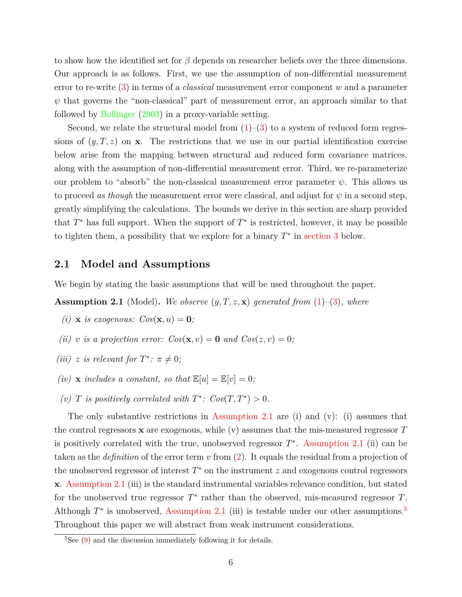to show how the identified set for  $\beta$  depends on researcher beliefs over the three dimensions. Our approach is as follows. First, we use the assumption of non-differential measurement error to re-write [\(3\)](#page-1-1) in terms of a *classical* measurement error component w and a parameter  $\psi$  that governs the "non-classical" part of measurement error, an approach similar to that followed by [Bollinger](#page-33-4) [\(2003\)](#page-33-4) in a proxy-variable setting.

Second, we relate the structural model from  $(1)-(3)$  $(1)-(3)$  to a system of reduced form regressions of  $(y, T, z)$  on **x**. The restrictions that we use in our partial identification exercise below arise from the mapping between structural and reduced form covariance matrices, along with the assumption of non-differential measurement error. Third, we re-parameterize our problem to "absorb" the non-classical measurement error parameter  $\psi$ . This allows us to proceed *as though* the measurement error were classical, and adjust for  $\psi$  in a second step, greatly simplifying the calculations. The bounds we derive in this section are sharp provided that  $T^*$  has full support. When the support of  $T^*$  is restricted, however, it may be possible to tighten them, a possibility that we explore for a binary  $T^*$  in [section 3](#page-14-0) below.

#### **2.1 Model and Assumptions**

We begin by stating the basic assumptions that will be used throughout the paper.

<span id="page-6-0"></span>**Assumption 2.1** (Model)**.** *We observe* (y, T, z, x) *generated from* [\(1\)](#page-1-2)*–*[\(3\)](#page-1-1)*, where*

- *(i)* **x** *is exogenous:*  $Cov(\mathbf{x}, u) = \mathbf{0}$ ;
- *(ii)* v *is a projection error:*  $Cov(\mathbf{x}, v) = \mathbf{0}$  and  $Cov(z, v) = 0$ ;
- *(iii)* z *is relevant for*  $T^*$ :  $\pi \neq 0$ *;*
- *(iv)* **x** *includes a constant, so that*  $\mathbb{E}[u] = \mathbb{E}[v] = 0$ *;*
- (*v*) *T is positively correlated with*  $T^*$ *: Cov*(*T*,  $T^*$ ) > 0*.*

The only substantive restrictions in [Assumption 2.1](#page-6-0) are (i) and (v): (i) assumes that the control regressors  $\bf{x}$  are exogenous, while (v) assumes that the mis-measured regressor  $T$ is positively correlated with the true, unobserved regressor  $T^*$ . [Assumption 2.1](#page-6-0) (ii) can be taken as the *definition* of the error term v from [\(2\)](#page-1-3). It equals the residual from a projection of the unobserved regressor of interest  $T^*$  on the instrument  $z$  and exogenous control regressors x. [Assumption 2.1](#page-6-0) (iii) is the standard instrumental variables relevance condition, but stated for the unobserved true regressor  $T^*$  rather than the observed, mis-measured regressor  $T$ . Although  $T^*$  is unobserved, [Assumption 2.1](#page-6-0) (iii) is testable under our other assumptions.<sup>[5](#page-6-1)</sup> Throughout this paper we will abstract from weak instrument considerations.

<span id="page-6-1"></span> $5$ See [\(9\)](#page-9-0) and the discussion immediately following it for details.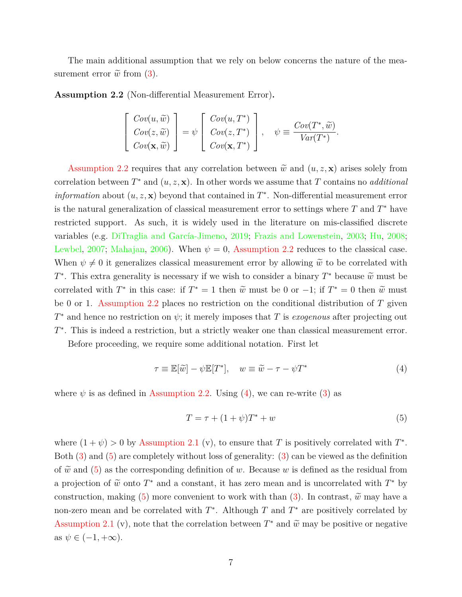The main additional assumption that we rely on below concerns the nature of the measurement error  $\tilde{w}$  from [\(3\)](#page-1-1).

<span id="page-7-0"></span>**Assumption 2.2** (Non-differential Measurement Error)**.**

$$
\begin{bmatrix}\n\operatorname{Cov}(u, \widetilde{w}) \\
\operatorname{Cov}(z, \widetilde{w}) \\
\operatorname{Cov}(\mathbf{x}, \widetilde{w})\n\end{bmatrix} = \psi \begin{bmatrix}\n\operatorname{Cov}(u, T^*) \\
\operatorname{Cov}(z, T^*) \\
\operatorname{Cov}(\mathbf{x}, T^*)\n\end{bmatrix}, \quad \psi \equiv \frac{\operatorname{Cov}(T^*, \widetilde{w})}{\operatorname{Var}(T^*)}.
$$

[Assumption 2.2](#page-7-0) requires that any correlation between  $\tilde{w}$  and  $(u, z, x)$  arises solely from correlation between  $T^*$  and  $(u, z, \mathbf{x})$ . In other words we assume that T contains no *additional information* about  $(u, z, x)$  beyond that contained in  $T^*$ . Non-differential measurement error is the natural generalization of classical measurement error to settings where  $T$  and  $T^*$  have restricted support. As such, it is widely used in the literature on mis-classified discrete variables (e.g. [DiTraglia and García-Jimeno,](#page-34-12) [2019;](#page-34-12) [Frazis and Lowenstein,](#page-34-10) [2003;](#page-34-10) [Hu,](#page-34-11) [2008;](#page-34-11) [Lewbel,](#page-35-9) [2007;](#page-35-9) [Mahajan,](#page-35-10) [2006\)](#page-35-10). When  $\psi = 0$ , [Assumption 2.2](#page-7-0) reduces to the classical case. When  $\psi \neq 0$  it generalizes classical measurement error by allowing  $\tilde{\omega}$  to be correlated with T<sup>\*</sup>. This extra generality is necessary if we wish to consider a binary  $T^*$  because  $\tilde{w}$  must be correlated with  $T^*$  in this case: if  $T^* = 1$  then  $\tilde{w}$  must be 0 or  $-1$ ; if  $T^* = 0$  then  $\tilde{w}$  must be 0 or 1. [Assumption 2.2](#page-7-0) places no restriction on the conditional distribution of  $T$  given  $T^*$  and hence no restriction on  $\psi$ ; it merely imposes that T is *exogenous* after projecting out T<sup>\*</sup>. This is indeed a restriction, but a strictly weaker one than classical measurement error.

Before proceeding, we require some additional notation. First let

<span id="page-7-1"></span>
$$
\tau \equiv \mathbb{E}[\tilde{w}] - \psi \mathbb{E}[T^*], \quad w \equiv \tilde{w} - \tau - \psi T^* \tag{4}
$$

where  $\psi$  is as defined in [Assumption 2.2.](#page-7-0) Using [\(4\)](#page-7-1), we can re-write [\(3\)](#page-1-1) as

<span id="page-7-2"></span>
$$
T = \tau + (1 + \psi)T^* + w \tag{5}
$$

where  $(1 + \psi) > 0$  by [Assumption 2.1](#page-6-0) (v), to ensure that T is positively correlated with  $T^*$ . Both [\(3\)](#page-1-1) and [\(5\)](#page-7-2) are completely without loss of generality: [\(3\)](#page-1-1) can be viewed as the definition of  $\tilde{w}$  and [\(5\)](#page-7-2) as the corresponding definition of w. Because w is defined as the residual from a projection of  $\tilde{w}$  onto  $T^*$  and a constant, it has zero mean and is uncorrelated with  $T^*$  by construction, making [\(5\)](#page-7-2) more convenient to work with than [\(3\)](#page-1-1). In contrast,  $\tilde{w}$  may have a non-zero mean and be correlated with  $T^*$ . Although  $T$  and  $T^*$  are positively correlated by [Assumption 2.1](#page-6-0) (v), note that the correlation between  $T^*$  and  $\tilde{w}$  may be positive or negative as  $\psi \in (-1, +\infty)$ .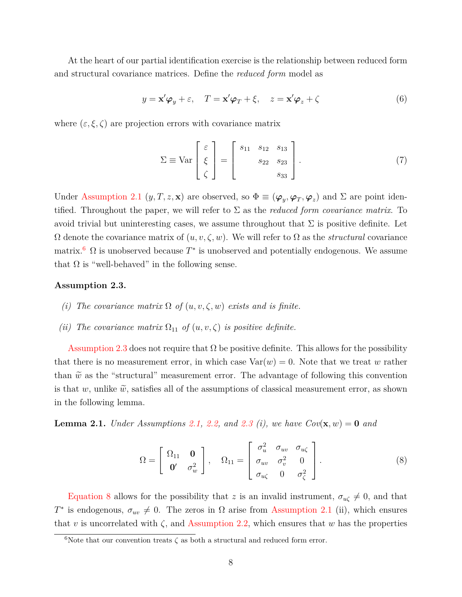At the heart of our partial identification exercise is the relationship between reduced form and structural covariance matrices. Define the *reduced form* model as

<span id="page-8-3"></span>
$$
y = \mathbf{x}'\boldsymbol{\varphi}_y + \varepsilon, \quad T = \mathbf{x}'\boldsymbol{\varphi}_T + \xi, \quad z = \mathbf{x}'\boldsymbol{\varphi}_z + \zeta
$$
 (6)

where  $(\varepsilon, \xi, \zeta)$  are projection errors with covariance matrix

$$
\Sigma \equiv \text{Var}\begin{bmatrix} \varepsilon \\ \xi \\ \zeta \end{bmatrix} = \begin{bmatrix} s_{11} & s_{12} & s_{13} \\ s_{22} & s_{23} \\ s_{33} \end{bmatrix} . \tag{7}
$$

Under [Assumption 2.1](#page-6-0)  $(y, T, z, \mathbf{x})$  are observed, so  $\Phi \equiv (\boldsymbol{\varphi}_y, \boldsymbol{\varphi}_T, \boldsymbol{\varphi}_z)$  and  $\Sigma$  are point identified. Throughout the paper, we will refer to  $\Sigma$  as the *reduced form covariance matrix*. To avoid trivial but uninteresting cases, we assume throughout that  $\Sigma$  is positive definite. Let  $\Omega$  denote the covariance matrix of  $(u, v, \zeta, w)$ . We will refer to  $\Omega$  as the *structural* covariance matrix.<sup>[6](#page-8-0)</sup>  $\Omega$  is unobserved because  $T^*$  is unobserved and potentially endogenous. We assume that  $\Omega$  is "well-behaved" in the following sense.

#### <span id="page-8-1"></span>**Assumption 2.3.**

- *(i)* The covariance matrix  $\Omega$  of  $(u, v, \zeta, w)$  exists and is finite.
- *(ii) The covariance matrix*  $\Omega_{11}$  *of*  $(u, v, \zeta)$  *is positive definite.*

[Assumption 2.3](#page-8-1) does not require that  $\Omega$  be positive definite. This allows for the possibility that there is no measurement error, in which case  $Var(w) = 0$ . Note that we treat w rather than  $\tilde{w}$  as the "structural" measurement error. The advantage of following this convention is that w, unlike  $\tilde{w}$ , satisfies all of the assumptions of classical measurement error, as shown in the following lemma.

<span id="page-8-4"></span>**Lemma 2.1.** *Under Assumptions* [2.1,](#page-6-0) [2.2,](#page-7-0) and [2.3](#page-8-1) *(i), we have*  $Cov(\mathbf{x}, w) = 0$  *and* 

<span id="page-8-2"></span>
$$
\Omega = \begin{bmatrix} \Omega_{11} & \mathbf{0} \\ \mathbf{0}' & \sigma_w^2 \end{bmatrix}, \quad \Omega_{11} = \begin{bmatrix} \sigma_u^2 & \sigma_{uv} & \sigma_{u\zeta} \\ \sigma_{uv} & \sigma_v^2 & 0 \\ \sigma_{u\zeta} & 0 & \sigma_{\zeta}^2 \end{bmatrix}.
$$
 (8)

[Equation 8](#page-8-2) allows for the possibility that z is an invalid instrument,  $\sigma_{u\zeta} \neq 0$ , and that  $T^*$  is endogenous,  $\sigma_{uv} \neq 0$ . The zeros in  $\Omega$  arise from [Assumption 2.1](#page-6-0) (ii), which ensures that v is uncorrelated with  $\zeta$ , and [Assumption 2.2,](#page-7-0) which ensures that w has the properties

<span id="page-8-0"></span><sup>&</sup>lt;sup>6</sup>Note that our convention treats  $\zeta$  as both a structural and reduced form error.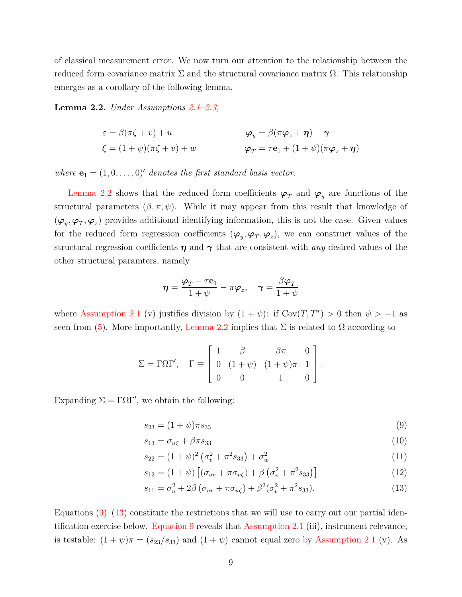of classical measurement error. We now turn our attention to the relationship between the reduced form covariance matrix  $\Sigma$  and the structural covariance matrix  $\Omega$ . This relationship emerges as a corollary of the following lemma.

<span id="page-9-1"></span>**Lemma 2.2.** *Under Assumptions [2.1](#page-6-0)[–2.3,](#page-8-1)*

$$
\varepsilon = \beta(\pi\zeta + v) + u \qquad \varphi_y = \beta(\pi\varphi_z + \eta) + \gamma
$$
  

$$
\xi = (1 + \psi)(\pi\zeta + v) + w \qquad \varphi_T = \tau\mathbf{e}_1 + (1 + \psi)(\pi\varphi_z + \eta)
$$

*where*  $\mathbf{e}_1 = (1, 0, \dots, 0)$  *denotes the first standard basis vector.* 

[Lemma 2.2](#page-9-1) shows that the reduced form coefficients  $\varphi_T$  and  $\varphi_y$  are functions of the structural parameters  $(\beta, \pi, \psi)$ . While it may appear from this result that knowledge of  $(\varphi_y, \varphi_T, \varphi_z)$  provides additional identifying information, this is not the case. Given values for the reduced form regression coefficients  $(\varphi_y, \varphi_T, \varphi_z)$ , we can construct values of the structural regression coefficients  $\eta$  and  $\gamma$  that are consistent with *any* desired values of the other structural paramters, namely

$$
\boldsymbol{\eta} = \frac{\boldsymbol{\varphi}_T - \tau \mathbf{e}_1}{1 + \psi} - \pi \boldsymbol{\varphi}_z, \quad \boldsymbol{\gamma} = \frac{\beta \boldsymbol{\varphi}_T}{1 + \psi}
$$

where [Assumption 2.1](#page-6-0) (v) justifies division by  $(1 + \psi)$ : if Cov $(T, T^*) > 0$  then  $\psi > -1$  as seen from [\(5\)](#page-7-2). More importantly, [Lemma 2.2](#page-9-1) implies that  $\Sigma$  is related to  $\Omega$  according to

$$
\Sigma = \Gamma \Omega \Gamma', \quad \Gamma \equiv \begin{bmatrix} 1 & \beta & \beta \pi & 0 \\ 0 & (1 + \psi) & (1 + \psi) \pi & 1 \\ 0 & 0 & 1 & 0 \end{bmatrix}.
$$

Expanding  $\Sigma = \Gamma \Omega \Gamma'$ , we obtain the following:

<span id="page-9-0"></span>
$$
s_{23} = (1 + \psi)\pi s_{33} \tag{9}
$$

<span id="page-9-3"></span>
$$
s_{13} = \sigma_{u\zeta} + \beta \pi s_{33} \tag{10}
$$

$$
s_{22} = (1 + \psi)^2 \left(\sigma_v^2 + \pi^2 s_{33}\right) + \sigma_w^2 \tag{11}
$$

$$
s_{12} = (1 + \psi) \left[ (\sigma_{uv} + \pi \sigma_{u\zeta}) + \beta \left( \sigma_v^2 + \pi^2 s_{33} \right) \right]
$$
 (12)

<span id="page-9-2"></span>
$$
s_{11} = \sigma_u^2 + 2\beta \left(\sigma_{uv} + \pi \sigma_{u\zeta}\right) + \beta^2 (\sigma_v^2 + \pi^2 s_{33}).\tag{13}
$$

Equations  $(9)$ –[\(13\)](#page-9-2) constitute the restrictions that we will use to carry out our partial identification exercise below. [Equation 9](#page-9-0) reveals that [Assumption 2.1](#page-6-0) (iii), instrument relevance, is testable:  $(1 + \psi)\pi = (s_{23}/s_{33})$  and  $(1 + \psi)$  cannot equal zero by [Assumption 2.1](#page-6-0) (v). As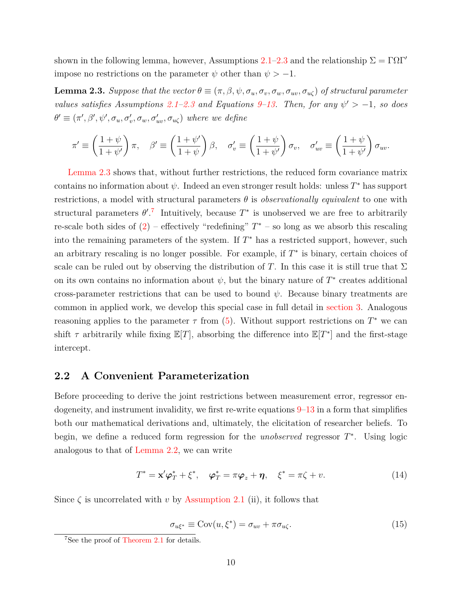shown in the following lemma, however, Assumptions  $2.1-2.3$  $2.1-2.3$  and the relationship  $\Sigma = \Gamma \Omega \Gamma'$ impose no restrictions on the parameter  $\psi$  other than  $\psi > -1$ .

<span id="page-10-0"></span>**Lemma 2.3.** *Suppose that the vector*  $\theta \equiv (\pi, \beta, \psi, \sigma_u, \sigma_v, \sigma_w, \sigma_w, \sigma_u)$  *of structural parameter values satisfies Assumptions* [2.1](#page-6-0)[–2.3](#page-8-1) and Equations [9–](#page-9-0)[13.](#page-9-2) Then, for any  $\psi' > -1$ , so does  $\theta' \equiv (\pi', \beta', \psi', \sigma_u, \sigma'_v, \sigma_w, \sigma'_{uv}, \sigma_{u\zeta})$  where we define

$$
\pi' \equiv \left(\frac{1+\psi}{1+\psi'}\right)\pi, \quad \beta' \equiv \left(\frac{1+\psi'}{1+\psi}\right)\beta, \quad \sigma'_v \equiv \left(\frac{1+\psi}{1+\psi'}\right)\sigma_v, \quad \sigma'_{uv} \equiv \left(\frac{1+\psi}{1+\psi'}\right)\sigma_{uv}.
$$

[Lemma 2.3](#page-10-0) shows that, without further restrictions, the reduced form covariance matrix contains no information about  $\psi$ . Indeed an even stronger result holds: unless  $T^*$  has support restrictions, a model with structural parameters  $\theta$  is *observationally equivalent* to one with structural parameters  $\theta^{\prime}$ .<sup>[7](#page-10-1)</sup> Intuitively, because  $T^*$  is unobserved we are free to arbitrarily re-scale both sides of  $(2)$  – effectively "redefining"  $T^*$  – so long as we absorb this rescaling into the remaining parameters of the system. If  $T^*$  has a restricted support, however, such an arbitrary rescaling is no longer possible. For example, if  $T^*$  is binary, certain choices of scale can be ruled out by observing the distribution of T. In this case it is still true that  $\Sigma$ on its own contains no information about  $\psi$ , but the binary nature of  $T^*$  creates additional cross-parameter restrictions that can be used to bound  $\psi$ . Because binary treatments are common in applied work, we develop this special case in full detail in [section 3.](#page-14-0) Analogous reasoning applies to the parameter  $\tau$  from [\(5\)](#page-7-2). Without support restrictions on  $T^*$  we can shift  $\tau$  arbitrarily while fixing  $\mathbb{E}[T]$ , absorbing the difference into  $\mathbb{E}[T^*]$  and the first-stage intercept.

#### **2.2 A Convenient Parameterization**

Before proceeding to derive the joint restrictions between measurement error, regressor endogeneity, and instrument invalidity, we first re-write equations  $9-13$  $9-13$  in a form that simplifies both our mathematical derivations and, ultimately, the elicitation of researcher beliefs. To begin, we define a reduced form regression for the *unobserved* regressor  $T^*$ . Using logic analogous to that of [Lemma 2.2,](#page-9-1) we can write

<span id="page-10-3"></span>
$$
T^* = \mathbf{x}' \boldsymbol{\varphi}_T^* + \xi^*, \quad \boldsymbol{\varphi}_T^* = \pi \boldsymbol{\varphi}_z + \boldsymbol{\eta}, \quad \xi^* = \pi \zeta + v. \tag{14}
$$

Since  $\zeta$  is uncorrelated with v by [Assumption 2.1](#page-6-0) (ii), it follows that

<span id="page-10-2"></span>
$$
\sigma_{u\xi^*} \equiv \text{Cov}(u, \xi^*) = \sigma_{uv} + \pi \sigma_{u\zeta}.
$$
\n(15)

<span id="page-10-1"></span><sup>&</sup>lt;sup>7</sup>See the proof of [Theorem 2.1](#page-13-0) for details.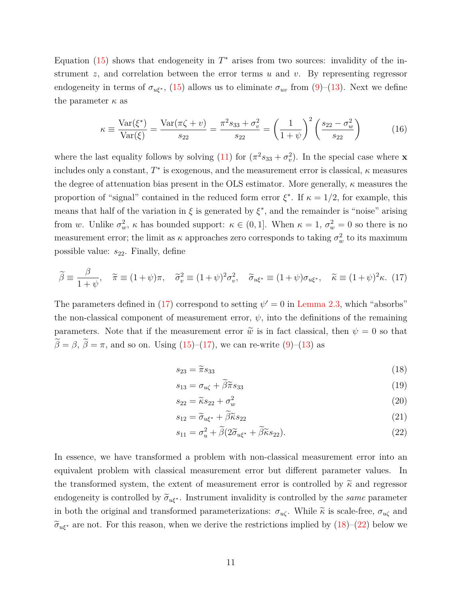Equation  $(15)$  shows that endogeneity in  $T^*$  arises from two sources: invalidity of the instrument  $z$ , and correlation between the error terms  $u$  and  $v$ . By representing regressor endogeneity in terms of  $\sigma_{u\xi^*}$ , [\(15\)](#page-10-2) allows us to eliminate  $\sigma_{uv}$  from [\(9\)](#page-9-0)–[\(13\)](#page-9-2). Next we define the parameter  $\kappa$  as

$$
\kappa \equiv \frac{\text{Var}(\xi^*)}{\text{Var}(\xi)} = \frac{\text{Var}(\pi \zeta + v)}{s_{22}} = \frac{\pi^2 s_{33} + \sigma_v^2}{s_{22}} = \left(\frac{1}{1 + \psi}\right)^2 \left(\frac{s_{22} - \sigma_w^2}{s_{22}}\right) \tag{16}
$$

where the last equality follows by solving [\(11\)](#page-9-3) for  $(\pi^2 s_{33} + \sigma_v^2)$ . In the special case where **x** includes only a constant,  $T^*$  is exogenous, and the measurement error is classical,  $\kappa$  measures the degree of attenuation bias present in the OLS estimator. More generally,  $\kappa$  measures the proportion of "signal" contained in the reduced form error  $\xi^*$ . If  $\kappa = 1/2$ , for example, this means that half of the variation in  $\xi$  is generated by  $\xi^*$ , and the remainder is "noise" arising from w. Unlike  $\sigma_w^2$ ,  $\kappa$  has bounded support:  $\kappa \in (0,1]$ . When  $\kappa = 1$ ,  $\sigma_w^2 = 0$  so there is no measurement error; the limit as  $\kappa$  approaches zero corresponds to taking  $\sigma_w^2$  to its maximum possible value:  $s_{22}$ . Finally, define

<span id="page-11-0"></span>
$$
\widetilde{\beta} \equiv \frac{\beta}{1+\psi}, \quad \widetilde{\pi} \equiv (1+\psi)\pi, \quad \widetilde{\sigma}_v^2 \equiv (1+\psi)^2 \sigma_v^2, \quad \widetilde{\sigma}_{u\xi^*} \equiv (1+\psi)\sigma_{u\xi^*}, \quad \widetilde{\kappa} \equiv (1+\psi)^2 \kappa. \tag{17}
$$

The parameters defined in [\(17\)](#page-11-0) correspond to setting  $\psi' = 0$  in [Lemma 2.3,](#page-10-0) which "absorbs" the non-classical component of measurement error,  $\psi$ , into the definitions of the remaining parameters. Note that if the measurement error  $\tilde{w}$  is in fact classical, then  $\psi = 0$  so that  $\widetilde{\beta} = \beta$ ,  $\widetilde{\beta} = \pi$ , and so on. Using [\(15\)](#page-10-2)–[\(17\)](#page-11-0), we can re-write [\(9\)](#page-9-0)–[\(13\)](#page-9-2) as

<span id="page-11-4"></span><span id="page-11-1"></span>
$$
s_{23} = \tilde{\pi} s_{33} \tag{18}
$$

$$
s_{13} = \sigma_{u\zeta} + \tilde{\beta}\tilde{\pi}s_{33} \tag{19}
$$

<span id="page-11-5"></span>
$$
s_{22} = \widetilde{\kappa} s_{22} + \sigma_w^2 \tag{20}
$$

<span id="page-11-3"></span><span id="page-11-2"></span>
$$
s_{12} = \tilde{\sigma}_{u\xi^*} + \tilde{\beta}\tilde{\kappa}s_{22} \tag{21}
$$

$$
s_{11} = \sigma_u^2 + \tilde{\beta}(2\tilde{\sigma}_{u\xi^*} + \tilde{\beta}\tilde{\kappa}s_{22}).
$$
\n(22)

In essence, we have transformed a problem with non-classical measurement error into an equivalent problem with classical measurement error but different parameter values. In the transformed system, the extent of measurement error is controlled by  $\tilde{\kappa}$  and regressor endogeneity is controlled by  $\tilde{\sigma}_{u\xi^*}$ . Instrument invalidity is controlled by the *same* parameter in both the original and transformed parameterizations:  $\sigma_{u\zeta}$ . While  $\tilde{\kappa}$  is scale-free,  $\sigma_{u\zeta}$  and  $\tilde{\sigma}_{u\xi^*}$  are not. For this reason, when we derive the restrictions implied by [\(18\)](#page-11-1)–[\(22\)](#page-11-2) below we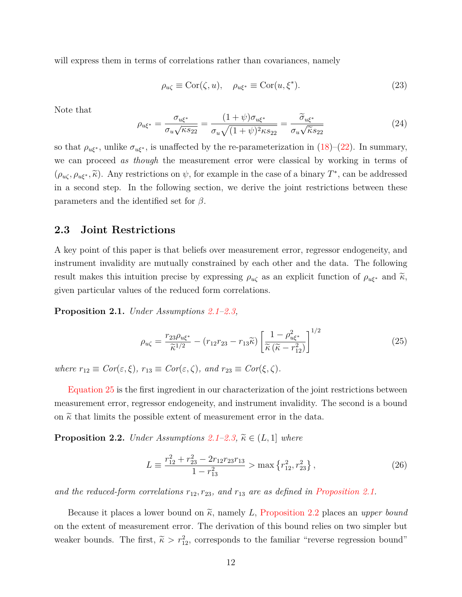will express them in terms of correlations rather than covariances, namely

$$
\rho_{u\zeta} \equiv \text{Cor}(\zeta, u), \quad \rho_{u\xi^*} \equiv \text{Cor}(u, \xi^*). \tag{23}
$$

Note that

<span id="page-12-3"></span>
$$
\rho_{u\xi^*} = \frac{\sigma_{u\xi^*}}{\sigma_u \sqrt{\kappa s_{22}}} = \frac{(1+\psi)\sigma_{u\xi^*}}{\sigma_u \sqrt{(1+\psi)^2\kappa s_{22}}} = \frac{\widetilde{\sigma}_{u\xi^*}}{\sigma_u \sqrt{\kappa s_{22}}} \tag{24}
$$

so that  $\rho_{u\xi^*}$ , unlike  $\sigma_{u\xi^*}$ , is unaffected by the re-parameterization in [\(18\)](#page-11-1)–[\(22\)](#page-11-2). In summary, we can proceed *as though* the measurement error were classical by working in terms of  $(\rho_{u\zeta}, \rho_{u\xi^*}, \tilde{\kappa})$ . Any restrictions on  $\psi$ , for example in the case of a binary  $T^*$ , can be addressed in a second step. In the following section, we derive the joint restrictions between these parameters and the identified set for  $\beta$ .

#### **2.3 Joint Restrictions**

A key point of this paper is that beliefs over measurement error, regressor endogeneity, and instrument invalidity are mutually constrained by each other and the data. The following result makes this intuition precise by expressing  $\rho_{u\zeta}$  as an explicit function of  $\rho_{u\xi^*}$  and  $\tilde{\kappa}$ , given particular values of the reduced form correlations.

<span id="page-12-1"></span>**Proposition 2.1.** *Under Assumptions [2.1](#page-6-0)[–2.3,](#page-8-1)*

<span id="page-12-0"></span>
$$
\rho_{u\zeta} = \frac{r_{23}\rho_{u\xi^*}}{\widetilde{\kappa}^{1/2}} - \left(r_{12}r_{23} - r_{13}\widetilde{\kappa}\right) \left[\frac{1 - \rho_{u\xi^*}^2}{\widetilde{\kappa}\left(\widetilde{\kappa} - r_{12}^2\right)}\right]^{1/2} \tag{25}
$$

*where*  $r_{12} \equiv Cor(\varepsilon, \xi)$ ,  $r_{13} \equiv Cor(\varepsilon, \zeta)$ , and  $r_{23} \equiv Cor(\xi, \zeta)$ .

[Equation 25](#page-12-0) is the first ingredient in our characterization of the joint restrictions between measurement error, regressor endogeneity, and instrument invalidity. The second is a bound on  $\tilde{\kappa}$  that limits the possible extent of measurement error in the data.

<span id="page-12-2"></span>**Proposition 2.2.** *Under Assumptions*  $2.1 - 2.3$  $2.1 - 2.3$ ,  $\widetilde{\kappa} \in (L, 1]$  *where* 

$$
L \equiv \frac{r_{12}^2 + r_{23}^2 - 2r_{12}r_{23}r_{13}}{1 - r_{13}^2} > \max\left\{r_{12}^2, r_{23}^2\right\},\tag{26}
$$

and the reduced-form correlations  $r_{12}, r_{23},$  and  $r_{13}$  are as defined in [Proposition 2.1.](#page-12-1)

Because it places a lower bound on  $\tilde{\kappa}$ , namely L, [Proposition 2.2](#page-12-2) places an *upper bound* on the extent of measurement error. The derivation of this bound relies on two simpler but weaker bounds. The first,  $\tilde{\kappa} > r_{12}^2$ , corresponds to the familiar "reverse regression bound"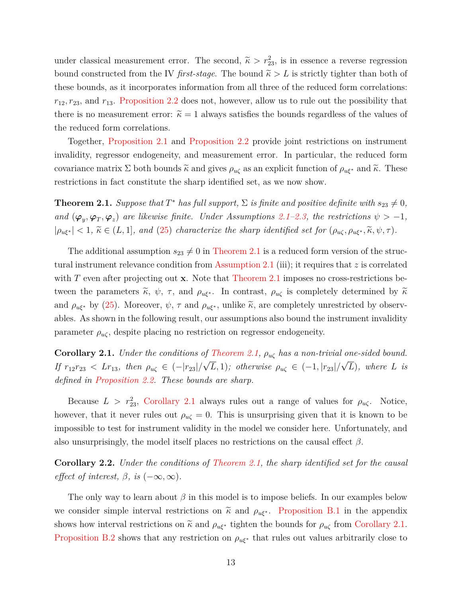under classical measurement error. The second,  $\tilde{\kappa} > r_{23}^2$ , is in essence a reverse regression bound constructed from the IV *first-stage*. The bound  $\tilde{\kappa} > L$  is strictly tighter than both of these bounds, as it incorporates information from all three of the reduced form correlations:  $r_{12}, r_{23}$ , and  $r_{13}$ . [Proposition 2.2](#page-12-2) does not, however, allow us to rule out the possibility that there is no measurement error:  $\tilde{\kappa} = 1$  always satisfies the bounds regardless of the values of the reduced form correlations.

Together, [Proposition 2.1](#page-12-1) and [Proposition 2.2](#page-12-2) provide joint restrictions on instrument invalidity, regressor endogeneity, and measurement error. In particular, the reduced form covariance matrix  $\Sigma$  both bounds  $\tilde{\kappa}$  and gives  $\rho_{u\zeta}$  as an explicit function of  $\rho_{u\xi^*}$  and  $\tilde{\kappa}$ . These restrictions in fact constitute the sharp identified set, as we now show.

<span id="page-13-0"></span>**Theorem 2.1.** *Suppose that*  $T^*$  *has full support,*  $\Sigma$  *is finite and positive definite with*  $s_{23} \neq 0$ *, and*  $(\varphi_y, \varphi_T, \varphi_z)$  *are likewise finite. Under Assumptions [2.1](#page-6-0)[–2.3,](#page-8-1) the restrictions*  $\psi > -1$ *,*  $|\rho_{u\xi^*}| < 1$ ,  $\widetilde{\kappa} \in (L, 1]$ , and [\(25\)](#page-12-0) *characterize the sharp identified set for*  $(\rho_{u\zeta}, \rho_{u\xi^*}, \widetilde{\kappa}, \psi, \tau)$ *.* 

The additional assumption  $s_{23} \neq 0$  in [Theorem 2.1](#page-13-0) is a reduced form version of the structural instrument relevance condition from [Assumption 2.1](#page-6-0) (iii); it requires that z is correlated with  $T$  even after projecting out  $x$ . Note that [Theorem 2.1](#page-13-0) imposes no cross-restrictions between the parameters  $\tilde{\kappa}$ ,  $\psi$ ,  $\tau$ , and  $\rho_{u\xi^*}$ . In contrast,  $\rho_{u\zeta}$  is completely determined by  $\tilde{\kappa}$ and  $\rho_{u\xi^*}$  by [\(25\)](#page-12-0). Moreover,  $\psi$ ,  $\tau$  and  $\rho_{u\xi^*}$ , unlike  $\tilde{\kappa}$ , are completely unrestricted by observables. As shown in the following result, our assumptions also bound the instrument invalidity parameter  $\rho_{u\zeta}$ , despite placing no restriction on regressor endogeneity.

<span id="page-13-1"></span>**Corollary 2.1.** *Under the conditions of [Theorem 2.1,](#page-13-0)*  $\rho_{\mathbf{u}\zeta}$  *has a non-trivial one-sided bound. If*  $r_{12}r_{23} < Lr_{13}$ , then  $\rho_{u\zeta} \in (-|r_{23}|/\sqrt{L}, 1)$ ; otherwise  $\rho_{u\zeta} \in (-1, |r_{23}|/\sqrt{L})$ , where L is *defined in [Proposition 2.2.](#page-12-2) These bounds are sharp.*

Because  $L > r_{23}^2$ , [Corollary 2.1](#page-13-1) always rules out a range of values for  $\rho_{u\zeta}$ . Notice, however, that it never rules out  $\rho_{\mu\zeta} = 0$ . This is unsurprising given that it is known to be impossible to test for instrument validity in the model we consider here. Unfortunately, and also unsurprisingly, the model itself places no restrictions on the causal effect  $\beta$ .

<span id="page-13-2"></span>**Corollary 2.2.** *Under the conditions of [Theorem 2.1,](#page-13-0) the sharp identified set for the causal effect of interest,*  $\beta$ *, is*  $(-\infty, \infty)$ *.* 

The only way to learn about  $\beta$  in this model is to impose beliefs. In our examples below we consider simple interval restrictions on  $\tilde{\kappa}$  and  $\rho_{u\xi^*}$ . [Proposition B.1](#page-45-0) in the appendix shows how interval restrictions on  $\tilde{\kappa}$  and  $\rho_{u\xi^*}$  tighten the bounds for  $\rho_{u\zeta}$  from [Corollary 2.1.](#page-13-1) [Proposition B.2](#page-46-0) shows that any restriction on  $\rho_{u\xi^*}$  that rules out values arbitrarily close to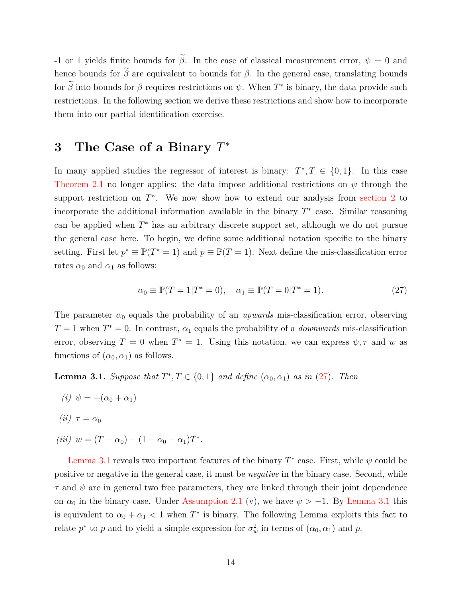-1 or 1 yields finite bounds for  $\tilde{\beta}$ . In the case of classical measurement error,  $\psi = 0$  and hence bounds for  $\tilde{\beta}$  are equivalent to bounds for  $\beta$ . In the general case, translating bounds for  $\hat{\beta}$  into bounds for  $\beta$  requires restrictions on  $\psi$ . When  $T^*$  is binary, the data provide such restrictions. In the following section we derive these restrictions and show how to incorporate them into our partial identification exercise.

## <span id="page-14-0"></span>**3 The Case of a Binary** T ∗

In many applied studies the regressor of interest is binary:  $T^*, T \in \{0, 1\}$ . In this case [Theorem 2.1](#page-13-0) no longer applies: the data impose additional restrictions on  $\psi$  through the support restriction on  $T^*$ . We now show how to extend our analysis from [section 2](#page-5-0) to incorporate the additional information available in the binary  $T^*$  case. Similar reasoning can be applied when  $T^*$  has an arbitrary discrete support set, although we do not pursue the general case here. To begin, we define some additional notation specific to the binary setting. First let  $p^* \equiv \mathbb{P}(T^* = 1)$  and  $p \equiv \mathbb{P}(T = 1)$ . Next define the mis-classification error rates  $\alpha_0$  and  $\alpha_1$  as follows:

<span id="page-14-1"></span>
$$
\alpha_0 \equiv \mathbb{P}(T = 1 | T^* = 0), \quad \alpha_1 \equiv \mathbb{P}(T = 0 | T^* = 1).
$$
 (27)

The parameter  $\alpha_0$  equals the probability of an *upwards* mis-classification error, observing  $T = 1$  when  $T^* = 0$ . In contrast,  $\alpha_1$  equals the probability of a *downwards* mis-classification error, observing  $T = 0$  when  $T^* = 1$ . Using this notation, we can express  $\psi, \tau$  and w as functions of  $(\alpha_0, \alpha_1)$  as follows.

<span id="page-14-2"></span>**Lemma 3.1.** *Suppose that*  $T^*$ ,  $T \in \{0, 1\}$  *and define*  $(\alpha_0, \alpha_1)$  *as in* [\(27\)](#page-14-1)*. Then* 

- *(i)*  $\psi = -(\alpha_0 + \alpha_1)$
- *(ii)*  $\tau = \alpha_0$
- $(iii)$   $w = (T \alpha_0) (1 \alpha_0 \alpha_1)T^*$ .

[Lemma 3.1](#page-14-2) reveals two important features of the binary  $T^*$  case. First, while  $\psi$  could be positive or negative in the general case, it must be *negative* in the binary case. Second, while  $\tau$  and  $\psi$  are in general two free parameters, they are linked through their joint dependence on  $\alpha_0$  in the binary case. Under [Assumption 2.1](#page-6-0) (v), we have  $\psi > -1$ . By [Lemma 3.1](#page-14-2) this is equivalent to  $\alpha_0 + \alpha_1 < 1$  when  $T^*$  is binary. The following Lemma exploits this fact to relate  $p^*$  to p and to yield a simple expression for  $\sigma_w^2$  in terms of  $(\alpha_0, \alpha_1)$  and p.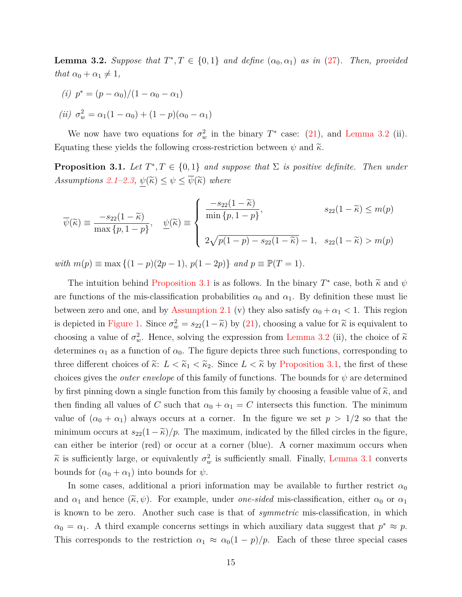<span id="page-15-0"></span>**Lemma 3.2.** Suppose that  $T^*, T \in \{0, 1\}$  and define  $(\alpha_0, \alpha_1)$  as in [\(27\)](#page-14-1). Then, provided *that*  $\alpha_0 + \alpha_1 \neq 1$ *,* 

(*i*) 
$$
p^* = (p - \alpha_0)/(1 - \alpha_0 - \alpha_1)
$$

(*ii*) 
$$
\sigma_w^2 = \alpha_1 (1 - \alpha_0) + (1 - p)(\alpha_0 - \alpha_1)
$$

We now have two equations for  $\sigma_w^2$  in the binary  $T^*$  case: [\(21\)](#page-11-3), and [Lemma 3.2](#page-15-0) (ii). Equating these yields the following cross-restriction between  $\psi$  and  $\tilde{\kappa}$ .

<span id="page-15-1"></span>**Proposition 3.1.** Let  $T^*, T \in \{0, 1\}$  and suppose that  $\Sigma$  is positive definite. Then under *Assumptions* [2.1–](#page-6-0)[2.3,](#page-8-1)  $\psi(\tilde{\kappa}) \leq \psi \leq \overline{\psi}(\tilde{\kappa})$  where

$$
\overline{\psi}(\widetilde{\kappa}) \equiv \frac{-s_{22}(1-\widetilde{\kappa})}{\max\{p, 1-p\}}, \quad \underline{\psi}(\widetilde{\kappa}) \equiv \begin{cases}\n\frac{-s_{22}(1-\widetilde{\kappa})}{\min\{p, 1-p\}}, & s_{22}(1-\widetilde{\kappa}) \le m(p) \\
2\sqrt{p(1-p) - s_{22}(1-\widetilde{\kappa})} - 1, & s_{22}(1-\widetilde{\kappa}) > m(p)\n\end{cases}
$$

*with*  $m(p) \equiv \max \{(1-p)(2p-1), p(1-2p)\}$  *and*  $p \equiv \mathbb{P}(T = 1)$ *.* 

The intuition behind [Proposition 3.1](#page-15-1) is as follows. In the binary  $T^*$  case, both  $\tilde{\kappa}$  and  $\psi$ are functions of the mis-classification probabilities  $\alpha_0$  and  $\alpha_1$ . By definition these must lie between zero and one, and by [Assumption 2.1](#page-6-0) (v) they also satisfy  $\alpha_0 + \alpha_1 < 1$ . This region is depicted in [Figure 1.](#page-16-0) Since  $\sigma_w^2 = s_{22}(1-\tilde{\kappa})$  by [\(21\)](#page-11-3), choosing a value for  $\tilde{\kappa}$  is equivalent to choosing a value of  $\sigma_w^2$ . Hence, solving the expression from [Lemma 3.2](#page-15-0) (ii), the choice of  $\tilde{\kappa}$ determines  $\alpha_1$  as a function of  $\alpha_0$ . The figure depicts three such functions, corresponding to three different choices of  $\tilde{\kappa}$ :  $L < \tilde{\kappa}_1 < \tilde{\kappa}_2$ . Since  $L < \tilde{\kappa}$  by [Proposition 3.1,](#page-15-1) the first of these choices gives the *outer envelope* of this family of functions. The bounds for  $\psi$  are determined by first pinning down a single function from this family by choosing a feasible value of  $\tilde{\kappa}$ , and then finding all values of C such that  $\alpha_0 + \alpha_1 = C$  intersects this function. The minimum value of  $(\alpha_0 + \alpha_1)$  always occurs at a corner. In the figure we set  $p > 1/2$  so that the minimum occurs at  $s_{22}(1-\tilde{\kappa})/p$ . The maximum, indicated by the filled circles in the figure, can either be interior (red) or occur at a corner (blue). A corner maximum occurs when  $\widetilde{\kappa}$  is sufficiently large, or equivalently  $\sigma_w^2$  is sufficiently small. Finally, [Lemma 3.1](#page-14-2) converts bounds for  $(\alpha_0 + \alpha_1)$  into bounds for  $\psi$ .

In some cases, additional a priori information may be available to further restrict  $\alpha_0$ and  $\alpha_1$  and hence  $(\tilde{\kappa}, \psi)$ . For example, under *one-sided* mis-classification, either  $\alpha_0$  or  $\alpha_1$ is known to be zero. Another such case is that of *symmetric* mis-classification, in which  $\alpha_0 = \alpha_1$ . A third example concerns settings in which auxiliary data suggest that  $p^* \approx p$ . This corresponds to the restriction  $\alpha_1 \approx \alpha_0(1-p)/p$ . Each of these three special cases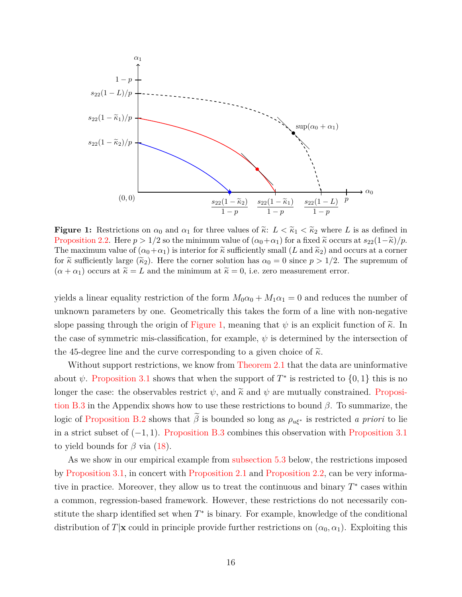<span id="page-16-0"></span>

**Figure 1:** Restrictions on  $\alpha_0$  and  $\alpha_1$  for three values of  $\tilde{\kappa}$ :  $L < \tilde{\kappa}_1 < \tilde{\kappa}_2$  where L is as defined in [Proposition 2.2.](#page-12-2) Here  $p > 1/2$  so the minimum value of  $(\alpha_0 + \alpha_1)$  for a fixed  $\tilde{\kappa}$  occurs at  $s_{22}(1-\tilde{\kappa})/p$ . The maximum value of  $(\alpha_0+\alpha_1)$  is interior for  $\tilde{\kappa}$  sufficiently small  $(L \text{ and } \tilde{\kappa}_2)$  and occurs at a corner for  $\tilde{\kappa}$  sufficiently large  $(\tilde{\kappa}_2)$ . Here the corner solution has  $\alpha_0 = 0$  since  $p > 1/2$ . The supremum of  $(\alpha + \alpha_1)$  occurs at  $\tilde{\kappa} = L$  and the minimum at  $\tilde{\kappa} = 0$ , i.e. zero measurement error.

yields a linear equality restriction of the form  $M_0\alpha_0 + M_1\alpha_1 = 0$  and reduces the number of unknown parameters by one. Geometrically this takes the form of a line with non-negative slope passing through the origin of [Figure 1,](#page-16-0) meaning that  $\psi$  is an explicit function of  $\tilde{\kappa}$ . In the case of symmetric mis-classification, for example,  $\psi$  is determined by the intersection of the 45-degree line and the curve corresponding to a given choice of  $\tilde{\kappa}$ .

Without support restrictions, we know from [Theorem 2.1](#page-13-0) that the data are uninformative about  $\psi$ . [Proposition 3.1](#page-15-1) shows that when the support of  $T^*$  is restricted to  $\{0,1\}$  this is no longer the case: the observables restrict  $\psi$ , and  $\tilde{\kappa}$  and  $\psi$  are mutually constrained. [Proposi](#page-47-0)[tion B.3](#page-47-0) in the Appendix shows how to use these restrictions to bound  $\beta$ . To summarize, the logic of [Proposition B.2](#page-46-0) shows that  $\tilde{\beta}$  is bounded so long as  $\rho_{u\xi^*}$  is restricted *a priori* to lie in a strict subset of  $(-1, 1)$ . [Proposition B.3](#page-47-0) combines this observation with [Proposition 3.1](#page-15-1) to yield bounds for  $\beta$  via [\(18\)](#page-11-1).

As we show in our empirical example from [subsection 5.3](#page-29-0) below, the restrictions imposed by [Proposition 3.1,](#page-15-1) in concert with [Proposition 2.1](#page-12-1) and [Proposition 2.2,](#page-12-2) can be very informative in practice. Moreover, they allow us to treat the continuous and binary  $T^*$  cases within a common, regression-based framework. However, these restrictions do not necessarily constitute the sharp identified set when  $T^*$  is binary. For example, knowledge of the conditional distribution of T|x could in principle provide further restrictions on  $(\alpha_0, \alpha_1)$ . Exploiting this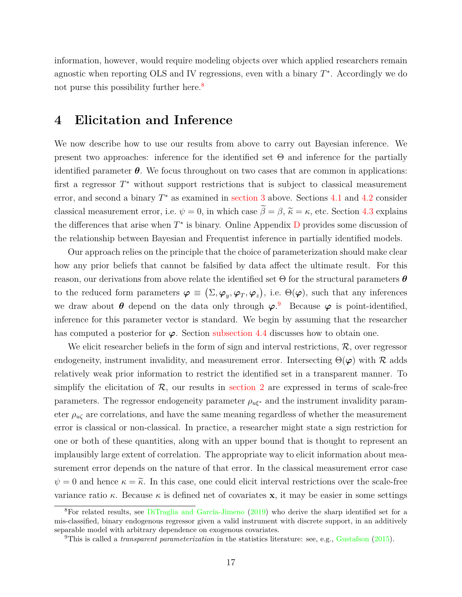information, however, would require modeling objects over which applied researchers remain agnostic when reporting OLS and IV regressions, even with a binary  $T^*$ . Accordingly we do not purse this possibility further here.<sup>[8](#page-17-1)</sup>

### <span id="page-17-0"></span>**4 Elicitation and Inference**

We now describe how to use our results from above to carry out Bayesian inference. We present two approaches: inference for the identified set  $\Theta$  and inference for the partially identified parameter  $\theta$ . We focus throughout on two cases that are common in applications: first a regressor  $T^*$  without support restrictions that is subject to classical measurement error, and second a binary  $T^*$  as examined in [section 3](#page-14-0) above. Sections [4.1](#page-18-0) and [4.2](#page-19-0) consider classical measurement error, i.e.  $\psi = 0$ , in which case  $\tilde{\beta} = \beta$ ,  $\tilde{\kappa} = \kappa$ , etc. Section [4.3](#page-20-0) explains the differences that arise when  $T^*$  is binary. Online Appendix  $D$  provides some discussion of the relationship between Bayesian and Frequentist inference in partially identified models.

Our approach relies on the principle that the choice of parameterization should make clear how any prior beliefs that cannot be falsified by data affect the ultimate result. For this reason, our derivations from above relate the identified set  $\Theta$  for the structural parameters  $\theta$ to the reduced form parameters  $\boldsymbol{\varphi} \equiv (\Sigma, \boldsymbol{\varphi}_y, \boldsymbol{\varphi}_T, \boldsymbol{\varphi}_z)$ , i.e.  $\Theta(\boldsymbol{\varphi})$ , such that any inferences we draw about  $\theta$  depend on the data only through  $\varphi$ . Because  $\varphi$  is point-identified, inference for this parameter vector is standard. We begin by assuming that the researcher has computed a posterior for  $\varphi$ . Section [subsection 4.4](#page-20-1) discusses how to obtain one.

We elicit researcher beliefs in the form of sign and interval restrictions,  $\mathcal{R}$ , over regressor endogeneity, instrument invalidity, and measurement error. Intersecting  $\Theta(\varphi)$  with  $\mathcal R$  adds relatively weak prior information to restrict the identified set in a transparent manner. To simplify the elicitation of  $\mathcal{R}$ , our results in [section 2](#page-5-0) are expressed in terms of scale-free parameters. The regressor endogeneity parameter  $\rho_{u\xi^*}$  and the instrument invalidity parameter  $\rho_{u\zeta}$  are correlations, and have the same meaning regardless of whether the measurement error is classical or non-classical. In practice, a researcher might state a sign restriction for one or both of these quantities, along with an upper bound that is thought to represent an implausibly large extent of correlation. The appropriate way to elicit information about measurement error depends on the nature of that error. In the classical measurement error case  $\psi = 0$  and hence  $\kappa = \tilde{\kappa}$ . In this case, one could elicit interval restrictions over the scale-free variance ratio  $\kappa$ . Because  $\kappa$  is defined net of covariates **x**, it may be easier in some settings

<span id="page-17-1"></span><sup>8</sup>For related results, see [DiTraglia and García-Jimeno](#page-34-12) [\(2019\)](#page-34-12) who derive the sharp identified set for a mis-classified, binary endogenous regressor given a valid instrument with discrete support, in an additively separable model with arbitrary dependence on exogenous covariates.

<span id="page-17-2"></span><sup>&</sup>lt;sup>9</sup>This is called a *transparent parameterization* in the statistics literature: see, e.g., [Gustafson](#page-34-0) [\(2015\)](#page-34-0).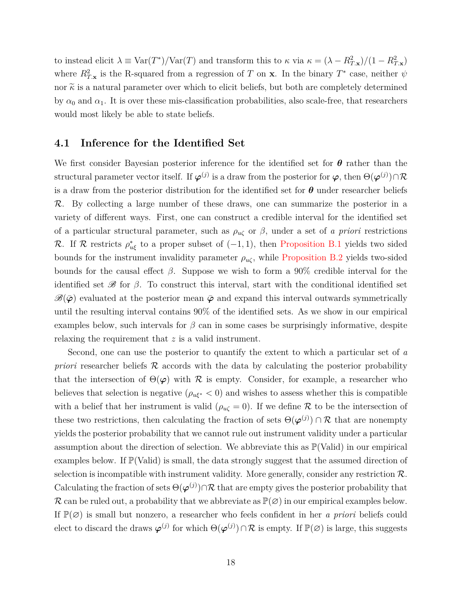to instead elicit  $\lambda \equiv \text{Var}(T^*)/\text{Var}(T)$  and transform this to  $\kappa$  via  $\kappa = (\lambda - R_{T,\mathbf{x}}^2)/(1 - R_{T,\mathbf{x}}^2)$ where  $R_{T,\mathbf{x}}^2$  is the R-squared from a regression of T on **x**. In the binary  $T^*$  case, neither  $\psi$ nor  $\widetilde{\kappa}$  is a natural parameter over which to elicit beliefs, but both are completely determined by  $\alpha_0$  and  $\alpha_1$ . It is over these mis-classification probabilities, also scale-free, that researchers would most likely be able to state beliefs.

#### <span id="page-18-0"></span>**4.1 Inference for the Identified Set**

We first consider Bayesian posterior inference for the identified set for  $\theta$  rather than the structural parameter vector itself. If  $\varphi^{(j)}$  is a draw from the posterior for  $\varphi$ , then  $\Theta(\varphi^{(j)}) \cap \mathcal{R}$ is a draw from the posterior distribution for the identified set for  $\theta$  under researcher beliefs R. By collecting a large number of these draws, one can summarize the posterior in a variety of different ways. First, one can construct a credible interval for the identified set of a particular structural parameter, such as  $\rho_{u\zeta}$  or  $\beta$ , under a set of *a priori* restrictions R. If R restricts  $\rho_{u\xi}^*$  to a proper subset of  $(-1,1)$ , then [Proposition B.1](#page-45-0) yields two sided bounds for the instrument invalidity parameter  $\rho_{u\zeta}$ , while [Proposition B.2](#page-46-0) yields two-sided bounds for the causal effect  $\beta$ . Suppose we wish to form a 90% credible interval for the identified set  $\mathscr B$  for  $\beta$ . To construct this interval, start with the conditional identified set  $\mathscr{B}(\bar{\varphi})$  evaluated at the posterior mean  $\bar{\varphi}$  and expand this interval outwards symmetrically until the resulting interval contains 90% of the identified sets. As we show in our empirical examples below, such intervals for  $\beta$  can in some cases be surprisingly informative, despite relaxing the requirement that z is a valid instrument.

Second, one can use the posterior to quantify the extent to which a particular set of *a priori* researcher beliefs R accords with the data by calculating the posterior probability that the intersection of  $\Theta(\varphi)$  with R is empty. Consider, for example, a researcher who believes that selection is negative ( $\rho_{u\xi^*}$  < 0) and wishes to assess whether this is compatible with a belief that her instrument is valid ( $\rho_{\mu\zeta} = 0$ ). If we define R to be the intersection of these two restrictions, then calculating the fraction of sets  $\Theta(\varphi^{(j)}) \cap \mathcal{R}$  that are nonempty yields the posterior probability that we cannot rule out instrument validity under a particular assumption about the direction of selection. We abbreviate this as  $\mathbb{P}(Valid)$  in our empirical examples below. If  $\mathbb{P}(\text{Valid})$  is small, the data strongly suggest that the assumed direction of selection is incompatible with instrument validity. More generally, consider any restriction  $\mathcal{R}$ . Calculating the fraction of sets  $\Theta(\varphi^{(j)}) \cap \mathcal{R}$  that are empty gives the posterior probability that R can be ruled out, a probability that we abbreviate as  $\mathbb{P}(\emptyset)$  in our empirical examples below. If P(∅) is small but nonzero, a researcher who feels confident in her *a priori* beliefs could elect to discard the draws  $\varphi^{(j)}$  for which  $\Theta(\varphi^{(j)}) \cap \mathcal{R}$  is empty. If  $\mathbb{P}(\varnothing)$  is large, this suggests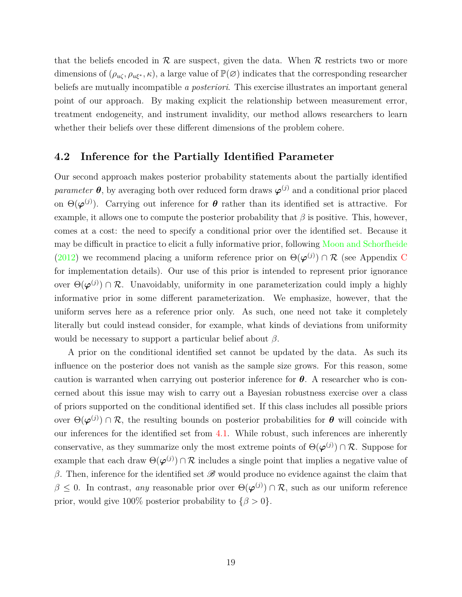that the beliefs encoded in  $\mathcal R$  are suspect, given the data. When  $\mathcal R$  restricts two or more dimensions of  $(\rho_{\mu\zeta}, \rho_{\mu\xi^*}, \kappa)$ , a large value of  $\mathbb{P}(\varnothing)$  indicates that the corresponding researcher beliefs are mutually incompatible *a posteriori*. This exercise illustrates an important general point of our approach. By making explicit the relationship between measurement error, treatment endogeneity, and instrument invalidity, our method allows researchers to learn whether their beliefs over these different dimensions of the problem cohere.

#### <span id="page-19-0"></span>**4.2 Inference for the Partially Identified Parameter**

Our second approach makes posterior probability statements about the partially identified *parameter*  $\theta$ , by averaging both over reduced form draws  $\varphi^{(j)}$  and a conditional prior placed on  $\Theta(\boldsymbol{\varphi}^{(j)})$ . Carrying out inference for  $\boldsymbol{\theta}$  rather than its identified set is attractive. For example, it allows one to compute the posterior probability that  $\beta$  is positive. This, however, comes at a cost: the need to specify a conditional prior over the identified set. Because it may be difficult in practice to elicit a fully informative prior, following [Moon and Schorfheide](#page-35-3) [\(2012\)](#page-35-3) we recommend placing a uniform reference prior on  $\Theta(\varphi^{(j)}) \cap \mathcal{R}$  (see Appendix [C](#page-48-0) for implementation details). Our use of this prior is intended to represent prior ignorance over  $\Theta(\varphi^{(j)}) \cap \mathcal{R}$ . Unavoidably, uniformity in one parameterization could imply a highly informative prior in some different parameterization. We emphasize, however, that the uniform serves here as a reference prior only. As such, one need not take it completely literally but could instead consider, for example, what kinds of deviations from uniformity would be necessary to support a particular belief about  $\beta$ .

A prior on the conditional identified set cannot be updated by the data. As such its influence on the posterior does not vanish as the sample size grows. For this reason, some caution is warranted when carrying out posterior inference for  $\theta$ . A researcher who is concerned about this issue may wish to carry out a Bayesian robustness exercise over a class of priors supported on the conditional identified set. If this class includes all possible priors over  $\Theta(\varphi^{(j)}) \cap \mathcal{R}$ , the resulting bounds on posterior probabilities for  $\theta$  will coincide with our inferences for the identified set from [4.1.](#page-18-0) While robust, such inferences are inherently conservative, as they summarize only the most extreme points of  $\Theta(\varphi^{(j)}) \cap \mathcal{R}$ . Suppose for example that each draw  $\Theta(\varphi^{(j)}) \cap \mathcal{R}$  includes a single point that implies a negative value of β. Then, inference for the identified set  $\mathscr B$  would produce no evidence against the claim that  $\beta \leq 0$ . In contrast, *any* reasonable prior over  $\Theta(\varphi^{(j)}) \cap \mathcal{R}$ , such as our uniform reference prior, would give 100% posterior probability to  $\{\beta > 0\}$ .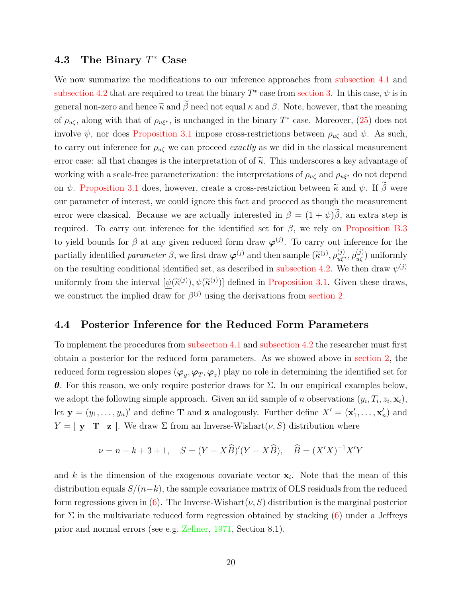## <span id="page-20-0"></span>**4.3 The Binary** T <sup>∗</sup> **Case**

We now summarize the modifications to our inference approaches from [subsection 4.1](#page-18-0) and [subsection 4.2](#page-19-0) that are required to treat the binary  $T^*$  case from [section 3.](#page-14-0) In this case,  $\psi$  is in general non-zero and hence  $\tilde{\kappa}$  and  $\tilde{\beta}$  need not equal  $\kappa$  and  $\beta$ . Note, however, that the meaning of  $\rho_{\mu\zeta}$ , along with that of  $\rho_{\mu\xi^*}$ , is unchanged in the binary  $T^*$  case. Moreover, [\(25\)](#page-12-0) does not involve  $\psi$ , nor does [Proposition 3.1](#page-15-1) impose cross-restrictions between  $\rho_{\mu\zeta}$  and  $\psi$ . As such, to carry out inference for  $\rho_{\mu\zeta}$  we can proceed *exactly* as we did in the classical measurement error case: all that changes is the interpretation of of  $\tilde{\kappa}$ . This underscores a key advantage of working with a scale-free parameterization: the interpretations of  $\rho_{u\zeta}$  and  $\rho_{u\xi^*}$  do not depend on  $\psi$ . [Proposition 3.1](#page-15-1) does, however, create a cross-restriction between  $\tilde{\kappa}$  and  $\psi$ . If  $\beta$  were our parameter of interest, we could ignore this fact and proceed as though the measurement error were classical. Because we are actually interested in  $\beta = (1 + \psi)\tilde{\beta}$ , an extra step is required. To carry out inference for the identified set for  $\beta$ , we rely on [Proposition B.3](#page-47-0) to yield bounds for  $\beta$  at any given reduced form draw  $\varphi^{(j)}$ . To carry out inference for the partially identified *parameter*  $\beta$ , we first draw  $\varphi^{(j)}$  and then sample  $(\widetilde{\kappa}^{(j)}, \rho_{u\xi^*}^{(j)}, \rho_{u\zeta}^{(j)})$  uniformly on the resulting conditional identified set, as described in [subsection 4.2.](#page-19-0) We then draw  $\psi^{(j)}$ uniformly from the interval  $[\psi(\tilde{\kappa}^{(j)}), \overline{\psi}(\tilde{\kappa}^{(j)})]$  defined in [Proposition 3.1.](#page-15-1) Given these draws, we construct the implied draw for  $\beta^{(j)}$  using the derivations from [section 2.](#page-5-0)

#### <span id="page-20-1"></span>**4.4 Posterior Inference for the Reduced Form Parameters**

To implement the procedures from [subsection 4.1](#page-18-0) and [subsection 4.2](#page-19-0) the researcher must first obtain a posterior for the reduced form parameters. As we showed above in [section 2,](#page-5-0) the reduced form regression slopes  $(\varphi_y, \varphi_T, \varphi_z)$  play no role in determining the identified set for θ. For this reason, we only require posterior draws for Σ. In our empirical examples below, we adopt the following simple approach. Given an iid sample of n observations  $(y_i, T_i, z_i, \mathbf{x}_i)$ , let  $\mathbf{y} = (y_1, \ldots, y_n)'$  and define **T** and **z** analogously. Further define  $X' = (\mathbf{x}'_1, \ldots, \mathbf{x}'_n)$  and  $Y = [\mathbf{y} \mathbf{T} \mathbf{z}]$ . We draw  $\Sigma$  from an Inverse-Wishart $(\nu, S)$  distribution where

$$
\nu = n - k + 3 + 1
$$
,  $S = (Y - X\widehat{B})'(Y - X\widehat{B})$ ,  $\widehat{B} = (X'X)^{-1}X'Y$ 

and k is the dimension of the exogenous covariate vector  $x_i$ . Note that the mean of this distribution equals  $S/(n-k)$ , the sample covariance matrix of OLS residuals from the reduced form regressions given in [\(6\)](#page-8-3). The Inverse-Wishart $(\nu, S)$  distribution is the marginal posterior for  $\Sigma$  in the multivariate reduced form regression obtained by stacking [\(6\)](#page-8-3) under a Jeffreys prior and normal errors (see e.g. [Zellner,](#page-35-12) [1971,](#page-35-12) Section 8.1).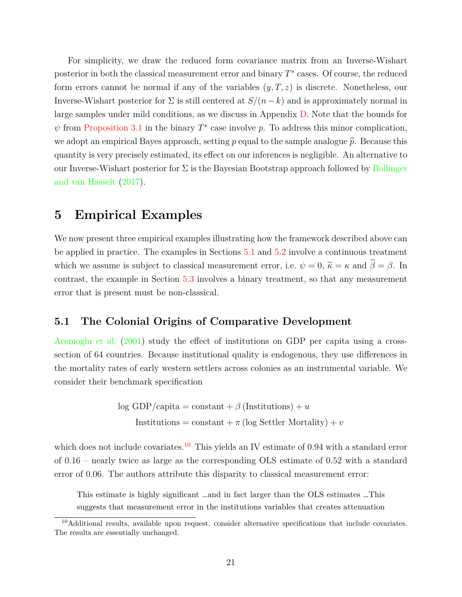For simplicity, we draw the reduced form covariance matrix from an Inverse-Wishart posterior in both the classical measurement error and binary  $T^*$  cases. Of course, the reduced form errors cannot be normal if any of the variables  $(y, T, z)$  is discrete. Nonetheless, our Inverse-Wishart posterior for  $\Sigma$  is still centered at  $S/(n-k)$  and is approximately normal in large samples under mild conditions, as we discuss in Appendix [D.](#page-49-0) Note that the bounds for  $\psi$  from [Proposition 3.1](#page-15-1) in the binary  $T^*$  case involve p. To address this minor complication, we adopt an empirical Bayes approach, setting p equal to the sample analogue  $\hat{p}$ . Because this quantity is very precisely estimated, its effect on our inferences is negligible. An alternative to our Inverse-Wishart posterior for  $\Sigma$  is the Bayesian Bootstrap approach followed by [Bollinger](#page-34-7) [and van Hasselt](#page-34-7) [\(2017\)](#page-34-7).

## <span id="page-21-0"></span>**5 Empirical Examples**

We now present three empirical examples illustrating how the framework described above can be applied in practice. The examples in Sections [5.1](#page-21-1) and [5.2](#page-26-0) involve a continuous treatment which we assume is subject to classical measurement error, i.e.  $\psi = 0$ ,  $\tilde{\kappa} = \kappa$  and  $\tilde{\beta} = \beta$ . In contrast, the example in Section [5.3](#page-29-0) involves a binary treatment, so that any measurement error that is present must be non-classical.

#### <span id="page-21-1"></span>**5.1 The Colonial Origins of Comparative Development**

[Acemoglu et al.](#page-33-7) [\(2001\)](#page-33-7) study the effect of institutions on GDP per capita using a crosssection of 64 countries. Because institutional quality is endogenous, they use differences in the mortality rates of early western settlers across colonies as an instrumental variable. We consider their benchmark specification

> log GDP/capita = constant +  $\beta$  (Institutions) + u Institutions = constant +  $\pi$  (log Settler Mortality) + v

which does not include covariates.<sup>[10](#page-21-2)</sup> This yields an IV estimate of 0.94 with a standard error of 0.16 – nearly twice as large as the corresponding OLS estimate of 0.52 with a standard error of 0.06. The authors attribute this disparity to classical measurement error:

This estimate is highly significant …and in fact larger than the OLS estimates …This suggests that measurement error in the institutions variables that creates attenuation

<span id="page-21-2"></span><sup>&</sup>lt;sup>10</sup>Additional results, available upon request, consider alternative specifications that include covariates. The results are essentially unchanged.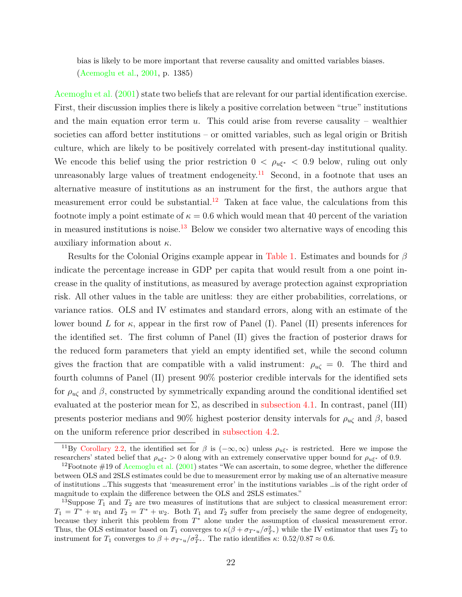bias is likely to be more important that reverse causality and omitted variables biases. [\(Acemoglu et al.,](#page-33-7) [2001,](#page-33-7) p. 1385)

[Acemoglu et al.](#page-33-7) [\(2001\)](#page-33-7) state two beliefs that are relevant for our partial identification exercise. First, their discussion implies there is likely a positive correlation between "true" institutions and the main equation error term  $u$ . This could arise from reverse causality – wealthier societies can afford better institutions – or omitted variables, such as legal origin or British culture, which are likely to be positively correlated with present-day institutional quality. We encode this belief using the prior restriction  $0 < \rho_{u\xi^*} < 0.9$  below, ruling out only unreasonably large values of treatment endogeneity.<sup>[11](#page-22-0)</sup> Second, in a footnote that uses an alternative measure of institutions as an instrument for the first, the authors argue that measurement error could be substantial.<sup>[12](#page-22-1)</sup> Taken at face value, the calculations from this footnote imply a point estimate of  $\kappa = 0.6$  which would mean that 40 percent of the variation in measured institutions is noise.<sup>[13](#page-22-2)</sup> Below we consider two alternative ways of encoding this auxiliary information about  $\kappa$ .

Results for the Colonial Origins example appear in [Table 1.](#page-23-0) Estimates and bounds for  $\beta$ indicate the percentage increase in GDP per capita that would result from a one point increase in the quality of institutions, as measured by average protection against expropriation risk. All other values in the table are unitless: they are either probabilities, correlations, or variance ratios. OLS and IV estimates and standard errors, along with an estimate of the lower bound L for  $\kappa$ , appear in the first row of Panel (I). Panel (II) presents inferences for the identified set. The first column of Panel (II) gives the fraction of posterior draws for the reduced form parameters that yield an empty identified set, while the second column gives the fraction that are compatible with a valid instrument:  $\rho_{u\zeta} = 0$ . The third and fourth columns of Panel (II) present 90% posterior credible intervals for the identified sets for  $\rho_{u\zeta}$  and  $\beta$ , constructed by symmetrically expanding around the conditional identified set evaluated at the posterior mean for  $\Sigma$ , as described in [subsection 4.1.](#page-18-0) In contrast, panel (III) presents posterior medians and 90% highest posterior density intervals for  $\rho_{u\zeta}$  and  $\beta$ , based on the uniform reference prior described in [subsection 4.2.](#page-19-0)

<span id="page-22-0"></span><sup>&</sup>lt;sup>11</sup>By [Corollary 2.2,](#page-13-2) the identified set for  $\beta$  is  $(-\infty, \infty)$  unless  $\rho_{u\xi^*}$  is restricted. Here we impose the researchers' stated belief that  $\rho_{u\xi^*} > 0$  along with an extremely conservative upper bound for  $\rho_{u\xi^*}$  of 0.9.

<span id="page-22-1"></span><sup>&</sup>lt;sup>12</sup>Footnote  $\#19$  of [Acemoglu et al.](#page-33-7) [\(2001\)](#page-33-7) states "We can ascertain, to some degree, whether the difference between OLS and 2SLS estimates could be due to measurement error by making use of an alternative measure of institutions …This suggests that 'measurement error' in the institutions variables …is of the right order of magnitude to explain the difference between the OLS and 2SLS estimates."

<span id="page-22-2"></span><sup>&</sup>lt;sup>13</sup>Suppose  $T_1$  and  $T_2$  are two measures of institutions that are subject to classical measurement error:  $T_1 = T^* + w_1$  and  $T_2 = T^* + w_2$ . Both  $T_1$  and  $T_2$  suffer from precisely the same degree of endogeneity, because they inherit this problem from  $T^*$  alone under the assumption of classical measurement error. Thus, the OLS estimator based on  $T_1$  converges to  $\kappa(\beta + \sigma_{T^*u}/\sigma_{T^*}^2)$  while the IV estimator that uses  $T_2$  to instrument for  $T_1$  converges to  $\beta + \sigma_{T^*u}/\sigma_{T^*}^2$ . The ratio identifies  $\kappa: 0.52/0.87 \approx 0.6$ .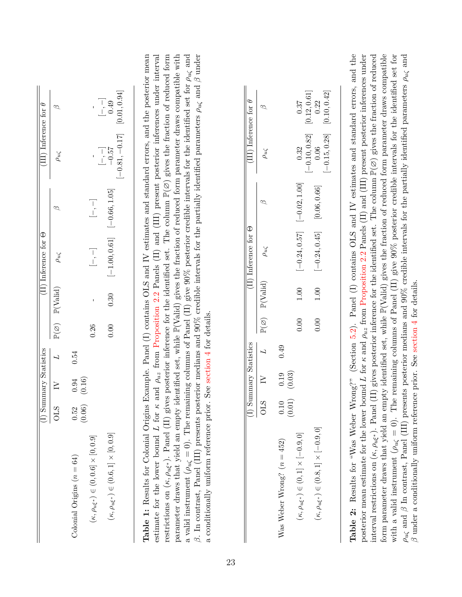<span id="page-23-0"></span>

| $\beta$ . In contrast, Panel (III) presents posterior medians and 90% credible intervals for the partially identified parameters $\rho_{u\zeta}$ and $\beta$ under<br>restrictions on $(\kappa, \rho_{u\xi^*})$ . Panel (II) gives posterior inference for the identified set. The column $\mathbb{P}(\emptyset)$ gives the fraction of reduced form<br>parameter draws that yield an empty identified set, while $\mathbb{P}(Vali)$ gives the fraction of reduced form parameter draws compatible with<br>a valid instrument ( $\rho_{u\zeta} = 0$ ). The remaining columns of Panel (II) give 90% posterior credible intervals for the identified set for $\rho_{u\zeta}$ and<br>Table 1: Results for Colonial Origins Example. Panel (I) contains OLS and IV estimates and standard errors, and the posterior mean<br>estimate for the lower bound L for $\kappa$ and $\rho_{uz}$ from Proposition 2.2 Panels (II) and (III) present posterior inferences under interval<br>$(II)$ Inference for $\Theta$<br>$\left[-1.00,0.61\right]$<br>$\rho_{u\zeta}$<br>$[-, -]$<br>$\rho_{u\zeta}$<br>$\mathbb{P}(Valid)$<br>$1.00$<br>$\mathbb{P}(Valid)$<br>0.30<br>$\mathbf{I}$<br>a conditionally uniform reference prior. See section 4 for details.<br>$\mathbb{P}(\varnothing)$<br>0.00<br>$\mathbb{P}(\varnothing)$<br>0.26<br>0.00<br>(I) Summary Statistics<br>0.49<br>L<br>0.54<br>$\overline{L}$<br>(0.03)<br>0.19<br>$\geq$<br>(0.16)<br>0.94<br>$\geq$<br>(0.01)<br><b>OLS</b><br>0.10<br>(0.06)<br><b>OLS</b><br>0.52<br>$(\kappa,\rho_{u\xi^*})\in(0,1]\times[-0.9,0]$<br>$(\kappa,\rho_{u\xi^*})\in(0.6,1]\times[0,0.9]$<br>$(\kappa,\rho_{u\xi^*})\in(0,0.6]\times[0,0.9]$<br>Was Weber Wrong? $(n = 452)$<br>Colonial Origins $(n = 64)$ | $[-0.81, -0.17]$<br>$\begin{array}{c}[-,0.57] \\ -0.57\end{array}$<br>$\rho_{u\zeta}$<br>$[-0.66, 1.05]$<br>$\begin{bmatrix} - & - \\ - & - \end{bmatrix}$<br>$\varnothing$ | [0.01, 0.94]<br>$\begin{array}{c} -1.49 \\ -0.49 \end{array}$<br>$\varphi$ |
|------------------------------------------------------------------------------------------------------------------------------------------------------------------------------------------------------------------------------------------------------------------------------------------------------------------------------------------------------------------------------------------------------------------------------------------------------------------------------------------------------------------------------------------------------------------------------------------------------------------------------------------------------------------------------------------------------------------------------------------------------------------------------------------------------------------------------------------------------------------------------------------------------------------------------------------------------------------------------------------------------------------------------------------------------------------------------------------------------------------------------------------------------------------------------------------------------------------------------------------------------------------------------------------------------------------------------------------------------------------------------------------------------------------------------------------------------------------------------------------------------------------------------------------------------------------------------------------------------------------------------------------------------------------------------------------------------------------------------------------------------|-----------------------------------------------------------------------------------------------------------------------------------------------------------------------------|----------------------------------------------------------------------------|
|                                                                                                                                                                                                                                                                                                                                                                                                                                                                                                                                                                                                                                                                                                                                                                                                                                                                                                                                                                                                                                                                                                                                                                                                                                                                                                                                                                                                                                                                                                                                                                                                                                                                                                                                                      |                                                                                                                                                                             |                                                                            |
|                                                                                                                                                                                                                                                                                                                                                                                                                                                                                                                                                                                                                                                                                                                                                                                                                                                                                                                                                                                                                                                                                                                                                                                                                                                                                                                                                                                                                                                                                                                                                                                                                                                                                                                                                      |                                                                                                                                                                             |                                                                            |
|                                                                                                                                                                                                                                                                                                                                                                                                                                                                                                                                                                                                                                                                                                                                                                                                                                                                                                                                                                                                                                                                                                                                                                                                                                                                                                                                                                                                                                                                                                                                                                                                                                                                                                                                                      |                                                                                                                                                                             |                                                                            |
|                                                                                                                                                                                                                                                                                                                                                                                                                                                                                                                                                                                                                                                                                                                                                                                                                                                                                                                                                                                                                                                                                                                                                                                                                                                                                                                                                                                                                                                                                                                                                                                                                                                                                                                                                      |                                                                                                                                                                             |                                                                            |
|                                                                                                                                                                                                                                                                                                                                                                                                                                                                                                                                                                                                                                                                                                                                                                                                                                                                                                                                                                                                                                                                                                                                                                                                                                                                                                                                                                                                                                                                                                                                                                                                                                                                                                                                                      |                                                                                                                                                                             |                                                                            |
|                                                                                                                                                                                                                                                                                                                                                                                                                                                                                                                                                                                                                                                                                                                                                                                                                                                                                                                                                                                                                                                                                                                                                                                                                                                                                                                                                                                                                                                                                                                                                                                                                                                                                                                                                      |                                                                                                                                                                             |                                                                            |
|                                                                                                                                                                                                                                                                                                                                                                                                                                                                                                                                                                                                                                                                                                                                                                                                                                                                                                                                                                                                                                                                                                                                                                                                                                                                                                                                                                                                                                                                                                                                                                                                                                                                                                                                                      |                                                                                                                                                                             |                                                                            |
|                                                                                                                                                                                                                                                                                                                                                                                                                                                                                                                                                                                                                                                                                                                                                                                                                                                                                                                                                                                                                                                                                                                                                                                                                                                                                                                                                                                                                                                                                                                                                                                                                                                                                                                                                      |                                                                                                                                                                             |                                                                            |
|                                                                                                                                                                                                                                                                                                                                                                                                                                                                                                                                                                                                                                                                                                                                                                                                                                                                                                                                                                                                                                                                                                                                                                                                                                                                                                                                                                                                                                                                                                                                                                                                                                                                                                                                                      |                                                                                                                                                                             |                                                                            |
|                                                                                                                                                                                                                                                                                                                                                                                                                                                                                                                                                                                                                                                                                                                                                                                                                                                                                                                                                                                                                                                                                                                                                                                                                                                                                                                                                                                                                                                                                                                                                                                                                                                                                                                                                      |                                                                                                                                                                             | (III) Inference for $\theta$                                               |
|                                                                                                                                                                                                                                                                                                                                                                                                                                                                                                                                                                                                                                                                                                                                                                                                                                                                                                                                                                                                                                                                                                                                                                                                                                                                                                                                                                                                                                                                                                                                                                                                                                                                                                                                                      | $\rho_{u\zeta}$<br>$\varnothing$                                                                                                                                            | $\varphi$                                                                  |
|                                                                                                                                                                                                                                                                                                                                                                                                                                                                                                                                                                                                                                                                                                                                                                                                                                                                                                                                                                                                                                                                                                                                                                                                                                                                                                                                                                                                                                                                                                                                                                                                                                                                                                                                                      |                                                                                                                                                                             |                                                                            |
|                                                                                                                                                                                                                                                                                                                                                                                                                                                                                                                                                                                                                                                                                                                                                                                                                                                                                                                                                                                                                                                                                                                                                                                                                                                                                                                                                                                                                                                                                                                                                                                                                                                                                                                                                      | 0.32<br>$[-0.24, 0.57]$ $[-0.02, 1.00]$                                                                                                                                     | 0.37                                                                       |
| 0.00<br>$(\kappa,\rho_{u\xi^*})\in(0.8,1]\times[-0.9,0]$                                                                                                                                                                                                                                                                                                                                                                                                                                                                                                                                                                                                                                                                                                                                                                                                                                                                                                                                                                                                                                                                                                                                                                                                                                                                                                                                                                                                                                                                                                                                                                                                                                                                                             | $[-0.15, 0.28]$<br>$[-0.10, 0.82]$<br>[0.06, 0.66]<br>$[-0.24, 0.45]$<br>1.00                                                                                               | [0.10, 0.42]<br>[0.12, 0.61]<br>0.06                                       |
|                                                                                                                                                                                                                                                                                                                                                                                                                                                                                                                                                                                                                                                                                                                                                                                                                                                                                                                                                                                                                                                                                                                                                                                                                                                                                                                                                                                                                                                                                                                                                                                                                                                                                                                                                      |                                                                                                                                                                             |                                                                            |

form parameter draws that yield an empty identified set, while  $\mathbb{P}(Valid)$  gives the fraction of reduced form parameter draws compatible with a valid increment  $(a \leq 0)$ . The version columns of Panol (II) gives  $00\%$  pos with a valid instrument ( $\rho_{u\zeta} = 0$ ). The remaining columns of Panel (II) give 90% posterior credible intervals for the identified set for  $\zeta$  and  $\zeta$  is a set for the identified set for  $\zeta$  is a set for  $\zeta$  in  $\rho_{u\zeta}$  and β In contrast, Panel (III) presents posterior medians and 90% credible intervals for the partially identified parameters  $\rho_{u\zeta}$  and β undow a conditionally intervally identified parameters  $\rho_{u\zeta}$  a

with a valid instrument ( $\rho_{u\zeta} = 0$ ). The remaining columns of Panel (II) give 90% posterior credible intervals for the identified set for  $\rho_{u\zeta}$  and  $\beta$  In contrast, Panel (III) presents posterior medians and 90%

 $\beta$  under a conditionally uniform reference prior. See section 4 for details.  $\beta$  under a conditionally uniform reference prior. See [section](#page-17-0) 4 for details.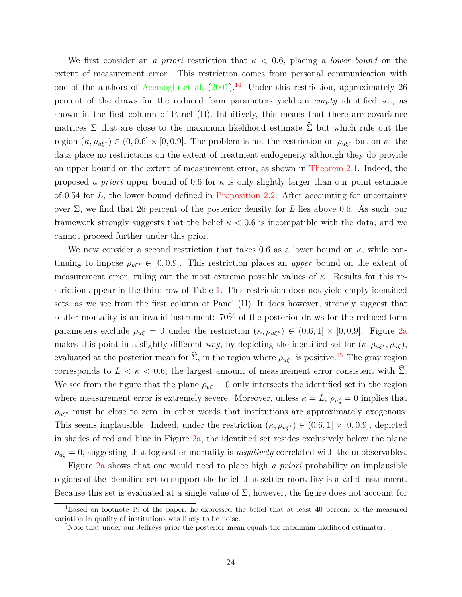We first consider an *a priori* restriction that  $\kappa < 0.6$ , placing a *lower bound* on the extent of measurement error. This restriction comes from personal communication with one of the authors of [Acemoglu et al.](#page-33-7)  $(2001)^{14}$  $(2001)^{14}$  $(2001)^{14}$  $(2001)^{14}$  Under this restriction, approximately 26 percent of the draws for the reduced form parameters yield an *empty* identified set, as shown in the first column of Panel (II). Intuitively, this means that there are covariance matrices  $\Sigma$  that are close to the maximum likelihood estimate  $\widehat{\Sigma}$  but which rule out the region  $(\kappa, \rho_{\mu\xi^*}) \in (0, 0.6] \times [0, 0.9]$ . The problem is not the restriction on  $\rho_{\mu\xi^*}$  but on  $\kappa$ : the data place no restrictions on the extent of treatment endogeneity although they do provide an upper bound on the extent of measurement error, as shown in [Theorem 2.1.](#page-13-0) Indeed, the proposed *a priori* upper bound of 0.6 for  $\kappa$  is only slightly larger than our point estimate of 0.54 for L, the lower bound defined in [Proposition 2.2.](#page-12-2) After accounting for uncertainty over Σ, we find that 26 percent of the posterior density for L lies above 0.6. As such, our framework strongly suggests that the belief  $\kappa < 0.6$  is incompatible with the data, and we cannot proceed further under this prior.

We now consider a second restriction that takes 0.6 as a lower bound on  $\kappa$ , while continuing to impose  $\rho_{u\xi^*} \in [0, 0.9]$ . This restriction places an *upper* bound on the extent of measurement error, ruling out the most extreme possible values of  $\kappa$ . Results for this restriction appear in the third row of Table [1.](#page-23-0) This restriction does not yield empty identified sets, as we see from the first column of Panel (II). It does however, strongly suggest that settler mortality is an invalid instrument: 70% of the posterior draws for the reduced form parameters exclude  $\rho_{\mu\zeta} = 0$  under the restriction  $(\kappa, \rho_{\mu\xi^*}) \in (0.6, 1] \times [0, 0.9]$ . Figure [2a](#page-25-0) makes this point in a slightly different way, by depicting the identified set for  $(\kappa, \rho_{u\ell^*}, \rho_{u\ell}),$ evaluated at the posterior mean for  $\hat{\Sigma}$ , in the region where  $\rho_{u\xi^*}$  is positive.<sup>[15](#page-24-1)</sup> The gray region corresponds to  $L < \kappa < 0.6$ , the largest amount of measurement error consistent with  $\hat{\Sigma}$ . We see from the figure that the plane  $\rho_{u\zeta} = 0$  only intersects the identified set in the region where measurement error is extremely severe. Moreover, unless  $\kappa = L$ ,  $\rho_{u\zeta} = 0$  implies that  $\rho_{u\xi^*}$  must be close to zero, in other words that institutions are approximately exogenous. This seems implausible. Indeed, under the restriction  $(\kappa, \rho_{u\xi^*}) \in (0.6, 1] \times [0, 0.9]$ , depicted in shades of red and blue in Figure [2a,](#page-25-0) the identified set resides exclusively below the plane  $\rho_{\mu\zeta} = 0$ , suggesting that log settler mortality is *negatively* correlated with the unobservables.

Figure [2a](#page-25-0) shows that one would need to place high *a priori* probability on implausible regions of the identified set to support the belief that settler mortality is a valid instrument. Because this set is evaluated at a single value of  $\Sigma$ , however, the figure does not account for

<span id="page-24-0"></span><sup>&</sup>lt;sup>14</sup>Based on footnote 19 of the paper, he expressed the belief that at least 40 percent of the measured variation in quality of institutions was likely to be noise.

<span id="page-24-1"></span><sup>&</sup>lt;sup>15</sup>Note that under our Jeffreys prior the posterior mean equals the maximum likelihood estimator.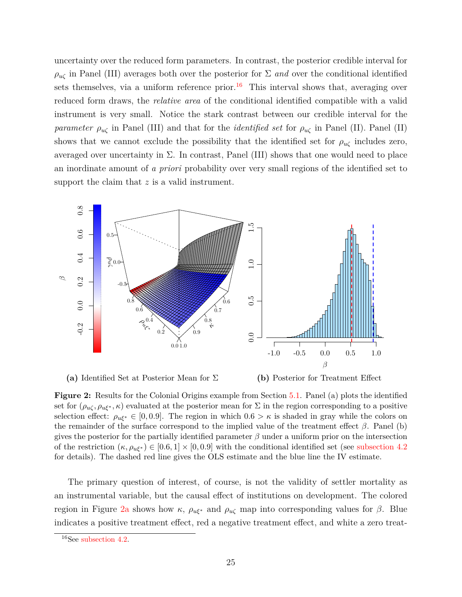uncertainty over the reduced form parameters. In contrast, the posterior credible interval for  $\rho_{\mu\zeta}$  in Panel (III) averages both over the posterior for  $\Sigma$  *and* over the conditional identified sets themselves, via a uniform reference prior.<sup>[16](#page-25-1)</sup> This interval shows that, averaging over reduced form draws, the *relative area* of the conditional identified compatible with a valid instrument is very small. Notice the stark contrast between our credible interval for the *parameter*  $\rho_{u\zeta}$  in Panel (III) and that for the *identified set* for  $\rho_{u\zeta}$  in Panel (II). Panel (II) shows that we cannot exclude the possibility that the identified set for  $\rho_{u\zeta}$  includes zero, averaged over uncertainty in  $\Sigma$ . In contrast, Panel (III) shows that one would need to place an inordinate amount of *a priori* probability over very small regions of the identified set to support the claim that  $z$  is a valid instrument.

<span id="page-25-0"></span>

**(a)** Identified Set at Posterior Mean for Σ **(b)** Posterior for Treatment Effect

**Figure 2:** Results for the Colonial Origins example from Section [5.1.](#page-21-1) Panel (a) plots the identified set for  $(\rho_{u\zeta}, \rho_{u\xi^*}, \kappa)$  evaluated at the posterior mean for  $\Sigma$  in the region corresponding to a positive selection effect:  $\rho_{u\xi^*} \in [0, 0.9]$ . The region in which  $0.6 > \kappa$  is shaded in gray while the colors on the remainder of the surface correspond to the implied value of the treatment effect  $\beta$ . Panel (b) gives the posterior for the partially identified parameter  $\beta$  under a uniform prior on the intersection of the restriction  $(\kappa, \rho_{u\xi^*}) \in [0.6, 1] \times [0, 0.9]$  with the conditional identified set (see [subsection 4.2](#page-19-0)) for details). The dashed red line gives the OLS estimate and the blue line the IV estimate.

The primary question of interest, of course, is not the validity of settler mortality as an instrumental variable, but the causal effect of institutions on development. The colored region in Figure [2a](#page-25-0) shows how  $\kappa$ ,  $\rho_{u\xi^*}$  and  $\rho_{u\zeta}$  map into corresponding values for β. Blue indicates a positive treatment effect, red a negative treatment effect, and white a zero treat-

<span id="page-25-1"></span><sup>16</sup>See [subsection 4.2.](#page-19-0)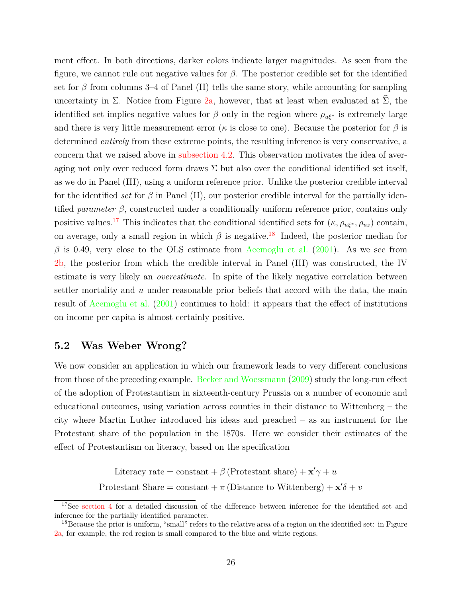ment effect. In both directions, darker colors indicate larger magnitudes. As seen from the figure, we cannot rule out negative values for  $\beta$ . The posterior credible set for the identified set for  $\beta$  from columns 3–4 of Panel (II) tells the same story, while accounting for sampling uncertainty in  $\Sigma$ . Notice from Figure [2a,](#page-25-0) however, that at least when evaluated at  $\widehat{\Sigma}$ , the identified set implies negative values for  $\beta$  only in the region where  $\rho_{u\xi^*}$  is extremely large and there is very little measurement error ( $\kappa$  is close to one). Because the posterior for  $\beta$  is determined *entirely* from these extreme points, the resulting inference is very conservative, a concern that we raised above in [subsection 4.2.](#page-19-0) This observation motivates the idea of averaging not only over reduced form draws  $\Sigma$  but also over the conditional identified set itself, as we do in Panel (III), using a uniform reference prior. Unlike the posterior credible interval for the identified *set* for  $\beta$  in Panel (II), our posterior credible interval for the partially identified *parameter* β, constructed under a conditionally uniform reference prior, contains only positive values.<sup>[17](#page-26-1)</sup> This indicates that the conditional identified sets for  $(\kappa, \rho_{u\xi^*}, \rho_{uz})$  contain, on average, only a small region in which  $\beta$  is negative.<sup>[18](#page-26-2)</sup> Indeed, the posterior median for  $\beta$  is 0.49, very close to the OLS estimate from [Acemoglu et al.](#page-33-7) [\(2001\)](#page-33-7). As we see from [2b,](#page-25-0) the posterior from which the credible interval in Panel (III) was constructed, the IV estimate is very likely an *overestimate*. In spite of the likely negative correlation between settler mortality and  $u$  under reasonable prior beliefs that accord with the data, the main result of [Acemoglu et al.](#page-33-7) [\(2001\)](#page-33-7) continues to hold: it appears that the effect of institutions on income per capita is almost certainly positive.

### <span id="page-26-0"></span>**5.2 Was Weber Wrong?**

We now consider an application in which our framework leads to very different conclusions from those of the preceding example. [Becker and Woessmann](#page-33-8) [\(2009\)](#page-33-8) study the long-run effect of the adoption of Protestantism in sixteenth-century Prussia on a number of economic and educational outcomes, using variation across counties in their distance to Wittenberg – the city where Martin Luther introduced his ideas and preached – as an instrument for the Protestant share of the population in the 1870s. Here we consider their estimates of the effect of Protestantism on literacy, based on the specification

Literacy rate = constant +  $\beta$  (Protestant share) +  $\mathbf{x}'\gamma + u$ 

Protestant Share = constant +  $\pi$  (Distance to Wittenberg) +  $\mathbf{x}'\delta$  + v

<span id="page-26-1"></span><sup>&</sup>lt;sup>17</sup>See [section 4](#page-17-0) for a detailed discussion of the difference between inference for the identified set and inference for the partially identified parameter.

<span id="page-26-2"></span> $18\text{ Because the prior is uniform, "small" refers to the relative area of a region on the identified set: in Figure$ [2a,](#page-25-0) for example, the red region is small compared to the blue and white regions.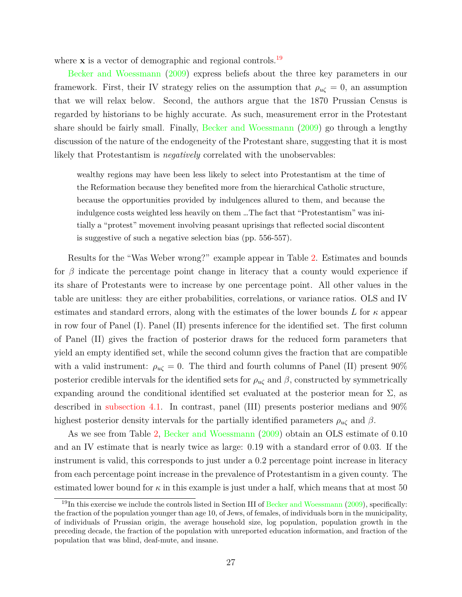where  $x$  is a vector of demographic and regional controls.<sup>[19](#page-27-0)</sup>

[Becker and Woessmann](#page-33-8) [\(2009\)](#page-33-8) express beliefs about the three key parameters in our framework. First, their IV strategy relies on the assumption that  $\rho_{u\zeta} = 0$ , an assumption that we will relax below. Second, the authors argue that the 1870 Prussian Census is regarded by historians to be highly accurate. As such, measurement error in the Protestant share should be fairly small. Finally, [Becker and Woessmann](#page-33-8) [\(2009\)](#page-33-8) go through a lengthy discussion of the nature of the endogeneity of the Protestant share, suggesting that it is most likely that Protestantism is *negatively* correlated with the unobservables:

wealthy regions may have been less likely to select into Protestantism at the time of the Reformation because they benefited more from the hierarchical Catholic structure, because the opportunities provided by indulgences allured to them, and because the indulgence costs weighted less heavily on them …The fact that "Protestantism" was initially a "protest" movement involving peasant uprisings that reflected social discontent is suggestive of such a negative selection bias (pp. 556-557).

Results for the "Was Weber wrong?" example appear in Table [2.](#page-23-0) Estimates and bounds for  $\beta$  indicate the percentage point change in literacy that a county would experience if its share of Protestants were to increase by one percentage point. All other values in the table are unitless: they are either probabilities, correlations, or variance ratios. OLS and IV estimates and standard errors, along with the estimates of the lower bounds L for  $\kappa$  appear in row four of Panel (I). Panel (II) presents inference for the identified set. The first column of Panel (II) gives the fraction of posterior draws for the reduced form parameters that yield an empty identified set, while the second column gives the fraction that are compatible with a valid instrument:  $\rho_{\mu\zeta} = 0$ . The third and fourth columns of Panel (II) present 90% posterior credible intervals for the identified sets for  $\rho_{u\zeta}$  and  $\beta$ , constructed by symmetrically expanding around the conditional identified set evaluated at the posterior mean for  $\Sigma$ , as described in [subsection 4.1.](#page-18-0) In contrast, panel (III) presents posterior medians and 90% highest posterior density intervals for the partially identified parameters  $\rho_{u\zeta}$  and  $\beta$ .

As we see from Table [2,](#page-23-0) [Becker and Woessmann](#page-33-8) [\(2009\)](#page-33-8) obtain an OLS estimate of 0.10 and an IV estimate that is nearly twice as large: 0.19 with a standard error of 0.03. If the instrument is valid, this corresponds to just under a 0.2 percentage point increase in literacy from each percentage point increase in the prevalence of Protestantism in a given county. The estimated lower bound for  $\kappa$  in this example is just under a half, which means that at most 50

<span id="page-27-0"></span><sup>&</sup>lt;sup>19</sup>In this exercise we include the controls listed in Section III of [Becker and Woessmann](#page-33-8) [\(2009\)](#page-33-8), specifically: the fraction of the population younger than age 10, of Jews, of females, of individuals born in the municipality, of individuals of Prussian origin, the average household size, log population, population growth in the preceding decade, the fraction of the population with unreported education information, and fraction of the population that was blind, deaf-mute, and insane.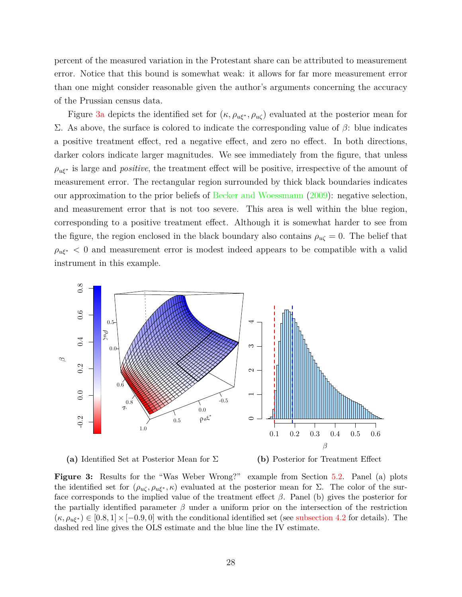percent of the measured variation in the Protestant share can be attributed to measurement error. Notice that this bound is somewhat weak: it allows for far more measurement error than one might consider reasonable given the author's arguments concerning the accuracy of the Prussian census data.

Figure [3a](#page-28-0) depicts the identified set for  $(\kappa, \rho_{u\xi^*}, \rho_{u\zeta})$  evaluated at the posterior mean for Σ. As above, the surface is colored to indicate the corresponding value of β: blue indicates a positive treatment effect, red a negative effect, and zero no effect. In both directions, darker colors indicate larger magnitudes. We see immediately from the figure, that unless  $\rho_{u\xi^*}$  is large and *positive*, the treatment effect will be positive, irrespective of the amount of measurement error. The rectangular region surrounded by thick black boundaries indicates our approximation to the prior beliefs of [Becker and Woessmann](#page-33-8) [\(2009\)](#page-33-8): negative selection, and measurement error that is not too severe. This area is well within the blue region, corresponding to a positive treatment effect. Although it is somewhat harder to see from the figure, the region enclosed in the black boundary also contains  $\rho_{u\zeta} = 0$ . The belief that  $\rho_{u\xi^*}$  < 0 and measurement error is modest indeed appears to be compatible with a valid instrument in this example.

<span id="page-28-0"></span>

**(a)** Identified Set at Posterior Mean for Σ

**(b)** Posterior for Treatment Effect

**Figure 3:** Results for the "Was Weber Wrong?" example from Section [5.2.](#page-26-0) Panel (a) plots the identified set for  $(\rho_{u\zeta}, \rho_{u\xi^*}, \kappa)$  evaluated at the posterior mean for  $\Sigma$ . The color of the surface corresponds to the implied value of the treatment effect  $\beta$ . Panel (b) gives the posterior for the partially identified parameter  $\beta$  under a uniform prior on the intersection of the restriction  $(\kappa, \rho_{u\xi^*}) \in [0.8, 1] \times [-0.9, 0]$  with the conditional identified set (see [subsection 4.2](#page-19-0) for details). The dashed red line gives the OLS estimate and the blue line the IV estimate.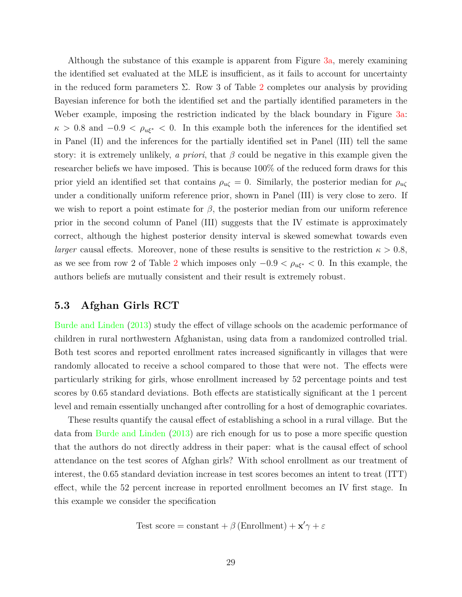Although the substance of this example is apparent from Figure [3a,](#page-28-0) merely examining the identified set evaluated at the MLE is insufficient, as it fails to account for uncertainty in the reduced form parameters  $\Sigma$ . Row 3 of Table [2](#page-23-0) completes our analysis by providing Bayesian inference for both the identified set and the partially identified parameters in the Weber example, imposing the restriction indicated by the black boundary in Figure [3a:](#page-28-0)  $\kappa > 0.8$  and  $-0.9 < \rho_{\mu\xi^*} < 0$ . In this example both the inferences for the identified set in Panel (II) and the inferences for the partially identified set in Panel (III) tell the same story: it is extremely unlikely, *a priori*, that  $\beta$  could be negative in this example given the researcher beliefs we have imposed. This is because 100% of the reduced form draws for this prior yield an identified set that contains  $\rho_{u\zeta} = 0$ . Similarly, the posterior median for  $\rho_{u\zeta}$ under a conditionally uniform reference prior, shown in Panel (III) is very close to zero. If we wish to report a point estimate for  $\beta$ , the posterior median from our uniform reference prior in the second column of Panel (III) suggests that the IV estimate is approximately correct, although the highest posterior density interval is skewed somewhat towards even *larger* causal effects. Moreover, none of these results is sensitive to the restriction  $\kappa > 0.8$ , as we see from row [2](#page-23-0) of Table 2 which imposes only  $-0.9 < \rho_{u\xi^*} < 0$ . In this example, the authors beliefs are mutually consistent and their result is extremely robust.

#### <span id="page-29-0"></span>**5.3 Afghan Girls RCT**

[Burde and Linden](#page-34-14) [\(2013\)](#page-34-14) study the effect of village schools on the academic performance of children in rural northwestern Afghanistan, using data from a randomized controlled trial. Both test scores and reported enrollment rates increased significantly in villages that were randomly allocated to receive a school compared to those that were not. The effects were particularly striking for girls, whose enrollment increased by 52 percentage points and test scores by 0.65 standard deviations. Both effects are statistically significant at the 1 percent level and remain essentially unchanged after controlling for a host of demographic covariates.

These results quantify the causal effect of establishing a school in a rural village. But the data from [Burde and Linden](#page-34-14) [\(2013\)](#page-34-14) are rich enough for us to pose a more specific question that the authors do not directly address in their paper: what is the causal effect of school attendance on the test scores of Afghan girls? With school enrollment as our treatment of interest, the 0.65 standard deviation increase in test scores becomes an intent to treat (ITT) effect, while the 52 percent increase in reported enrollment becomes an IV first stage. In this example we consider the specification

Test score = constant + 
$$
\beta
$$
 (Enrollment) +  $\mathbf{x}'\gamma + \varepsilon$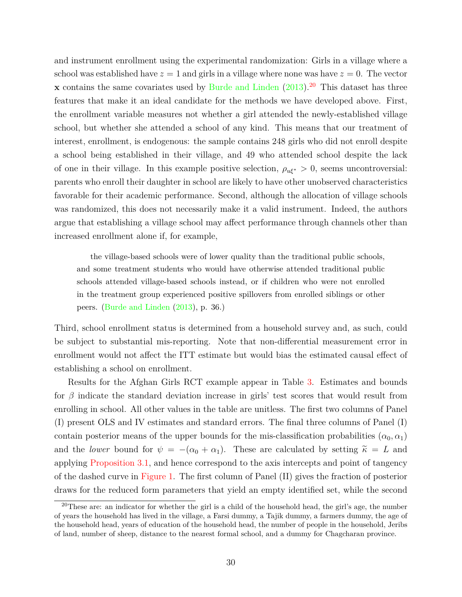and instrument enrollment using the experimental randomization: Girls in a village where a school was established have  $z = 1$  and girls in a village where none was have  $z = 0$ . The vector x contains the same covariates used by [Burde and Linden](#page-34-14)  $(2013).^{20}$  $(2013).^{20}$  $(2013).^{20}$  $(2013).^{20}$  This dataset has three features that make it an ideal candidate for the methods we have developed above. First, the enrollment variable measures not whether a girl attended the newly-established village school, but whether she attended a school of any kind. This means that our treatment of interest, enrollment, is endogenous: the sample contains 248 girls who did not enroll despite a school being established in their village, and 49 who attended school despite the lack of one in their village. In this example positive selection,  $\rho_{u\xi^*} > 0$ , seems uncontroversial: parents who enroll their daughter in school are likely to have other unobserved characteristics favorable for their academic performance. Second, although the allocation of village schools was randomized, this does not necessarily make it a valid instrument. Indeed, the authors argue that establishing a village school may affect performance through channels other than increased enrollment alone if, for example,

the village-based schools were of lower quality than the traditional public schools, and some treatment students who would have otherwise attended traditional public schools attended village-based schools instead, or if children who were not enrolled in the treatment group experienced positive spillovers from enrolled siblings or other peers. [\(Burde and Linden](#page-34-14) [\(2013\)](#page-34-14), p. 36.)

Third, school enrollment status is determined from a household survey and, as such, could be subject to substantial mis-reporting. Note that non-differential measurement error in enrollment would not affect the ITT estimate but would bias the estimated causal effect of establishing a school on enrollment.

Results for the Afghan Girls RCT example appear in Table [3.](#page-31-0) Estimates and bounds for  $\beta$  indicate the standard deviation increase in girls' test scores that would result from enrolling in school. All other values in the table are unitless. The first two columns of Panel (I) present OLS and IV estimates and standard errors. The final three columns of Panel (I) contain posterior means of the upper bounds for the mis-classification probabilities  $(\alpha_0, \alpha_1)$ and the *lower* bound for  $\psi = -(\alpha_0 + \alpha_1)$ . These are calculated by setting  $\tilde{\kappa} = L$  and applying [Proposition 3.1,](#page-15-1) and hence correspond to the axis intercepts and point of tangency of the dashed curve in [Figure 1.](#page-16-0) The first column of Panel (II) gives the fraction of posterior draws for the reduced form parameters that yield an empty identified set, while the second

<span id="page-30-0"></span><sup>&</sup>lt;sup>20</sup>These are: an indicator for whether the girl is a child of the household head, the girl's age, the number of years the household has lived in the village, a Farsi dummy, a Tajik dummy, a farmers dummy, the age of the household head, years of education of the household head, the number of people in the household, Jeribs of land, number of sheep, distance to the nearest formal school, and a dummy for Chagcharan province.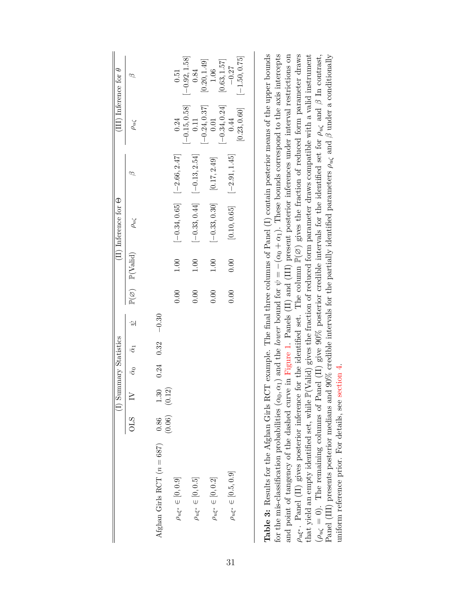<span id="page-31-0"></span>

| (III) Inference for $\theta$  | ∞                                             |                              | 0.51                            | $[-0.92, 1.58]$         | [0.20, 1.49]<br>0.84            | 1.06                           | [0.63, 1.57]    | $-0.27$                         | $[-1.50, 0.75]$ |
|-------------------------------|-----------------------------------------------|------------------------------|---------------------------------|-------------------------|---------------------------------|--------------------------------|-----------------|---------------------------------|-----------------|
|                               | $\rho_{u\zeta}$                               |                              | 0.24                            | $[-0.15, 0.58]$<br>0.11 | $[-0.24, 0.37]$<br>0.01         |                                | $[-0.34, 0.24]$ | 0.44                            | [0.23, 0.60]    |
|                               |                                               |                              | $[-0.34, 0.65]$ $[-2.66, 2.47]$ |                         | $[-0.33, 0.44]$ $[-0.13, 2.54]$ |                                |                 | $[-2.91, 1.45]$                 |                 |
| $(II)$ Inference for $\Theta$ | $\rho_{u\zeta}$                               |                              |                                 |                         |                                 | $[-0.33, 0.30]$ $[0.17, 2.49]$ |                 | [0.10, 0.65]                    |                 |
|                               | $\mathbb{P}(\varnothing)$ $\mathbb{P}(Valid)$ |                              | 1.00                            | 1.00                    |                                 | 1.00                           |                 | 0.00                            |                 |
|                               |                                               |                              | 0.00                            | 0.00                    |                                 | 0.00                           |                 | 0.00                            |                 |
|                               | $\phi$                                        | $-0.30$                      |                                 |                         |                                 |                                |                 |                                 |                 |
|                               | $\bar{\alpha}_0$ $\bar{\alpha}_1$             | $0.24$ 0.32                  |                                 |                         |                                 |                                |                 |                                 |                 |
|                               |                                               |                              |                                 |                         |                                 |                                |                 |                                 |                 |
| (I) Summary Statistics        | $\geq$                                        | $\frac{1.30}{(0.12)}$        |                                 |                         |                                 |                                |                 |                                 |                 |
|                               | STC                                           | $\frac{0.86}{(0.06)}$        |                                 |                         |                                 |                                |                 |                                 |                 |
|                               |                                               | Afghan Girls RCT $(n = 687)$ | $\rho_{u \xi^*} \in [0,0.9]$    |                         | $\rho_{u \xi^*} \in [0,0.5]$    | $\rho_{u \xi^*} \in [0,0.2]$   |                 | $\rho_{u \xi^*} \in [0.5, 0.9]$ |                 |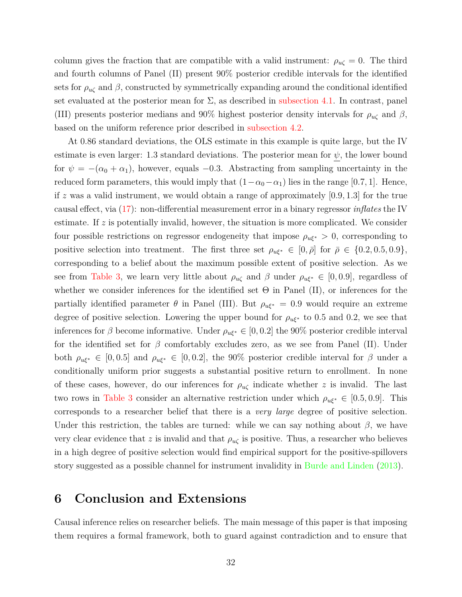column gives the fraction that are compatible with a valid instrument:  $\rho_{u\zeta} = 0$ . The third and fourth columns of Panel (II) present 90% posterior credible intervals for the identified sets for  $\rho_{\mu\zeta}$  and  $\beta$ , constructed by symmetrically expanding around the conditional identified set evaluated at the posterior mean for  $\Sigma$ , as described in [subsection 4.1.](#page-18-0) In contrast, panel (III) presents posterior medians and 90% highest posterior density intervals for  $\rho_{u\zeta}$  and  $\beta$ , based on the uniform reference prior described in [subsection 4.2.](#page-19-0)

At 0.86 standard deviations, the OLS estimate in this example is quite large, but the IV estimate is even larger: 1.3 standard deviations. The posterior mean for  $\psi$ , the lower bound for  $\psi = -(\alpha_0 + \alpha_1)$ , however, equals -0.3. Abstracting from sampling uncertainty in the reduced form parameters, this would imply that  $(1-\alpha_0-\alpha_1)$  lies in the range [0.7, 1]. Hence, if z was a valid instrument, we would obtain a range of approximately  $[0.9, 1.3]$  for the true causal effect, via [\(17\)](#page-11-0): non-differential measurement error in a binary regressor *inflates* the IV estimate. If  $z$  is potentially invalid, however, the situation is more complicated. We consider four possible restrictions on regressor endogeneity that impose  $\rho_{u\xi^*} > 0$ , corresponding to positive selection into treatment. The first three set  $\rho_{u\xi^*} \in [0, \bar{\rho}]$  for  $\bar{\rho} \in \{0.2, 0.5, 0.9\},$ corresponding to a belief about the maximum possible extent of positive selection. As we see from [Table 3,](#page-31-0) we learn very little about  $\rho_{\mu\zeta}$  and  $\beta$  under  $\rho_{\mu\xi^*} \in [0,0.9]$ , regardless of whether we consider inferences for the identified set  $\Theta$  in Panel (II), or inferences for the partially identified parameter  $\theta$  in Panel (III). But  $\rho_{u\xi^*} = 0.9$  would require an extreme degree of positive selection. Lowering the upper bound for  $\rho_{u\xi^*}$  to 0.5 and 0.2, we see that inferences for β become informative. Under  $\rho_{u\xi^*} \in [0, 0.2]$  the 90% posterior credible interval for the identified set for  $\beta$  comfortably excludes zero, as we see from Panel (II). Under both  $\rho_{u\xi^*} \in [0, 0.5]$  and  $\rho_{u\xi^*} \in [0, 0.2]$ , the 90% posterior credible interval for  $\beta$  under a conditionally uniform prior suggests a substantial positive return to enrollment. In none of these cases, however, do our inferences for  $\rho_{u\zeta}$  indicate whether z is invalid. The last two rows in [Table 3](#page-31-0) consider an alternative restriction under which  $\rho_{\alpha\xi^*} \in [0.5, 0.9]$ . This corresponds to a researcher belief that there is a *very large* degree of positive selection. Under this restriction, the tables are turned: while we can say nothing about  $\beta$ , we have very clear evidence that z is invalid and that  $\rho_{u\zeta}$  is positive. Thus, a researcher who believes in a high degree of positive selection would find empirical support for the positive-spillovers story suggested as a possible channel for instrument invalidity in [Burde and Linden](#page-34-14) [\(2013\)](#page-34-14).

## <span id="page-32-0"></span>**6 Conclusion and Extensions**

Causal inference relies on researcher beliefs. The main message of this paper is that imposing them requires a formal framework, both to guard against contradiction and to ensure that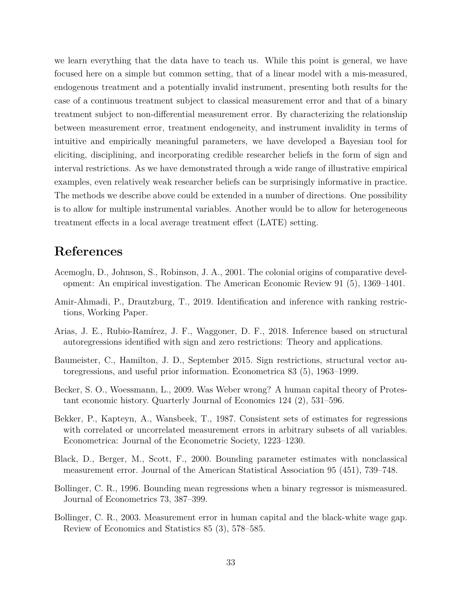we learn everything that the data have to teach us. While this point is general, we have focused here on a simple but common setting, that of a linear model with a mis-measured, endogenous treatment and a potentially invalid instrument, presenting both results for the case of a continuous treatment subject to classical measurement error and that of a binary treatment subject to non-differential measurement error. By characterizing the relationship between measurement error, treatment endogeneity, and instrument invalidity in terms of intuitive and empirically meaningful parameters, we have developed a Bayesian tool for eliciting, disciplining, and incorporating credible researcher beliefs in the form of sign and interval restrictions. As we have demonstrated through a wide range of illustrative empirical examples, even relatively weak researcher beliefs can be surprisingly informative in practice. The methods we describe above could be extended in a number of directions. One possibility is to allow for multiple instrumental variables. Another would be to allow for heterogeneous treatment effects in a local average treatment effect (LATE) setting.

## **References**

- <span id="page-33-7"></span>Acemoglu, D., Johnson, S., Robinson, J. A., 2001. The colonial origins of comparative development: An empirical investigation. The American Economic Review 91 (5), 1369–1401.
- <span id="page-33-0"></span>Amir-Ahmadi, P., Drautzburg, T., 2019. Identification and inference with ranking restrictions, Working Paper.
- <span id="page-33-1"></span>Arias, J. E., Rubio-Ramírez, J. F., Waggoner, D. F., 2018. Inference based on structural autoregressions identified with sign and zero restrictions: Theory and applications.
- <span id="page-33-2"></span>Baumeister, C., Hamilton, J. D., September 2015. Sign restrictions, structural vector autoregressions, and useful prior information. Econometrica 83 (5), 1963–1999.
- <span id="page-33-8"></span>Becker, S. O., Woessmann, L., 2009. Was Weber wrong? A human capital theory of Protestant economic history. Quarterly Journal of Economics 124 (2), 531–596.
- <span id="page-33-3"></span>Bekker, P., Kapteyn, A., Wansbeek, T., 1987. Consistent sets of estimates for regressions with correlated or uncorrelated measurement errors in arbitrary subsets of all variables. Econometrica: Journal of the Econometric Society, 1223–1230.
- <span id="page-33-6"></span>Black, D., Berger, M., Scott, F., 2000. Bounding parameter estimates with nonclassical measurement error. Journal of the American Statistical Association 95 (451), 739–748.
- <span id="page-33-5"></span>Bollinger, C. R., 1996. Bounding mean regressions when a binary regressor is mismeasured. Journal of Econometrics 73, 387–399.
- <span id="page-33-4"></span>Bollinger, C. R., 2003. Measurement error in human capital and the black-white wage gap. Review of Economics and Statistics 85 (3), 578–585.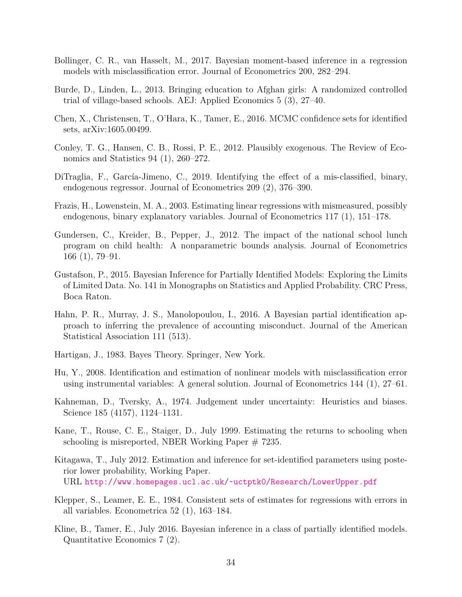- <span id="page-34-7"></span>Bollinger, C. R., van Hasselt, M., 2017. Bayesian moment-based inference in a regression models with misclassification error. Journal of Econometrics 200, 282–294.
- <span id="page-34-14"></span>Burde, D., Linden, L., 2013. Bringing education to Afghan girls: A randomized controlled trial of village-based schools. AEJ: Applied Economics 5 (3), 27–40.
- <span id="page-34-5"></span>Chen, X., Christensen, T., O'Hara, K., Tamer, E., 2016. MCMC confidence sets for identified sets, arXiv:1605.00499.
- <span id="page-34-13"></span>Conley, T. G., Hansen, C. B., Rossi, P. E., 2012. Plausibly exogenous. The Review of Economics and Statistics 94 (1), 260–272.
- <span id="page-34-12"></span>DiTraglia, F., García-Jimeno, C., 2019. Identifying the effect of a mis-classified, binary, endogenous regressor. Journal of Econometrics 209 (2), 376–390.
- <span id="page-34-10"></span>Frazis, H., Lowenstein, M. A., 2003. Estimating linear regressions with mismeasured, possibly endogenous, binary explanatory variables. Journal of Econometrics 117 (1), 151–178.
- <span id="page-34-8"></span>Gundersen, C., Kreider, B., Pepper, J., 2012. The impact of the national school lunch program on child health: A nonparametric bounds analysis. Journal of Econometrics 166 (1), 79–91.
- <span id="page-34-0"></span>Gustafson, P., 2015. Bayesian Inference for Partially Identified Models: Exploring the Limits of Limited Data. No. 141 in Monographs on Statistics and Applied Probability. CRC Press, Boca Raton.
- <span id="page-34-2"></span>Hahn, P. R., Murray, J. S., Manolopoulou, I., 2016. A Bayesian partial identification approach to inferring the prevalence of accounting misconduct. Journal of the American Statistical Association 111 (513).
- <span id="page-34-15"></span>Hartigan, J., 1983. Bayes Theory. Springer, New York.
- <span id="page-34-11"></span>Hu, Y., 2008. Identification and estimation of nonlinear models with misclassification error using instrumental variables: A general solution. Journal of Econometrics 144 (1), 27–61.
- <span id="page-34-1"></span>Kahneman, D., Tversky, A., 1974. Judgement under uncertainty: Heuristics and biases. Science 185 (4157), 1124–1131.
- <span id="page-34-9"></span>Kane, T., Rouse, C. E., Staiger, D., July 1999. Estimating the returns to schooling when schooling is misreported, NBER Working Paper  $# 7235$ .
- <span id="page-34-3"></span>Kitagawa, T., July 2012. Estimation and inference for set-identified parameters using posterior lower probability, Working Paper. URL <http://www.homepages.ucl.ac.uk/~uctptk0/Research/LowerUpper.pdf>
- <span id="page-34-6"></span>Klepper, S., Leamer, E. E., 1984. Consistent sets of estimates for regressions with errors in all variables. Econometrica 52 (1), 163–184.
- <span id="page-34-4"></span>Kline, B., Tamer, E., July 2016. Bayesian inference in a class of partially identified models. Quantitative Economics 7 (2).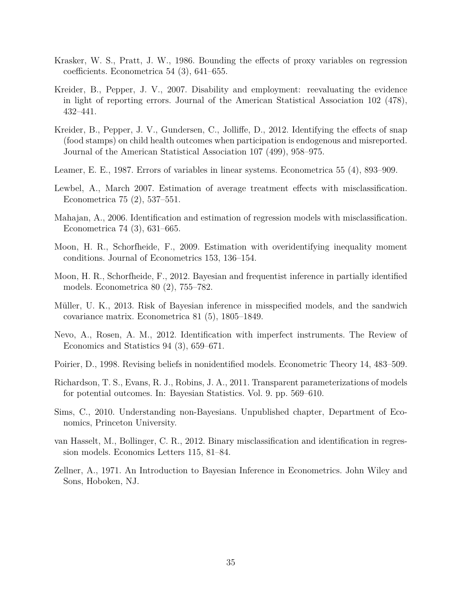- <span id="page-35-5"></span>Krasker, W. S., Pratt, J. W., 1986. Bounding the effects of proxy variables on regression coefficients. Econometrica 54 (3), 641–655.
- <span id="page-35-7"></span>Kreider, B., Pepper, J. V., 2007. Disability and employment: reevaluating the evidence in light of reporting errors. Journal of the American Statistical Association 102 (478), 432–441.
- <span id="page-35-8"></span>Kreider, B., Pepper, J. V., Gundersen, C., Jolliffe, D., 2012. Identifying the effects of snap (food stamps) on child health outcomes when participation is endogenous and misreported. Journal of the American Statistical Association 107 (499), 958–975.
- <span id="page-35-4"></span>Leamer, E. E., 1987. Errors of variables in linear systems. Econometrica 55 (4), 893–909.
- <span id="page-35-9"></span>Lewbel, A., March 2007. Estimation of average treatment effects with misclassification. Econometrica 75 (2), 537–551.
- <span id="page-35-10"></span>Mahajan, A., 2006. Identification and estimation of regression models with misclassification. Econometrica 74 (3), 631–665.
- <span id="page-35-0"></span>Moon, H. R., Schorfheide, F., 2009. Estimation with overidentifying inequality moment conditions. Journal of Econometrics 153, 136–154.
- <span id="page-35-3"></span>Moon, H. R., Schorfheide, F., 2012. Bayesian and frequentist inference in partially identified models. Econometrica 80 (2), 755–782.
- <span id="page-35-14"></span>Müller, U. K., 2013. Risk of Bayesian inference in misspecified models, and the sandwich covariance matrix. Econometrica 81 (5), 1805–1849.
- <span id="page-35-11"></span>Nevo, A., Rosen, A. M., 2012. Identification with imperfect instruments. The Review of Economics and Statistics 94 (3), 659–671.
- <span id="page-35-1"></span>Poirier, D., 1998. Revising beliefs in nonidentified models. Econometric Theory 14, 483–509.
- <span id="page-35-2"></span>Richardson, T. S., Evans, R. J., Robins, J. A., 2011. Transparent parameterizations of models for potential outcomes. In: Bayesian Statistics. Vol. 9. pp. 569–610.
- <span id="page-35-13"></span>Sims, C., 2010. Understanding non-Bayesians. Unpublished chapter, Department of Economics, Princeton University.
- <span id="page-35-6"></span>van Hasselt, M., Bollinger, C. R., 2012. Binary misclassification and identification in regression models. Economics Letters 115, 81–84.
- <span id="page-35-12"></span>Zellner, A., 1971. An Introduction to Bayesian Inference in Econometrics. John Wiley and Sons, Hoboken, NJ.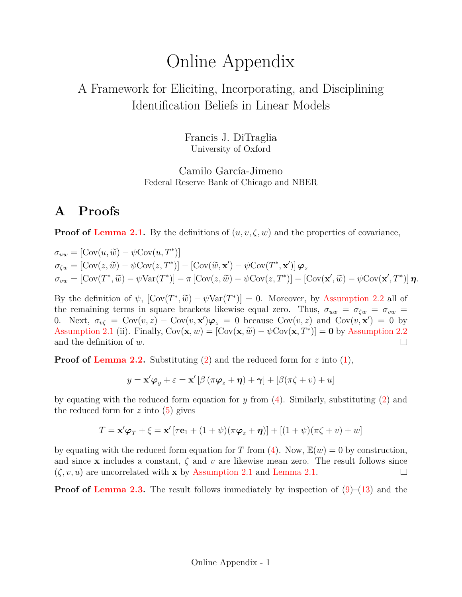# Online Appendix

# A Framework for Eliciting, Incorporating, and Disciplining Identification Beliefs in Linear Models

Francis J. DiTraglia University of Oxford

Camilo García-Jimeno Federal Reserve Bank of Chicago and NBER

## **A Proofs**

**Proof of [Lemma 2.1.](#page-8-4)** By the definitions of  $(u, v, \zeta, w)$  and the properties of covariance,

$$
\sigma_{uw} = [\text{Cov}(u, \widetilde{w}) - \psi \text{Cov}(u, T^*)]
$$
  
\n
$$
\sigma_{\zeta w} = [\text{Cov}(z, \widetilde{w}) - \psi \text{Cov}(z, T^*)] - [\text{Cov}(\widetilde{w}, \mathbf{x}') - \psi \text{Cov}(T^*, \mathbf{x}')] \boldsymbol{\varphi}_z
$$
  
\n
$$
\sigma_{vw} = [\text{Cov}(T^*, \widetilde{w}) - \psi \text{Var}(T^*)] - \pi [\text{Cov}(z, \widetilde{w}) - \psi \text{Cov}(z, T^*)] - [\text{Cov}(\mathbf{x}', \widetilde{w}) - \psi \text{Cov}(\mathbf{x}', T^*)] \boldsymbol{\eta}.
$$

By the definition of  $\psi$ ,  $[\text{Cov}(T^*, \tilde{w}) - \psi \text{Var}(T^*)] = 0$ . Moreover, by [Assumption 2.2](#page-7-0) all of the remaining terms in square brackets likewise equal zero. Thus,  $\sigma_{\text{max}} = \sigma_{\text{max}} = \sigma_{\text{max}}$ the remaining terms in square brackets likewise equal zero. Thus,  $\sigma_{uw} = \sigma_{\zeta w} = \sigma_{vw}$ 0. Next,  $\sigma_{v\zeta} = \text{Cov}(v, z) - \text{Cov}(v, x')\varphi_z = 0$  because  $\text{Cov}(v, z)$  and  $\text{Cov}(v, x') = 0$  by [Assumption 2.1](#page-6-0) (ii). Finally,  $Cov(\mathbf{x}, w) = [Cov(\mathbf{x}, \tilde{w}) - \psi Cov(\mathbf{x}, T^*)] = \mathbf{0}$  by [Assumption 2.2](#page-7-0) and the definition of w.  $\Box$ 

**Proof of [Lemma 2.2.](#page-9-1)** Substituting [\(2\)](#page-1-3) and the reduced form for  $z$  into [\(1\)](#page-1-2),

 $y = \mathbf{x}'\boldsymbol{\varphi}_y + \varepsilon = \mathbf{x}'\left[\beta\left(\pi\boldsymbol{\varphi}_z + \boldsymbol{\eta}\right) + \boldsymbol{\gamma}\right] + \left[\beta(\pi\zeta + v) + u\right]$ 

by equating with the reduced form equation for y from  $(4)$ . Similarly, substituting  $(2)$  and the reduced form for  $z$  into  $(5)$  gives

$$
T = \mathbf{x}'\boldsymbol{\varphi}_T + \boldsymbol{\xi} = \mathbf{x}'[\tau\mathbf{e}_1 + (1+\psi)(\pi\boldsymbol{\varphi}_z + \boldsymbol{\eta})] + [(1+\psi)(\pi\boldsymbol{\zeta} + \boldsymbol{v}) + \boldsymbol{w}]
$$

by equating with the reduced form equation for T from [\(4\)](#page-7-1). Now,  $\mathbb{E}(w) = 0$  by construction, and since x includes a constant,  $\zeta$  and v are likewise mean zero. The result follows since  $(\zeta, v, u)$  are uncorrelated with **x** by [Assumption 2.1](#page-6-0) and [Lemma 2.1.](#page-8-4)  $\Box$ 

**Proof of [Lemma 2.3.](#page-10-0)** The result follows immediately by inspection of  $(9)$ – $(13)$  and the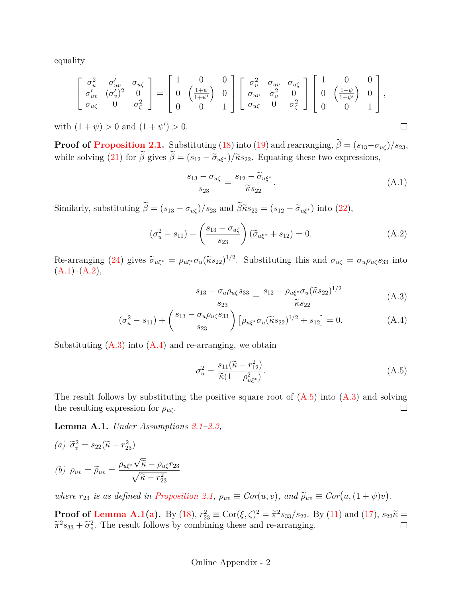equality

$$
\left[\begin{array}{ccc} \sigma_u^2 & \sigma'_{uv} & \sigma_{u\zeta} \\ \sigma'_{uv} & (\sigma'_v)^2 & 0 \\ \sigma_{u\zeta} & 0 & \sigma_\zeta^2 \end{array}\right] = \left[\begin{array}{ccc} 1 & 0 & 0 \\ 0 & \left(\frac{1+\psi}{1+\psi'}\right) & 0 \\ 0 & 0 & 1 \end{array}\right] \left[\begin{array}{ccc} \sigma_u^2 & \sigma_{uv} & \sigma_{u\zeta} \\ \sigma_{uv} & \sigma_v^2 & 0 \\ \sigma_{u\zeta} & 0 & \sigma_\zeta^2 \end{array}\right] \left[\begin{array}{ccc} 1 & 0 & 0 \\ 0 & \left(\frac{1+\psi}{1+\psi'}\right) & 0 \\ 0 & 0 & 1 \end{array}\right],
$$

with  $(1 + \psi) > 0$  and  $(1 + \psi') > 0$ .

**Proof of [Proposition 2.1.](#page-12-1)** Substituting [\(18\)](#page-11-1) into [\(19\)](#page-11-4) and rearranging,  $\beta = (s_{13}-\sigma_{u\zeta})/s_{23}$ , while solving [\(21\)](#page-11-3) for  $\beta$  gives  $\beta = (s_{12} - \tilde{\sigma}_{u\xi^*})/\tilde{\kappa} s_{22}$ . Equating these two expressions,

<span id="page-37-0"></span>
$$
\frac{s_{13} - \sigma_{u\zeta}}{s_{23}} = \frac{s_{12} - \widetilde{\sigma}_{u\xi^*}}{\widetilde{\kappa}s_{22}}.
$$
\n(A.1)

<span id="page-37-3"></span><span id="page-37-2"></span> $\Box$ 

Similarly, substituting  $\widetilde{\beta} = (s_{13} - \sigma_{u\zeta})/s_{23}$  and  $\widetilde{\beta}\widetilde{\kappa}s_{22} = (s_{12} - \widetilde{\sigma}_{u\xi^*})$  into [\(22\)](#page-11-2),

<span id="page-37-1"></span>
$$
(\sigma_u^2 - s_{11}) + \left(\frac{s_{13} - \sigma_{u\zeta}}{s_{23}}\right)(\widetilde{\sigma}_{u\xi^*} + s_{12}) = 0.
$$
 (A.2)

Re-arranging [\(24\)](#page-12-3) gives  $\widetilde{\sigma}_{u\xi^*} = \rho_{u\xi^*} \sigma_u (\widetilde{\kappa} s_{22})^{1/2}$ . Substituting this and  $\sigma_{u\zeta} = \sigma_u \rho_{u\zeta} s_{33}$  into  $(A.1)–(A.2),$  $(A.1)–(A.2),$  $(A.1)–(A.2),$  $(A.1)–(A.2),$ 

$$
\frac{s_{13} - \sigma_u \rho_{u\zeta} s_{33}}{s_{23}} = \frac{s_{12} - \rho_{u\xi^*} \sigma_u (\tilde{\kappa} s_{22})^{1/2}}{\tilde{\kappa} s_{22}} \tag{A.3}
$$

$$
(\sigma_u^2 - s_{11}) + \left(\frac{s_{13} - \sigma_u \rho_{u\zeta} s_{33}}{s_{23}}\right) \left[\rho_{u\zeta^*} \sigma_u (\tilde{\kappa} s_{22})^{1/2} + s_{12}\right] = 0.
$$
 (A.4)

Substituting  $(A.3)$  into  $(A.4)$  and re-arranging, we obtain

<span id="page-37-4"></span>
$$
\sigma_u^2 = \frac{s_{11}(\tilde{\kappa} - r_{12}^2)}{\tilde{\kappa}(1 - \rho_{u\xi^*}^2)}.
$$
\n(A.5)

The result follows by substituting the positive square root of  $(A.5)$  into  $(A.3)$  and solving the resulting expression for  $\rho_{u\zeta}$ .  $\Box$ 

<span id="page-37-5"></span>**Lemma A.1.** *Under Assumptions [2.1–](#page-6-0)[2.3,](#page-8-1)*

<span id="page-37-7"></span><span id="page-37-6"></span>(a) 
$$
\tilde{\sigma}_v^2 = s_{22}(\tilde{\kappa} - r_{23}^2)
$$
  
\n(b)  $\rho_{uv} = \tilde{\rho}_{uv} = \frac{\rho_{u\xi^*} \sqrt{\tilde{\kappa}} - \rho_{u\zeta} r_{23}}{\sqrt{\tilde{\kappa} - r_{23}^2}}$ 

*where*  $r_{23}$  *is as defined in [Proposition 2.1,](#page-12-1)*  $\rho_{uv} \equiv Cor(u, v)$ *, and*  $\tilde{\rho}_{uv} \equiv Cor(u, (1 + \psi)v)$ *.* 

**Proof of [Lemma A.1\(](#page-37-5)[a\)](#page-37-6).** By [\(18\)](#page-11-1),  $r_{23}^2 \equiv \text{Cor}(\xi, \zeta)^2 = \tilde{\pi}^2 s_{33}/s_{22}$ . By [\(11\)](#page-9-3) and [\(17\)](#page-11-0),  $s_{22}\tilde{\kappa} = \tilde{\pi}^2 s_{33}/\sqrt{15}$ . The result follows by combining these and rearranging  $\tilde{\pi}^2 s_{33} + \tilde{\sigma}_v^2$ . The result follows by combining these and re-arranging.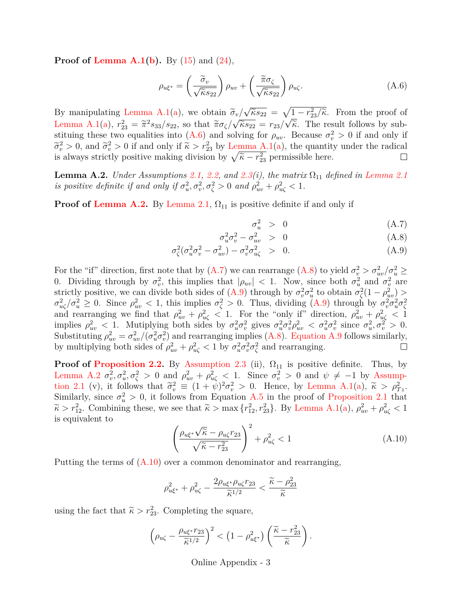**Proof of [Lemma A.1\(](#page-37-5)[b\)](#page-37-7).** By [\(15\)](#page-10-2) and [\(24\)](#page-12-3),

<span id="page-38-0"></span>
$$
\rho_{u\xi^*} = \left(\frac{\tilde{\sigma}_v}{\sqrt{\tilde{\kappa}s_{22}}}\right)\rho_{uv} + \left(\frac{\tilde{\pi}\sigma_{\zeta}}{\sqrt{\tilde{\kappa}s_{22}}}\right)\rho_{u\zeta}.\tag{A.6}
$$

√  $\widetilde{\sigma}_v/\sqrt{\widetilde{\kappa}s_{22}} = \sqrt{1-r_{23}^2/\widetilde{\kappa}}$ . From the proof of By manipulating [Lemma A.1](#page-37-5)[\(a\)](#page-37-6), we obtain  $\tilde{\sigma}_v$ /<br>Lemma A.1(a),  $u^2 = \tilde{\sigma}^2$ , (c) as that  $\tilde{\sigma}_v/\sqrt{2}$ [Lemma A.1](#page-37-5)[\(a\)](#page-37-6),  $r_{23}^2 = \tilde{\pi}^2 s_{33}/s_{22}$ , so that  $\tilde{\pi}\sigma_{\zeta}/\sqrt{\tilde{\kappa}s_{22}} = r_{23}/\sqrt{\tilde{\kappa}}$ . The result follows by substituting these two equalities into (A.6) and solving for a Because  $\sigma^2 > 0$  if and only if stituing these two equalities into [\(A.6\)](#page-38-0) and solving for  $\rho_{uv}$ . Because  $\sigma_v^2 > 0$  if and only if  $\tilde{\sigma}_v^2 > 0$ , and  $\tilde{\sigma}_v^2 > 0$  if and only if  $\tilde{\kappa} > r_{23}^2$  by [Lemma A.1](#page-37-5)[\(a\)](#page-37-6), the quantity under the radical<br>is always strictly positive making division by  $\sqrt{\tilde{\kappa}} = r^2$  permissible here is always strictly positive making division by  $\sqrt{\tilde{\kappa} - r_{23}^2}$  permissible here.  $\Box$ 

<span id="page-38-1"></span>**Lemma A.2.** *Under Assumptions* [2.1,](#page-6-0) [2.2,](#page-7-0) and [2.3\(](#page-8-1)*i*), the matrix  $\Omega_{11}$  defined in [Lemma 2.1](#page-8-4) *is positive definite if and only if*  $\sigma_u^2, \sigma_v^2, \sigma_\zeta^2 > 0$  *and*  $\rho_{uv}^2 + \rho_{u\zeta}^2 < 1$ *.* 

**Proof of [Lemma A.2.](#page-38-1)** By [Lemma 2.1,](#page-8-4)  $\Omega_{11}$  is positive definite if and only if

<span id="page-38-2"></span>
$$
\sigma_u^2 > 0 \tag{A.7}
$$

$$
\sigma_u^2 \sigma_v^2 - \sigma_{uv}^2 > 0 \tag{A.8}
$$

$$
\sigma_{\zeta}^2(\sigma_u^2 \sigma_v^2 - \sigma_{uv}^2) - \sigma_v^2 \sigma_{u\zeta}^2 > 0.
$$
\n(A.9)

For the "if" direction, first note that by [\(A.7\)](#page-38-2) we can rearrange [\(A.8\)](#page-38-2) to yield  $\sigma_v^2 > \sigma_{uv}^2/\sigma_u^2 \ge$ 0. Dividing through by  $\sigma_v^2$ , this implies that  $|\rho_{uv}| < 1$ . Now, since both  $\sigma_u^2$  and  $\sigma_v^2$  are strictly positive, we can divide both sides of  $(A.9)$  through by  $\sigma_v^2 \sigma_u^2$  to obtain  $\sigma_\zeta^2(1-\rho_{uv}^2)$  $\sigma_{u\zeta}^2/\sigma_u^2 \geq 0$ . Since  $\rho_{uv}^2 < 1$ , this implies  $\sigma_{\zeta}^2 > 0$ . Thus, dividing [\(A.9\)](#page-38-2) through by  $\sigma_v^2 \sigma_u^2 \sigma_{\zeta}^2$  and rearranging we find that  $\rho_{uv}^2 + \rho_{u\zeta}^2 < 1$ . For the "only if" direction,  $\rho_{uv}^2 + \rho$ implies  $\rho_{uv}^2 < 1$ . Mutiplying both sides by  $\sigma_u^2 \sigma_v^2$  gives  $\sigma_u^2 \sigma_v^2 \rho_{uv}^2 < \sigma_u^2 \sigma_v^2$  since  $\sigma_u^2, \sigma_v^2 > 0$ . Substituting  $\rho_{uv}^2 = \sigma_{uv}^2/(\sigma_u^2 \sigma_v^2)$  and rearranging implies [\(A.8\)](#page-38-2). [Equation A.9](#page-38-2) follows similarly, by multiplying both sides of  $\rho_{uv}^2 + \rho_{u\zeta}^2 < 1$  by  $\sigma_u^2 \sigma_v^2 \sigma_{\zeta}^2$  and rearranging.

**Proof of [Proposition 2.2.](#page-12-2)** By [Assumption 2.3](#page-8-1) (ii),  $\Omega_{11}$  is positive definite. Thus, by [Lemma A.2](#page-38-1)  $\sigma_v^2$ ,  $\sigma_u^2$ ,  $\sigma_\zeta^2$  > 0 and  $\rho_{uv}^2 + \rho_{u\zeta}^2$  < 1. Since  $\sigma_v^2$  > 0 and  $\psi \neq -1$  by [Assump](#page-6-0)[tion 2.1](#page-6-0) (v), it follows that  $\tilde{\sigma}_v^2 \equiv (1 + \dot{\psi})^2 \sigma_v^2 > 0$ . Hence, by [Lemma A.1](#page-37-5)[\(a\)](#page-37-6),  $\tilde{\kappa} > \rho_{T_z}^2$ .<br>Similarly since  $\sigma^2 > 0$  it follows from Equation A.5 in the proof of Proposition 2.1 that Similarly, since  $\sigma_u^2 > 0$ , it follows from Equation [A.5](#page-37-4) in the proof of [Proposition 2.1](#page-12-1) that  $\widetilde{\kappa} > r_{12}^2$ . Combining these, we see that  $\widetilde{\kappa} > \max\{r_{12}^2, r_{23}^2\}$ . By [Lemma A.1\(](#page-37-5)[a\)](#page-37-6),  $\rho_{uv}^2 + \rho_{u\zeta}^2 < 1$ is equivalent to

<span id="page-38-3"></span>
$$
\left(\frac{\rho_{u\xi^*}\sqrt{\tilde{\kappa}} - \rho_{u\zeta}r_{23}}{\sqrt{\tilde{\kappa} - r_{23}^2}}\right)^2 + \rho_{u\zeta}^2 < 1\tag{A.10}
$$

Putting the terms of  $(A.10)$  over a common denominator and rearranging,

$$
\rho_{u\xi^*}^2 + \rho_{u\zeta}^2 - \frac{2\rho_{u\xi^*}\rho_{u\zeta}r_{23}}{\tilde{\kappa}^{1/2}} < \frac{\tilde{\kappa} - \rho_{23}^2}{\tilde{\kappa}}
$$

using the fact that  $\tilde{\kappa} > r_{23}^2$ . Completing the square,

$$
\left(\rho_{u\zeta}-\frac{\rho_{u\xi^*}r_{23}}{\widetilde{\kappa}^{1/2}}\right)^2 < \left(1-\rho_{u\xi^*}^2\right)\left(\frac{\widetilde{\kappa}-r_{23}^2}{\widetilde{\kappa}}\right).
$$

#### Online Appendix - 3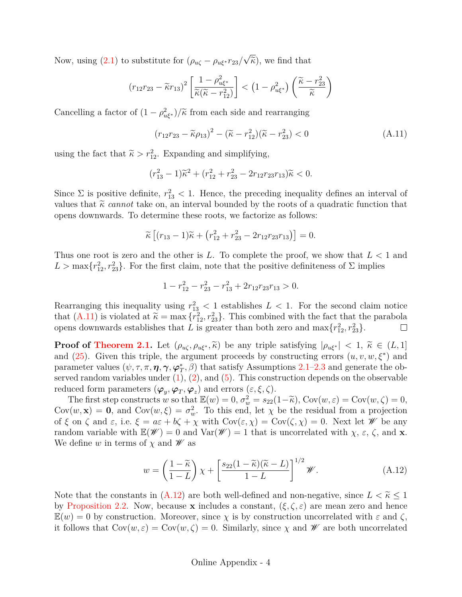Now, using  $(2.1)$  to substitute for  $(\rho_{u\zeta} - \rho_{u\xi^*}r_{23})$ √  $\widetilde{\kappa}$ ), we find that

$$
(r_{12}r_{23} - \widetilde{\kappa}r_{13})^2 \left[ \frac{1 - \rho_{u\xi^*}^2}{\widetilde{\kappa}(\widetilde{\kappa} - r_{12}^2)} \right] < \left( 1 - \rho_{u\xi^*}^2 \right) \left( \frac{\widetilde{\kappa} - r_{23}^2}{\widetilde{\kappa}} \right)
$$

Cancelling a factor of  $(1 - \rho_{u\xi^*}^2)/\tilde{\kappa}$  from each side and rearranging

<span id="page-39-0"></span>
$$
(r_{12}r_{23} - \tilde{\kappa}\rho_{13})^2 - (\tilde{\kappa} - r_{12}^2)(\tilde{\kappa} - r_{23}^2) < 0 \tag{A.11}
$$

using the fact that  $\tilde{\kappa} > r_{12}^2$ . Expanding and simplifying,

$$
(r_{13}^2 - 1)\tilde{\kappa}^2 + (r_{12}^2 + r_{23}^2 - 2r_{12}r_{23}r_{13})\tilde{\kappa} < 0.
$$

Since  $\Sigma$  is positive definite,  $r_{13}^2$  < 1. Hence, the preceding inequality defines an interval of values that  $\tilde{\kappa}$  *cannot* take on, an interval bounded by the roots of a quadratic function that opens downwards. To determine these roots, we factorize as follows:

$$
\widetilde{\kappa}\left[ (r_{13}-1)\widetilde{\kappa} + (r_{12}^2 + r_{23}^2 - 2r_{12}r_{23}r_{13})\right] = 0.
$$

Thus one root is zero and the other is L. To complete the proof, we show that  $L < 1$  and  $L > \max\{r_{12}^2, r_{23}^2\}$ . For the first claim, note that the positive definiteness of  $\Sigma$  implies

$$
1 - r_{12}^2 - r_{23}^2 - r_{13}^2 + 2r_{12}r_{23}r_{13} > 0.
$$

Rearranging this inequality using  $r_{13}^2$  < 1 establishes  $L < 1$ . For the second claim notice that  $(A.11)$  is violated at  $\tilde{\kappa} = \max \{r_{12}^2, r_{23}^2\}$ . This combined with the fact that the parabola<br>congress downwards establishes that L is greater than both zero and  $\max\{r^2, r^2, 1\}$ opens downwards establishes that L is greater than both zero and  $\max\{r_{12}^2, r_{23}^2\}$ .  $\Box$ 

**Proof of [Theorem 2.1.](#page-13-0)** Let  $(\rho_{u\zeta}, \rho_{u\xi^*}, \tilde{\kappa})$  be any triple satisfying  $|\rho_{u\xi^*}| < 1$ ,  $\tilde{\kappa} \in (L, 1]$ and  $(25)$ . Given this triple, the argument proceeds by constructing errors  $(u, v, w, \xi^*)$  and parameter values  $(\psi, \tau, \pi, \eta, \gamma, \varphi_T^*, \beta)$  that satisfy Assumptions [2.1–](#page-6-0)[2.3](#page-8-1) and generate the observed random variables under  $(1), (2),$  $(1), (2),$  $(1), (2),$  and  $(5)$ . This construction depends on the observable reduced form parameters  $(\varphi_y, \varphi_T, \varphi_z)$  and errors  $(\varepsilon, \xi, \zeta)$ .

The first step constructs w so that  $\mathbb{E}(w) = 0$ ,  $\sigma_w^2 = s_{22}(1-\tilde{\kappa})$ ,  $Cov(w, \varepsilon) = Cov(w, \zeta) = 0$ ,<br> $v(w, \mathbf{x}) = 0$ , and  $Cov(w, \zeta) = \sigma_w^2$ . To this and let x be the residual from a projection  $Cov(w, x) = 0$ , and  $Cov(w, \xi) = \sigma_w^2$ . To this end, let  $\chi$  be the residual from a projection of  $\xi$  on  $\zeta$  and  $\varepsilon$ , i.e.  $\xi = a\varepsilon + b\zeta + \chi$  with  $Cov(\varepsilon, \chi) = Cov(\zeta, \chi) = 0$ . Next let  $W$  be any random variable with  $\mathbb{E}(\mathscr{W})=0$  and  $\text{Var}(\mathscr{W})=1$  that is uncorrelated with  $\chi$ ,  $\varepsilon$ ,  $\zeta$ , and **x**. We define w in terms of  $\chi$  and  $\mathscr W$  as

<span id="page-39-1"></span>
$$
w = \left(\frac{1-\widetilde{\kappa}}{1-L}\right)\chi + \left[\frac{s_{22}(1-\widetilde{\kappa})(\widetilde{\kappa}-L)}{1-L}\right]^{1/2}\mathscr{W}.\tag{A.12}
$$

Note that the constants in  $(A.12)$  are both well-defined and non-negative, since  $L < \tilde{\kappa} \leq 1$ by [Proposition 2.2.](#page-12-2) Now, because **x** includes a constant,  $(\xi, \zeta, \varepsilon)$  are mean zero and hence  $\mathbb{E}(w) = 0$  by construction. Moreover, since  $\chi$  is by construction uncorrelated with  $\varepsilon$  and  $\zeta$ , it follows that  $Cov(w, \varepsilon) = Cov(w, \zeta) = 0$ . Similarly, since  $\chi$  and  $W$  are both uncorrelated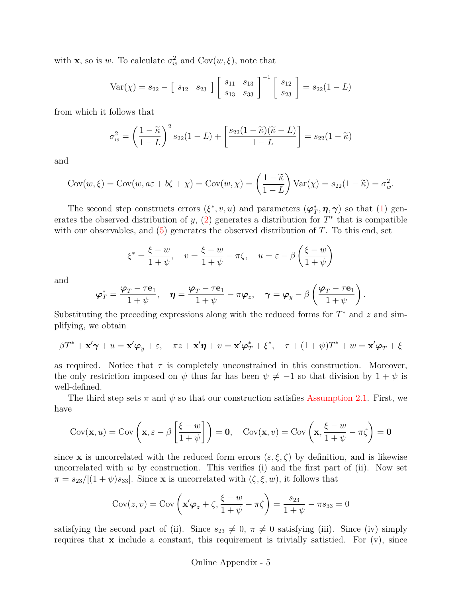with **x**, so is w. To calculate  $\sigma_w^2$  and  $Cov(w, \xi)$ , note that

$$
Var(\chi) = s_{22} - \begin{bmatrix} s_{12} & s_{23} \end{bmatrix} \begin{bmatrix} s_{11} & s_{13} \\ s_{13} & s_{33} \end{bmatrix}^{-1} \begin{bmatrix} s_{12} \\ s_{23} \end{bmatrix} = s_{22}(1 - L)
$$

from which it follows that

$$
\sigma_w^2 = \left(\frac{1-\widetilde{\kappa}}{1-L}\right)^2 s_{22}(1-L) + \left[\frac{s_{22}(1-\widetilde{\kappa})(\widetilde{\kappa}-L)}{1-L}\right] = s_{22}(1-\widetilde{\kappa})
$$

and

$$
Cov(w,\xi) = Cov(w, a\varepsilon + b\zeta + \chi) = Cov(w, \chi) = \left(\frac{1-\widetilde{\kappa}}{1-L}\right) Var(\chi) = s_{22}(1-\widetilde{\kappa}) = \sigma_w^2.
$$

The second step constructs errors  $(\xi^*, v, u)$  and parameters  $(\varphi_T^*, \eta, \gamma)$  so that [\(1\)](#page-1-2) generates the observed distribution of y,  $(2)$  generates a distribution for  $T^*$  that is compatible with our observables, and  $(5)$  generates the observed distribution of T. To this end, set

$$
\xi^* = \frac{\xi - w}{1 + \psi}, \quad v = \frac{\xi - w}{1 + \psi} - \pi \zeta, \quad u = \varepsilon - \beta \left( \frac{\xi - w}{1 + \psi} \right)
$$

and

$$
\boldsymbol{\varphi}_T^* = \frac{\boldsymbol{\varphi}_T - \tau \mathbf{e}_1}{1 + \psi}, \quad \boldsymbol{\eta} = \frac{\boldsymbol{\varphi}_T - \tau \mathbf{e}_1}{1 + \psi} - \pi \boldsymbol{\varphi}_z, \quad \boldsymbol{\gamma} = \boldsymbol{\varphi}_y - \beta \left( \frac{\boldsymbol{\varphi}_T - \tau \mathbf{e}_1}{1 + \psi} \right).
$$

Substituting the preceding expressions along with the reduced forms for  $T^*$  and  $z$  and simplifying, we obtain

$$
\beta T^* + \mathbf{x}' \boldsymbol{\gamma} + u = \mathbf{x}' \boldsymbol{\varphi}_y + \varepsilon, \quad \pi z + \mathbf{x}' \boldsymbol{\eta} + v = \mathbf{x}' \boldsymbol{\varphi}_T^* + \xi^*, \quad \tau + (1 + \psi) T^* + w = \mathbf{x}' \boldsymbol{\varphi}_T + \xi
$$

as required. Notice that  $\tau$  is completely unconstrained in this construction. Moreover, the only restriction imposed on  $\psi$  thus far has been  $\psi \neq -1$  so that division by  $1 + \psi$  is well-defined.

The third step sets  $\pi$  and  $\psi$  so that our construction satisfies [Assumption 2.1.](#page-6-0) First, we have

$$
Cov(\mathbf{x}, u) = Cov\left(\mathbf{x}, \varepsilon - \beta \left[\frac{\xi - w}{1 + \psi}\right]\right) = \mathbf{0}, \quad Cov(\mathbf{x}, v) = Cov\left(\mathbf{x}, \frac{\xi - w}{1 + \psi} - \pi\zeta\right) = \mathbf{0}
$$

since **x** is uncorrelated with the reduced form errors  $(\varepsilon, \xi, \zeta)$  by definition, and is likewise uncorrelated with  $w$  by construction. This verifies (i) and the first part of (ii). Now set  $\pi = s_{23}/[(1 + \psi)s_{33}]$ . Since **x** is uncorrelated with  $(\zeta, \xi, w)$ , it follows that

$$
Cov(z, v) = Cov\left(\mathbf{x}'\boldsymbol{\varphi}_z + \zeta, \frac{\xi - w}{1 + \psi} - \pi\zeta\right) = \frac{s_{23}}{1 + \psi} - \pi s_{33} = 0
$$

satisfying the second part of (ii). Since  $s_{23} \neq 0$ ,  $\pi \neq 0$  satisfying (iii). Since (iv) simply requires that  $x$  include a constant, this requirement is trivially satistied. For  $(v)$ , since

#### Online Appendix - 5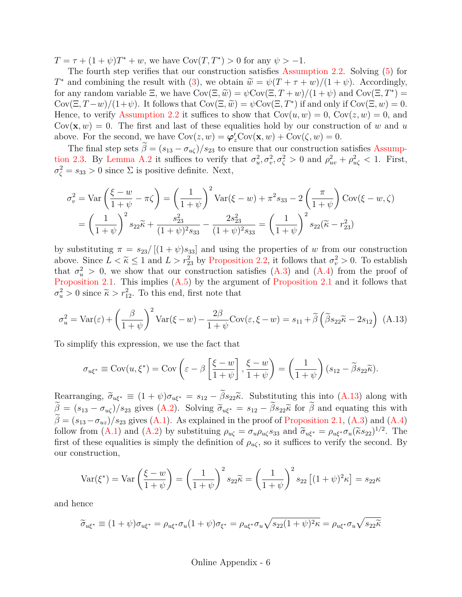$T = \tau + (1 + \psi)T^* + w$ , we have  $Cov(T, T^*) > 0$  for any  $\psi > -1$ .

The fourth step verifies that our construction satisfies [Assumption 2.2.](#page-7-0) Solving [\(5\)](#page-7-2) for  $T^*$  and combining the result with [\(3\)](#page-1-1), we obtain  $\widetilde{w} = \psi(T + \tau + w)/(1 + \psi)$ . Accordingly,<br>for any random variable  $\Xi$ , we have  $Cov(\Xi, \widetilde{w}) = \psi Cov(\Xi, T + w)/(1 + \psi)$  and  $Cov(\Xi, T^*) =$ for any random variable  $\Xi$ , we have  $Cov(\Xi, \widetilde{w}) = \psi Cov(\Xi, T + w)/(1 + \psi)$  and  $Cov(\Xi, T^*) = Cov(\Xi, T^*)/(1 + \psi)$ . It follows that  $Cov(\Xi, \widetilde{w}) = \psi Cov(\Xi, T^*)$  if and only if  $Cov(\Xi, w) = 0$ . Cov $(\Xi, T-w)/(1+\psi)$ . It follows that  $Cov(\Xi, \widetilde{w}) = \psi Cov(\Xi, T^*)$  if and only if  $Cov(\Xi, w) = 0$ .<br>Hence, to verify Assumption 2.2 it suffices to show that  $Cov(w, w) = 0$ ,  $Cov(z, w) = 0$ , and Hence, to verify [Assumption 2.2](#page-7-0) it suffices to show that  $Cov(u, w) = 0$ ,  $Cov(z, w) = 0$ , and  $Cov(\mathbf{x}, w) = 0$ . The first and last of these equalities hold by our construction of w and u above. For the second, we have  $Cov(z, w) = \varphi'_z Cov(\mathbf{x}, w) + Cov(\zeta, w) = 0$ .

The final step sets  $\tilde{\beta} = (s_{13} - \sigma_{u\zeta})/s_{23}$  to ensure that our construction satisfies [Assump](#page-8-1)[tion 2.3.](#page-8-1) By [Lemma A.2](#page-38-1) it suffices to verify that  $\sigma_u^2, \sigma_v^2, \sigma_\zeta^2 > 0$  and  $\rho_{uv}^2 + \rho_{u\zeta}^2 < 1$ . First,  $\sigma_{\zeta}^2 = s_{33} > 0$  since  $\Sigma$  is positive definite. Next,

$$
\sigma_v^2 = \text{Var}\left(\frac{\xi - w}{1 + \psi} - \pi\zeta\right) = \left(\frac{1}{1 + \psi}\right)^2 \text{Var}(\xi - w) + \pi^2 s_{33} - 2\left(\frac{\pi}{1 + \psi}\right) \text{Cov}(\xi - w, \zeta)
$$

$$
= \left(\frac{1}{1 + \psi}\right)^2 s_{22}\tilde{\kappa} + \frac{s_{23}^2}{(1 + \psi)^2 s_{33}} - \frac{2s_{23}^2}{(1 + \psi)^2 s_{33}} = \left(\frac{1}{1 + \psi}\right)^2 s_{22}(\tilde{\kappa} - r_{23}^2)
$$

by substituting  $\pi = s_{23}/[(1 + \psi)s_{33}]$  and using the properties of w from our construction above. Since  $L < \tilde{\kappa} \le 1$  and  $L > r_{23}^2$  by [Proposition 2.2,](#page-12-2) it follows that  $\sigma_v^2 > 0$ . To establish that  $\sigma_v^2 > 0$ , we show that our construction satisfies  $(A,3)$  and  $(A,4)$  from the proof of that  $\sigma_u^2 > 0$ , we show that our construction satisfies [\(A.3\)](#page-37-2) and [\(A.4\)](#page-37-3) from the proof of [Proposition 2.1.](#page-12-1) This implies [\(A.5\)](#page-37-4) by the argument of [Proposition 2.1](#page-12-1) and it follows that  $\sigma_u^2 > 0$  since  $\tilde{\kappa} > r_{12}^2$ . To this end, first note that

<span id="page-41-0"></span>
$$
\sigma_u^2 = \text{Var}(\varepsilon) + \left(\frac{\beta}{1+\psi}\right)^2 \text{Var}(\xi - w) - \frac{2\beta}{1+\psi} \text{Cov}(\varepsilon, \xi - w) = s_{11} + \tilde{\beta} \left(\tilde{\beta} s_{22} \tilde{\kappa} - 2s_{12}\right) \tag{A.13}
$$

To simplify this expression, we use the fact that

$$
\sigma_{u\xi^*} \equiv \text{Cov}(u, \xi^*) = \text{Cov}\left(\varepsilon - \beta \left[\frac{\xi - w}{1 + \psi}\right], \frac{\xi - w}{1 + \psi}\right) = \left(\frac{1}{1 + \psi}\right)(s_{12} - \tilde{\beta}s_{22}\tilde{\kappa}).
$$

Rearranging,  $\widetilde{\sigma}_{u\xi^*} \equiv (1 + \psi)\sigma_{u\xi^*} = s_{12} - \widetilde{\beta} s_{22}\widetilde{\kappa}$ . Substituting this into [\(A.13\)](#page-41-0) along with  $\widetilde{\beta} = (s_{13} - \sigma_{u\zeta})/s_{23}$  gives [\(A.2\)](#page-37-1). Solving  $\widetilde{\sigma}_{u\xi^*} = s_{12} - \widetilde{\beta}s_{22}\widetilde{\kappa}$  for  $\widetilde{\beta}$  and equating this with  $\widetilde{\beta} = (s_{13}-\sigma_{uz})/s_{23}$  gives [\(A.1\)](#page-37-0). As explained in the proof of [Proposition 2.1,](#page-12-1) [\(A.3\)](#page-37-2) and [\(A.4\)](#page-37-3) follow from [\(A.1\)](#page-37-0) and [\(A.2\)](#page-37-1) by substituing  $\rho_{u\zeta} = \sigma_u \rho_{u\zeta} s_{33}$  and  $\tilde{\sigma}_{u\xi^*} = \rho_{u\xi^*} \sigma_u (\tilde{\kappa} s_{22})^{1/2}$ . The first of these equalities is simply the definition of  $\rho_{u\zeta}$ , so it suffices to verify the second. By our construction,

$$
\text{Var}(\xi^*) = \text{Var}\left(\frac{\xi - w}{1 + \psi}\right) = \left(\frac{1}{1 + \psi}\right)^2 s_{22} \tilde{\kappa} = \left(\frac{1}{1 + \psi}\right)^2 s_{22} \left[(1 + \psi)^2 \kappa\right] = s_{22} \kappa
$$

and hence

$$
\widetilde{\sigma}_{u\xi^*} \equiv (1+\psi)\sigma_{u\xi^*} = \rho_{u\xi^*}\sigma_u(1+\psi)\sigma_{\xi^*} = \rho_{u\xi^*}\sigma_u\sqrt{s_{22}(1+\psi)^2\kappa} = \rho_{u\xi^*}\sigma_u\sqrt{s_{22}\widetilde{\kappa}}
$$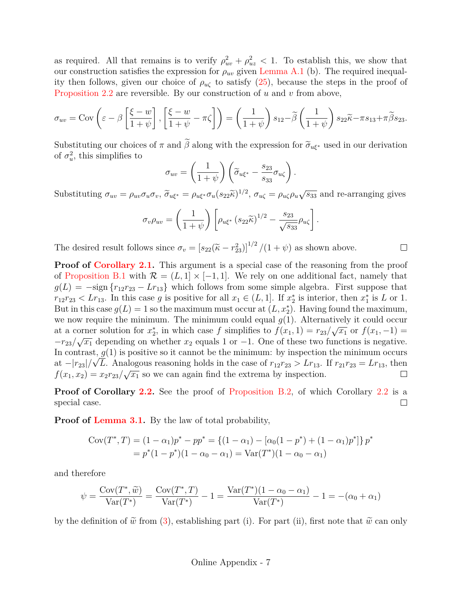as required. All that remains is to verify  $\rho_{uv}^2 + \rho_{uz}^2 < 1$ . To establish this, we show that our construction satisfies the expression for  $\rho_{uv}$  given [Lemma A.1](#page-37-5) (b). The required inequality then follows, given our choice of  $\rho_{u\zeta}$  to satisfy [\(25\)](#page-12-0), because the steps in the proof of [Proposition 2.2](#page-12-2) are reversible. By our construction of u and v from above,

$$
\sigma_{uv} = \text{Cov}\left(\varepsilon - \beta \left[\frac{\xi - w}{1 + \psi}\right], \left[\frac{\xi - w}{1 + \psi} - \pi\zeta\right]\right) = \left(\frac{1}{1 + \psi}\right)s_{12} - \tilde{\beta}\left(\frac{1}{1 + \psi}\right)s_{22}\tilde{\kappa} - \pi s_{13} + \pi \tilde{\beta}s_{23}.
$$

Substituting our choices of  $\pi$  and  $\tilde{\beta}$  along with the expression for  $\tilde{\sigma}_{u\xi^*}$  used in our derivation of  $\sigma_u^2$ , this simplifies to

$$
\sigma_{uv} = \left(\frac{1}{1+\psi}\right) \left(\widetilde{\sigma}_{u\xi^*} - \frac{s_{23}}{s_{33}} \sigma_{u\zeta}\right).
$$

Substituting  $\sigma_{uv} = \rho_{uv}\sigma_u\sigma_v$ ,  $\tilde{\sigma}_{u\xi^*} = \rho_{u\xi^*}\sigma_u(s_{22}\tilde{\kappa})^{1/2}$ ,  $\sigma_{u\zeta} = \rho_{u\zeta}\rho_u\sqrt{s_{33}}$  and re-arranging gives

$$
\sigma_v \rho_{uv} = \left(\frac{1}{1+\psi}\right) \left[\rho_{u\xi^*} \left(s_{22} \widetilde{\kappa}\right)^{1/2} - \frac{s_{23}}{\sqrt{s_{33}}} \rho_{u\zeta}\right].
$$

The desired result follows since  $\sigma_v = [s_{22}(\tilde{\kappa} - r_{23}^2)]^{1/2}/(1 + \psi)$  as shown above.  $\Box$ 

**Proof of [Corollary 2.1.](#page-13-1)** This argument is a special case of the reasoning from the proof of [Proposition B.1](#page-45-0) with  $\mathcal{R} = (L, 1] \times [-1, 1]$ . We rely on one additional fact, namely that  $g(L) = -\text{sign}\left\{r_{12}r_{23} - Lr_{13}\right\}$  which follows from some simple algebra. First suppose that  $r_{12}r_{23} < Lr_{13}$ . In this case g is positive for all  $x_1 \in (L, 1]$ . If  $x_2^*$  is interior, then  $x_1^*$  is L or 1. But in this case  $g(L) = 1$  so the maximum must occur at  $(L, x_2^*)$ . Having found the maximum, we now require the minimum. The minimum could equal  $g(1)$ . Alternatively it could occur at a corner solution for  $x_2^*$ , in which case f simplifies to  $f(x_1, 1) = r_{23}/\sqrt{x_1}$  or  $f(x_1, -1) =$  $-r_{23}/\sqrt{x_1}$  depending on whether  $x_2$  equals 1 or -1. One of these two functions is negative. In contrast,  $g(1)$  is positive so it cannot be the minimum: by inspection the minimum occurs at  $-|r_{23}|/\sqrt{L}$ . Analogous reasoning holds in the case of  $r_{12}r_{23} > Lr_{13}$ . If  $r_{21}r_{23} = Lr_{13}$ , then  $f(x_1, x_2) = x_2r_{23}/\sqrt{x_1}$  so we can again find the extrema by inspection.  $\Box$ 

**Proof of Corollary [2.2.](#page-13-2)** See the proof of [Proposition B.2,](#page-46-0) of which Corollary [2.2](#page-13-2) is a special case.  $\Box$ 

**Proof of [Lemma 3.1.](#page-14-2)** By the law of total probability,

$$
Cov(T^*, T) = (1 - \alpha_1)p^* - pp^* = \{(1 - \alpha_1) - [\alpha_0(1 - p^*) + (1 - \alpha_1)p^*]\}p^*
$$
  
=  $p^*(1 - p^*)(1 - \alpha_0 - \alpha_1) = Var(T^*)(1 - \alpha_0 - \alpha_1)$ 

and therefore

$$
\psi = \frac{\text{Cov}(T^*, \tilde{w})}{\text{Var}(T^*)} = \frac{\text{Cov}(T^*, T)}{\text{Var}(T^*)} - 1 = \frac{\text{Var}(T^*)(1 - \alpha_0 - \alpha_1)}{\text{Var}(T^*)} - 1 = -(\alpha_0 + \alpha_1)
$$

by the definition of  $\tilde{w}$  from [\(3\)](#page-1-1), establishing part (i). For part (ii), first note that  $\tilde{w}$  can only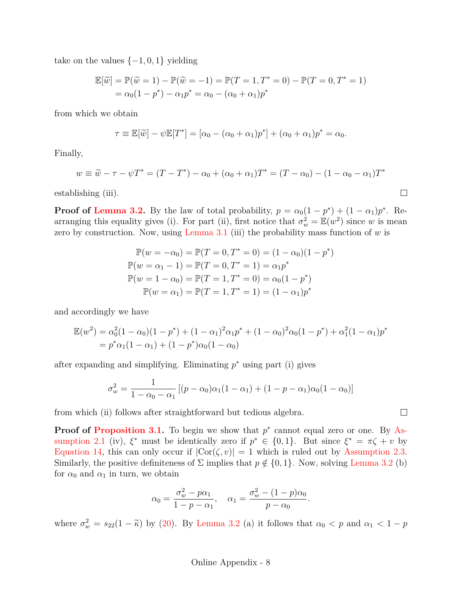take on the values  $\{-1, 0, 1\}$  yielding

$$
\mathbb{E}[\tilde{w}] = \mathbb{P}(\tilde{w} = 1) - \mathbb{P}(\tilde{w} = -1) = \mathbb{P}(T = 1, T^* = 0) - \mathbb{P}(T = 0, T^* = 1) \n= \alpha_0(1 - p^*) - \alpha_1 p^* = \alpha_0 - (\alpha_0 + \alpha_1)p^*
$$

from which we obtain

$$
\tau \equiv \mathbb{E}[\widetilde{w}] - \psi \mathbb{E}[T^*] = [\alpha_0 - (\alpha_0 + \alpha_1)p^*] + (\alpha_0 + \alpha_1)p^* = \alpha_0.
$$

Finally,

$$
w \equiv \tilde{w} - \tau - \psi T^* = (T - T^*) - \alpha_0 + (\alpha_0 + \alpha_1) T^* = (T - \alpha_0) - (1 - \alpha_0 - \alpha_1) T^*
$$

establishing (iii).

**Proof of [Lemma 3.2.](#page-15-0)** By the law of total probability,  $p = \alpha_0(1 - p^*) + (1 - \alpha_1)p^*$ . Rearranging this equality gives (i). For part (ii), first notice that  $\sigma_w^2 = \mathbb{E}(w^2)$  since w is mean zero by construction. Now, using [Lemma 3.1](#page-14-2) (iii) the probability mass function of  $w$  is

$$
\mathbb{P}(w = -\alpha_0) = \mathbb{P}(T = 0, T^* = 0) = (1 - \alpha_0)(1 - p^*)
$$
  

$$
\mathbb{P}(w = \alpha_1 - 1) = \mathbb{P}(T = 0, T^* = 1) = \alpha_1 p^*
$$
  

$$
\mathbb{P}(w = 1 - \alpha_0) = \mathbb{P}(T = 1, T^* = 0) = \alpha_0(1 - p^*)
$$
  

$$
\mathbb{P}(w = \alpha_1) = \mathbb{P}(T = 1, T^* = 1) = (1 - \alpha_1)p^*
$$

and accordingly we have

$$
\mathbb{E}(w^2) = \alpha_0^2 (1 - \alpha_0)(1 - p^*) + (1 - \alpha_1)^2 \alpha_1 p^* + (1 - \alpha_0)^2 \alpha_0 (1 - p^*) + \alpha_1^2 (1 - \alpha_1) p^*
$$
  
=  $p^* \alpha_1 (1 - \alpha_1) + (1 - p^*) \alpha_0 (1 - \alpha_0)$ 

after expanding and simplifying. Eliminating  $p^*$  using part (i) gives

$$
\sigma_w^2 = \frac{1}{1 - \alpha_0 - \alpha_1} \left[ (p - \alpha_0) \alpha_1 (1 - \alpha_1) + (1 - p - \alpha_1) \alpha_0 (1 - \alpha_0) \right]
$$

from which (ii) follows after straightforward but tedious algebra.

**Proof of [Proposition 3.1.](#page-15-1)** To begin we show that  $p^*$  cannot equal zero or one. By [As](#page-6-0)[sumption 2.1](#page-6-0) (iv),  $\xi^*$  must be identically zero if  $p^* \in \{0,1\}$ . But since  $\xi^* = \pi \zeta + v$  by [Equation 14,](#page-10-3) this can only occur if  $|Cor(\zeta, v)| = 1$  which is ruled out by [Assumption 2.3.](#page-8-1) Similarly, the positive definiteness of  $\Sigma$  implies that  $p \notin \{0, 1\}$ . Now, solving [Lemma 3.2](#page-15-0) (b) for  $\alpha_0$  and  $\alpha_1$  in turn, we obtain

$$
\alpha_0 = \frac{\sigma_w^2 - p\alpha_1}{1 - p - \alpha_1}, \quad \alpha_1 = \frac{\sigma_w^2 - (1 - p)\alpha_0}{p - \alpha_0}.
$$

where  $\sigma_w^2 = s_{22}(1 - \tilde{\kappa})$  by [\(20\)](#page-11-5). By [Lemma 3.2](#page-15-0) (a) it follows that  $\alpha_0 < p$  and  $\alpha_1 < 1 - p$ 

 $\Box$ 

 $\Box$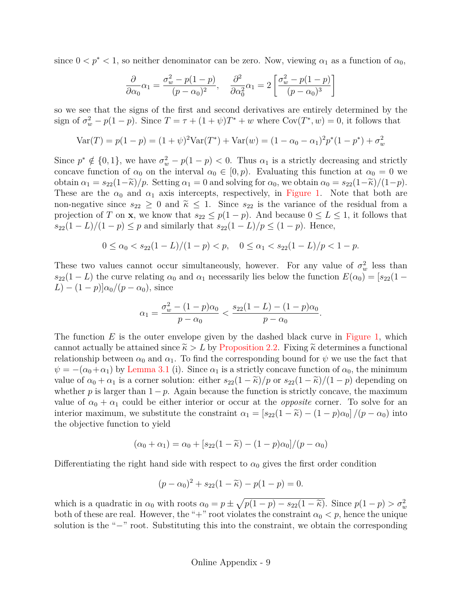since  $0 < p^* < 1$ , so neither denominator can be zero. Now, viewing  $\alpha_1$  as a function of  $\alpha_0$ ,

$$
\frac{\partial}{\partial \alpha_0} \alpha_1 = \frac{\sigma_w^2 - p(1-p)}{(p - \alpha_0)^2}, \quad \frac{\partial^2}{\partial \alpha_0^2} \alpha_1 = 2 \left[ \frac{\sigma_w^2 - p(1-p)}{(p - \alpha_0)^3} \right]
$$

so we see that the signs of the first and second derivatives are entirely determined by the sign of  $\sigma_w^2 - p(1-p)$ . Since  $T = \tau + (1+\psi)T^* + w$  where  $Cov(T^*, w) = 0$ , it follows that

$$
Var(T) = p(1 - p) = (1 + \psi)^2 Var(T^*) + Var(w) = (1 - \alpha_0 - \alpha_1)^2 p^*(1 - p^*) + \sigma_w^2
$$

Since  $p^* \notin \{0,1\}$ , we have  $\sigma_w^2 - p(1-p) < 0$ . Thus  $\alpha_1$  is a strictly decreasing and strictly concave function of  $\alpha_0$  on the interval  $\alpha_0 \in [0, p)$ . Evaluating this function at  $\alpha_0 = 0$  we obtain  $\alpha_1 = s_{22}(1-\tilde{\kappa})/p$ . Setting  $\alpha_1 = 0$  and solving for  $\alpha_0$ , we obtain  $\alpha_0 = s_{22}(1-\tilde{\kappa})/(1-p)$ . These are the  $\alpha_0$  and  $\alpha_1$  axis intercepts, respectively, in [Figure 1.](#page-16-0) Note that both are non-negative since  $s_{22} \geq 0$  and  $\tilde{\kappa} \leq 1$ . Since  $s_{22}$  is the variance of the residual from a projection of T on **x**, we know that  $s_{22} \leq p(1-p)$ . And because  $0 \leq L \leq 1$ , it follows that  $s_{22}(1 - L)/(1 - p) \leq p$  and similarly that  $s_{22}(1 - L)/p \leq (1 - p)$ . Hence,

$$
0 \le \alpha_0 < s_{22}(1 - L)/(1 - p) < p, \quad 0 \le \alpha_1 < s_{22}(1 - L)/p < 1 - p.
$$

These two values cannot occur simultaneously, however. For any value of  $\sigma_w^2$  less than  $s_{22}(1 - L)$  the curve relating  $\alpha_0$  and  $\alpha_1$  necessarily lies below the function  $E(\alpha_0) = [s_{22}(1 - L)]$  $(L)-(1-p)]\alpha_0/(p-\alpha_0)$ , since

$$
\alpha_1 = \frac{\sigma_w^2 - (1 - p)\alpha_0}{p - \alpha_0} < \frac{s_{22}(1 - L) - (1 - p)\alpha_0}{p - \alpha_0}.
$$

The function  $E$  is the outer envelope given by the dashed black curve in [Figure 1,](#page-16-0) which cannot actually be attained since  $\tilde{\kappa} > L$  by [Proposition 2.2.](#page-12-2) Fixing  $\tilde{\kappa}$  determines a functional relationship between  $\alpha_0$  and  $\alpha_1$ . To find the corresponding bound for  $\psi$  we use the fact that  $\psi = -(\alpha_0 + \alpha_1)$  by [Lemma 3.1](#page-14-2) (i). Since  $\alpha_1$  is a strictly concave function of  $\alpha_0$ , the minimum value of  $\alpha_0 + \alpha_1$  is a corner solution: either  $s_{22}(1 - \tilde{\kappa})/p$  or  $s_{22}(1 - \tilde{\kappa})/(1 - p)$  depending on whether p is larger than  $1 - p$ . Again because the function is strictly concave, the maximum value of  $\alpha_0 + \alpha_1$  could be either interior or occur at the *opposite* corner. To solve for an interior maximum, we substitute the constraint  $\alpha_1 = [s_{22}(1 - \tilde{\kappa}) - (1 - p)\alpha_0]/(p - \alpha_0)$  into the objective function to yield

$$
(\alpha_0 + \alpha_1) = \alpha_0 + [s_{22}(1 - \tilde{\kappa}) - (1 - p)\alpha_0]/(p - \alpha_0)
$$

Differentiating the right hand side with respect to  $\alpha_0$  gives the first order condition

$$
(p - \alpha_0)^2 + s_{22}(1 - \widetilde{\kappa}) - p(1 - p) = 0.
$$

which is a quadratic in  $\alpha_0$  with roots  $\alpha_0 = p \pm \sqrt{p(1-p) - s_{22}(1-\tilde{\kappa})}$ . Since  $p(1-p) > \sigma_w^2$ <br>both of these are real. However, the "+" reat violates the constraint  $\alpha_0 \leq r$ , hence the unique both of these are real. However, the "+" root violates the constraint  $\alpha_0 < p$ , hence the unique solution is the "−" root. Substituting this into the constraint, we obtain the corresponding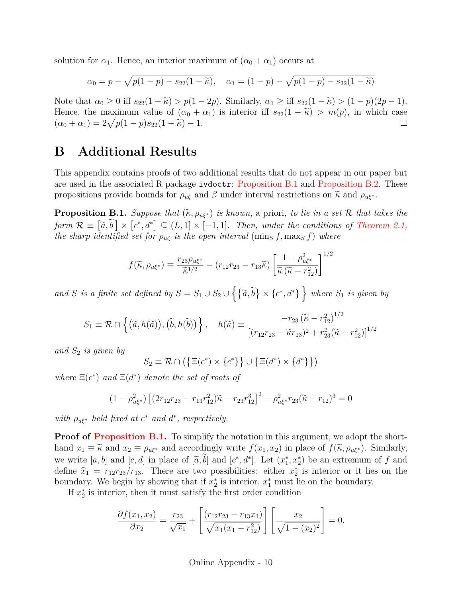solution for  $\alpha_1$ . Hence, an interior maximum of  $(\alpha_0 + \alpha_1)$  occurs at

$$
\alpha_0 = p - \sqrt{p(1-p) - s_{22}(1-\tilde{\kappa})}, \quad \alpha_1 = (1-p) - \sqrt{p(1-p) - s_{22}(1-\tilde{\kappa})}
$$

Note that  $\alpha_0 \geq 0$  iff  $s_{22}(1 - \widetilde{\kappa}) > p(1 - 2p)$ . Similarly,  $\alpha_1 \geq \text{iff } s_{22}(1 - \widetilde{\kappa}) > (1 - p)(2p - 1)$ . Hence, the maximum value of  $(\alpha_0 + \alpha_1)$  is interior iff  $s_{22}(1 - \tilde{\kappa}) > m(p)$ , in which case  $(\alpha_0 + \alpha_1) = 2\sqrt{p(1-p)s_{22}(1-\tilde{\kappa})} - 1$ .  $(\alpha_0 + \alpha_1) = 2\sqrt{p(1-p)s_{22}(1-\tilde{\kappa})} - 1.$ 

## **B Additional Results**

This appendix contains proofs of two additional results that do not appear in our paper but are used in the associated R package ivdoctr: [Proposition B.1](#page-45-0) and [Proposition B.2.](#page-46-0) These propositions provide bounds for  $\rho_{u\zeta}$  and  $\beta$  under interval restrictions on  $\tilde{\kappa}$  and  $\rho_{u\zeta^*}$ .

<span id="page-45-0"></span>**Proposition B.1.** *Suppose that*  $(\widetilde{\kappa}, \rho_{u\xi^*})$  *is known,* a priori*, to lie in a set* R *that takes the*  $form \ \mathcal{R} \equiv \left[\tilde{a}, \tilde{b}\right] \times \left[c^*, d^*\right] \subseteq (L, 1] \times [-1, 1]$ . Then, under the conditions of [Theorem 2.1,](#page-13-0) *the sharp identified set for*  $\rho_{\mathfrak{u}\zeta}$  *is the open interval* (mins f, maxs f) where

$$
f(\widetilde{\kappa}, \rho_{u\xi^*}) \equiv \frac{r_{23}\rho_{u\xi^*}}{\widetilde{\kappa}^{1/2}} - (r_{12}r_{23} - r_{13}\widetilde{\kappa}) \left[ \frac{1 - \rho_{u\xi^*}^2}{\widetilde{\kappa}(\widetilde{\kappa} - r_{12}^2)} \right]^{1/2}
$$

and *S* is a finite set defined by  $S = S_1 \cup S_2 \cup \{ \{\tilde{a}, \tilde{b}\} \times \{c^*, d^* \} \}$  where  $S_1$  is given by

$$
S_1 \equiv \mathcal{R} \cap \left\{ \left( \widetilde{a}, h(\widetilde{a}) \right), \left( \widetilde{b}, h(\widetilde{b}) \right) \right\}, \quad h(\widetilde{\kappa}) \equiv \frac{-r_{23} \left( \widetilde{\kappa} - r_{12}^2 \right)^{1/2}}{\left[ (r_{12}r_{23} - \widetilde{\kappa}r_{13})^2 + r_{23}^2 (\widetilde{\kappa} - r_{12}^2) \right]^{1/2}}
$$

*and*  $S_2$  *is given by* 

$$
S_2 \equiv \mathcal{R} \cap (\{\Xi(c^*) \times \{c^*\}\} \cup \{\Xi(d^*) \times \{d^*\}\})
$$

where  $\Xi(c^*)$  and  $\Xi(d^*)$  *denote the set of roots of* 

$$
(1 - \rho_{u\xi^*}^2) \left[ (2r_{12}r_{23} - r_{13}r_{12}^2)\tilde{\kappa} - r_{23}r_{12}^3 \right]^2 - \rho_{u\xi^*}^2 r_{23}(\tilde{\kappa} - r_{12})^3 = 0
$$

*with*  $\rho_{\mathbf{u}\xi^*}$  *held fixed at*  $c^*$  *and*  $d^*$ *, respectively.* 

**Proof of [Proposition B.1.](#page-45-0)** To simplify the notation in this argument, we adopt the shorthand  $x_1 \equiv \tilde{\kappa}$  and  $x_2 \equiv \rho_{\mu\xi^*}$  and accordingly write  $f(x_1, x_2)$  in place of  $f(\tilde{\kappa}, \rho_{\mu\xi^*})$ . Similarly, we write  $[a, b]$  and  $[c, d]$  in place of  $[\tilde{a}, \tilde{b}]$  and  $[c^*, d^*]$ . Let  $(x_1^*, x_2^*)$  be an extremum of f and dofine  $\hat{x} = x_1, x_2, x_3, x_4, \dots$ . There are two possibilities: either  $x^*$  is interior or it lies on the define  $\hat{x}_1 = r_{12}r_{23}/r_{13}$ . There are two possibilities: either  $x_2^*$  is interior or it lies on the boundary. boundary. We begin by showing that if  $x_2^*$  is interior,  $x_1^*$  must lie on the boundary.

If  $x_2^*$  is interior, then it must satisfy the first order condition

$$
\frac{\partial f(x_1, x_2)}{\partial x_2} = \frac{r_{23}}{\sqrt{x_1}} + \left[ \frac{(r_{12}r_{23} - r_{13}x_1)}{\sqrt{x_1(x_1 - r_{12}^2)}} \right] \left[ \frac{x_2}{\sqrt{1 - (x_2)^2}} \right] = 0.
$$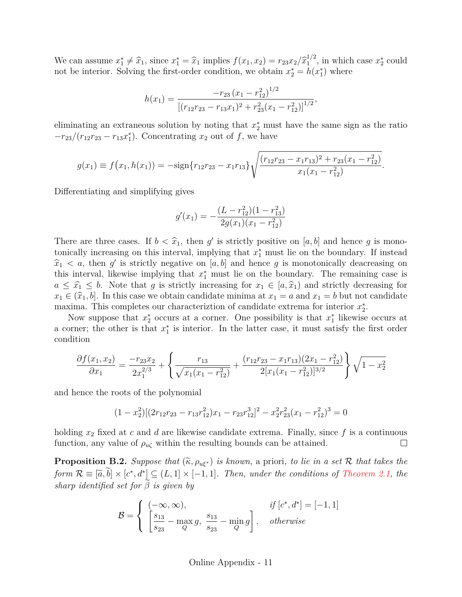We can assume  $x_1^* \neq \hat{x}_1$ , since  $x_1^* = \hat{x}_1$  implies  $f(x_1, x_2) = r_{23}x_2/\hat{x}_1^{1/2}$  $x_1^{1/2}$ , in which case  $x_2^*$  could not be interior. Solving the first-order condition, we obtain  $x_2^* = h(x_1^*)$  where

$$
h(x_1) = \frac{-r_{23} (x_1 - r_{12}^2)^{1/2}}{\left[ (r_{12}r_{23} - r_{13}r_{1})^2 + r_{23}^2 (x_1 - r_{12}^2) \right]^{1/2}},
$$

eliminating an extraneous solution by noting that  $x_2^*$  must have the same sign as the ratio  $-r_{23}/(r_{12}r_{23}-r_{13}r_1^*)$ . Concentrating  $x_2$  out of f, we have

$$
g(x_1) \equiv f(x_1, h(x_1)) = -\text{sign}\{r_{12}r_{23} - x_1r_{13}\}\sqrt{\frac{(r_{12}r_{23} - x_1r_{13})^2 + r_{23}(x_1 - r_{12}^2)}{x_1(x_1 - r_{12}^2)}}.
$$

Differentiating and simplifying gives

$$
g'(x_1) = -\frac{(L - r_{12}^2)(1 - r_{13}^2)}{2g(x_1)(x_1 - r_{12}^2)}
$$

There are three cases. If  $b < \hat{x}_1$ , then g' is strictly positive on [a, b] and hence g is mono-<br>topically increasing on this interval, implying that  $x^*$  must lie on the houndary. If instead tonically increasing on this interval, implying that  $x_1^*$  must lie on the boundary. If instead  $\hat{x}_1 < a$ , then g' is strictly negative on [a, b] and hence g is monotonically deacreasing on this interval. Illegation implying that  $x^*$  must lie on the boundary. The remaining case is this interval, likewise implying that  $x_1^*$  must lie on the boundary. The remaining case is  $a \leq \hat{x}_1 \leq b$ . Note that g is strictly increasing for  $x_1 \in [a, \hat{x}_1)$  and strictly decreasing for  $x_1 \in (\widehat{x}_1, b]$ . In this case we obtain candidate minima at  $x_1 = a$  and  $x_1 = b$  but not candidate maxima. This completes our characterization of candidate extrema for interior  $x_2^*$ .

Now suppose that  $x_2^*$  occurs at a corner. One possibility is that  $x_1^*$  likewise occurs at a corner; the other is that  $x_1^*$  is interior. In the latter case, it must satisfy the first order condition

$$
\frac{\partial f(x_1, x_2)}{\partial x_1} = \frac{-r_{23}x_2}{2x_1^{2/3}} + \left\{ \frac{r_{13}}{\sqrt{x_1(x_1 - r_{12}^2)}} + \frac{(r_{12}r_{23} - x_1r_{13})(2x_1 - r_{12}^2)}{2[x_1(x_1 - r_{12}^2)]^{3/2}} \right\} \sqrt{1 - x_2^2}
$$

and hence the roots of the polynomial

$$
(1 - x_2^2)[(2r_{12}r_{23} - r_{13}r_{12}^2)x_1 - r_{23}r_{12}^3]^2 - x_2^2r_{23}^2(x_1 - r_{12}^2)^3 = 0
$$

holding  $x_2$  fixed at c and d are likewise candidate extrema. Finally, since f is a continuous  $\Box$ function, any value of  $\rho_{\mu\zeta}$  within the resulting bounds can be attained.

<span id="page-46-0"></span>**Proposition B.2.** *Suppose that*  $(\widetilde{\kappa}, \rho_{u\xi^*})$  *is known,* a priori*, to lie in a set* R *that takes the form*  $\mathcal{R} \equiv [\tilde{a}, \tilde{b}] \times [c^*, d^*] \subseteq (L, 1] \times [-1, 1]$ . Then, under the conditions of [Theorem 2.1,](#page-13-0) the *sharp identified set for*  $\beta$  *is given by* 

$$
\mathcal{B} = \begin{cases}\n(-\infty, \infty), & \text{if } [c^*, d^*] = [-1, 1] \\
\left[\frac{s_{13}}{s_{23}} - \max_Q g, \frac{s_{13}}{s_{23}} - \min_Q g\right], & \text{otherwise}\n\end{cases}
$$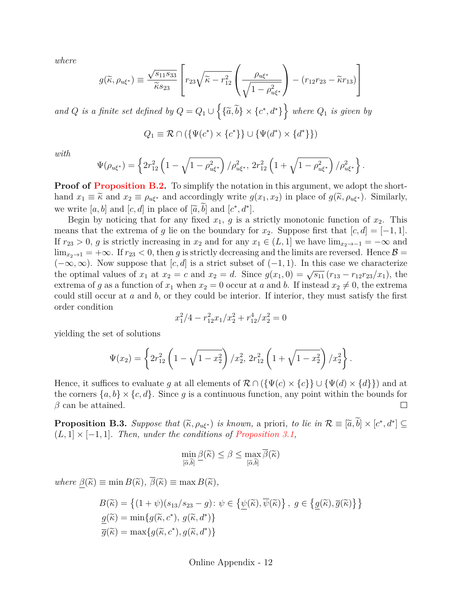*where*

$$
g(\widetilde{\kappa}, \rho_{u\xi^*}) \equiv \frac{\sqrt{s_{11}s_{33}}}{\widetilde{\kappa}s_{23}} \left[ r_{23} \sqrt{\widetilde{\kappa} - r_{12}^2} \left( \frac{\rho_{u\xi^*}}{\sqrt{1 - \rho_{u\xi^*}^2}} \right) - (r_{12}r_{23} - \widetilde{\kappa}r_{13}) \right]
$$

and Q is a finite set defined by  $Q = Q_1 \cup \{ \{\tilde{a}, \tilde{b}\} \times \{c^*, d^* \} \}$  where  $Q_1$  is given by

$$
Q_1 \equiv \mathcal{R} \cap (\{\Psi(c^*) \times \{c^*\}\} \cup \{\Psi(d^*) \times \{d^*\}\})
$$

*with*

$$
\Psi(\rho_{u\xi^*}) = \left\{ 2r_{12}^2 \left( 1 - \sqrt{1 - \rho_{u\xi^*}^2} \right) / \rho_{u\xi^*}^2, 2r_{12}^2 \left( 1 + \sqrt{1 - \rho_{u\xi^*}^2} \right) / \rho_{u\xi^*}^2 \right\}.
$$

**Proof of [Proposition B.2.](#page-46-0)** To simplify the notation in this argument, we adopt the shorthand  $x_1 \equiv \tilde{\kappa}$  and  $x_2 \equiv \rho_{u\xi^*}$  and accordingly write  $g(x_1, x_2)$  in place of  $g(\tilde{\kappa}, \rho_{u\xi^*})$ . Similarly, we write [a, b] and [c, d] in place of  $[\tilde{a}, \tilde{b}]$  and  $[c^*, d^*]$ .<br>Bogin by poticing that for any fixed  $x_i$ , a is a

Begin by noticing that for any fixed  $x_1, g$  is a strictly monotonic function of  $x_2$ . This means that the extrema of g lie on the boundary for  $x_2$ . Suppose first that  $[c, d] = [-1, 1]$ . If  $r_{23} > 0$ , g is strictly increasing in  $x_2$  and for any  $x_1 \in (L, 1]$  we have  $\lim_{x_2 \to -1} = -\infty$  and  $\lim_{x\to 1}$  =  $+\infty$ . If  $r_{23}$  < 0, then g is strictly decreasing and the limits are reversed. Hence  $\beta$  =  $(-\infty,\infty)$ . Now suppose that  $[c,d]$  is a strict subset of  $(-1,1)$ . In this case we characterize the optimal values of  $x_1$  at  $x_2 = c$  and  $x_2 = d$ . Since  $g(x_1, 0) = \sqrt{s_{11}} (r_{13} - r_{12}r_{23}/x_1)$ , the extrema of g as a function of  $x_1$  when  $x_2 = 0$  occur at a and b. If instead  $x_2 \neq 0$ , the extrema could still occur at  $a$  and  $b$ , or they could be interior. If interior, they must satisfy the first order condition

$$
x_1^2/4 - r_{12}^2 x_1/x_2^2 + r_{12}^4/x_2^2 = 0
$$

yielding the set of solutions

$$
\Psi(x_2) = \left\{ 2r_{12}^2 \left( 1 - \sqrt{1 - x_2^2} \right) / x_2^2, 2r_{12}^2 \left( 1 + \sqrt{1 - x_2^2} \right) / x_2^2 \right\}.
$$

Hence, it suffices to evaluate g at all elements of  $\mathcal{R} \cap (\{\Psi(c) \times \{c\}\} \cup \{\Psi(d) \times \{d\}\})$  and at the corners  $\{a, b\} \times \{c, d\}$ . Since q is a continuous function, any point within the bounds for  $\beta$  can be attained.  $\Box$ 

<span id="page-47-0"></span>**Proposition B.3.** *Suppose that*  $(\widetilde{\kappa}, \rho_{u\xi^*})$  *is known,* a priori*, to lie in*  $\mathcal{R} \equiv [\widetilde{a}, \widetilde{b}] \times [c^*, d^*] \subseteq$ <br>(L 1)  $\times$  [ 1, 1] *Then under the conditions of Proposition*, 2, 1 (L, 1] × [−1, 1]*. Then, under the conditions of [Proposition 3.1,](#page-15-1)*

$$
\min_{\left[\widetilde{\alpha},\widetilde{b}\right]} \frac{\beta(\widetilde{\kappa}) \leq \beta \leq \max_{\left[\widetilde{\alpha},\widetilde{b}\right]} \overline{\beta}(\widetilde{\kappa})
$$

*where*  $\beta(\tilde{\kappa}) \equiv \min B(\tilde{\kappa}), \overline{\beta}(\tilde{\kappa}) \equiv \max B(\tilde{\kappa}),$ 

$$
B(\widetilde{\kappa}) = \left\{ (1 + \psi)(s_{13}/s_{23} - g) : \psi \in \left\{ \underline{\psi}(\widetilde{\kappa}), \overline{\psi}(\widetilde{\kappa}) \right\}, g \in \left\{ \underline{g}(\widetilde{\kappa}), \overline{g}(\widetilde{\kappa}) \right\} \right\}
$$

$$
\underline{g}(\widetilde{\kappa}) = \min \{ g(\widetilde{\kappa}, c^*), g(\widetilde{\kappa}, d^*) \}
$$

$$
\overline{g}(\widetilde{\kappa}) = \max \{ g(\widetilde{\kappa}, c^*), g(\widetilde{\kappa}, d^*) \}
$$

Online Appendix - 12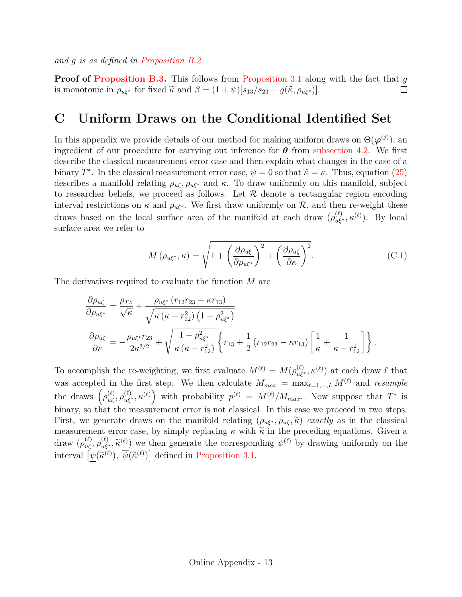*and* g *is as defined in [Proposition B.2](#page-46-0)*

**Proof of [Proposition B.3.](#page-47-0)** This follows from [Proposition 3.1](#page-15-1) along with the fact that q is monotonic in  $\rho_{\mathbf{u}\xi^*}$  for fixed  $\tilde{\kappa}$  and  $\beta = (1 + \psi)[s_{13}/s_{23} - g(\tilde{\kappa}, \rho_{\mathbf{u}\xi^*})]$ .  $\Box$ 

## <span id="page-48-0"></span>**C Uniform Draws on the Conditional Identified Set**

In this appendix we provide details of our method for making uniform draws on  $\Theta(\boldsymbol{\varphi}^{(j)})$ , and ingredient of our procedure for carrying out inference for  $\theta$  from [subsection 4.2.](#page-19-0) We first describe the classical measurement error case and then explain what changes in the case of a binary  $T^*$ . In the classical measurement error case,  $\psi = 0$  so that  $\tilde{\kappa} = \kappa$ . Thus, equation [\(25\)](#page-12-0) describes a manifold relating  $\rho_{\kappa}$ , and  $\kappa$ . To draw uniformly on this manifold, subject describes a manifold relating  $\rho_{u\zeta}, \rho_{u\xi^*}$  and  $\kappa$ . To draw uniformly on this manifold, subject to researcher beliefs, we proceed as follows. Let  $R$  denote a rectangular region encoding interval restrictions on  $\kappa$  and  $\rho_{u\xi^*}$ . We first draw uniformly on  $\mathcal{R}$ , and then re-weight these draws based on the local surface area of the manifold at each draw  $(\rho_{u\xi^*}^{(\ell)}, \kappa^{(\ell)})$ . By local surface area we refer to

$$
M\left(\rho_{u\xi^*},\kappa\right) = \sqrt{1 + \left(\frac{\partial \rho_{u\xi}}{\partial \rho_{u\xi^*}}\right)^2 + \left(\frac{\partial \rho_{u\zeta}}{\partial \kappa}\right)^2}.\tag{C.1}
$$

The derivatives required to evaluate the function M are

$$
\frac{\partial \rho_{u\zeta}}{\partial \rho_{u\xi^*}} = \frac{\rho_{Tz}}{\sqrt{\kappa}} + \frac{\rho_{u\xi^*} (r_{12}r_{23} - \kappa r_{13})}{\sqrt{\kappa (\kappa - r_{12}^2) (1 - \rho_{u\xi^*}^2)}}
$$

$$
\frac{\partial \rho_{u\zeta}}{\partial \kappa} = -\frac{\rho_{u\xi^*} r_{23}}{2\kappa^{3/2}} + \sqrt{\frac{1 - \rho_{u\xi^*}^2}{\kappa (\kappa - r_{12}^2)} \left\{ r_{13} + \frac{1}{2} (r_{12}r_{23} - \kappa r_{13}) \left[ \frac{1}{\kappa} + \frac{1}{\kappa - r_{12}^2} \right] \right\}}.
$$

To accomplish the re-weighting, we first evaluate  $M^{(\ell)} = M(\rho_{u\xi^*}^{(\ell)}, \kappa^{(\ell)})$  at each draw  $\ell$  that was accepted in the first step. We then calculate  $M_{max} = \max_{\ell=1,\dots,L} M^{(\ell)}$  and *resample* the draws  $(\rho_{u\zeta}^{(\ell)}, \rho_{u\zeta^*}^{(\ell)}, \kappa^{(\ell)})$  with probability  $p^{(\ell)} = M^{(\ell)}/M_{max}$ . Now suppose that  $T^*$  is binary, so that the measurement error is not classical. In this case we proceed in two steps. First, we generate draws on the manifold relating  $(\rho_{u\xi^*}, \rho_{u\zeta}, \tilde{\kappa})$  *exactly* as in the classical measurement error case, by simply replacing  $\kappa$  with  $\tilde{\kappa}$  in the preceding equations. Given a draw  $(\rho_{u\zeta}^{(\ell)}, \rho_{u\zeta^*}^{(\ell)}, \widetilde{\kappa}^{(\ell)})$  we then generate the corresponding  $\psi^{(\ell)}$  by drawing uniformly on the interval  $[\psi(\tilde{\kappa}^{(\ell)}), \overline{\psi}(\tilde{\kappa}^{(\ell)})]$  defined in [Proposition 3.1.](#page-15-1)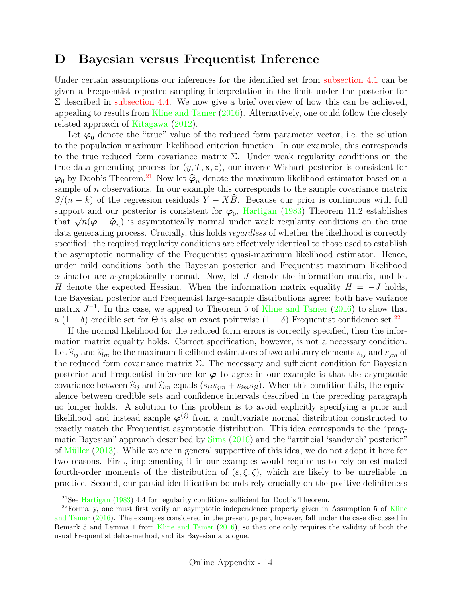## <span id="page-49-0"></span>**D Bayesian versus Frequentist Inference**

Under certain assumptions our inferences for the identified set from [subsection 4.1](#page-18-0) can be given a Frequentist repeated-sampling interpretation in the limit under the posterior for  $\Sigma$  described in [subsection 4.4.](#page-20-1) We now give a brief overview of how this can be achieved, appealing to results from [Kline and Tamer](#page-34-4) [\(2016\)](#page-34-4). Alternatively, one could follow the closely related approach of [Kitagawa](#page-34-3) [\(2012\)](#page-34-3).

Let  $\varphi_0$  denote the "true" value of the reduced form parameter vector, i.e. the solution to the population maximum likelihood criterion function. In our example, this corresponds to the true reduced form covariance matrix  $\Sigma$ . Under weak regularity conditions on the true data generating process for  $(y, T, \mathbf{x}, z)$ , our inverse-Wishart posterior is consistent for  $\varphi_0$  by Doob's Theorem.<sup>[21](#page-49-1)</sup> Now let  $\hat{\varphi}_n$  denote the maximum likelihood estimator based on a sample of  $n$  observations. In our example this corresponds to the sample covariance matrix  $S/(n - k)$  of the regression residuals  $Y - XB$ . Because our prior is continuous with full support and our posterior is consistent for  $\varphi_0$ , [Hartigan](#page-34-15) [\(1983\)](#page-34-15) Theorem 11.2 establishes that <sup>√</sup>  $\overline{n}(\varphi - \hat{\varphi}_n)$  is asymptotically normal under weak regularity conditions on the true<br>poreting process. Crucially, this holds regardless of whether the likelihood is correctly data generating process. Crucially, this holds *regardless* of whether the likelihood is correctly specified: the required regularity conditions are effectively identical to those used to establish the asymptotic normality of the Frequentist quasi-maximum likelihood estimator. Hence, under mild conditions both the Bayesian posterior and Frequentist maximum likelihood estimator are asymptotically normal. Now, let J denote the information matrix, and let H denote the expected Hessian. When the information matrix equality  $H = -J$  holds, the Bayesian posterior and Frequentist large-sample distributions agree: both have variance matrix  $J^{-1}$ . In this case, we appeal to Theorem 5 of [Kline and Tamer](#page-34-4) [\(2016\)](#page-34-4) to show that a  $(1 - \delta)$  credible set for  $\Theta$  is also an exact pointwise  $(1 - \delta)$  Frequentist confidence set.<sup>[22](#page-49-2)</sup>

If the normal likelihood for the reduced form errors is correctly specified, then the information matrix equality holds. Correct specification, however, is not a necessary condition. Let  $\widehat{s}_{ij}$  and  $\widehat{s}_{lm}$  be the maximum likelihood estimators of two arbitrary elements  $s_{ij}$  and  $s_{jm}$  of the reduced form covariance matrix  $\Sigma$ . The necessary and sufficient condition for Bayesian posterior and Frequentist inference for  $\varphi$  to agree in our example is that the asymptotic covariance between  $\hat{s}_{ij}$  and  $\hat{s}_{lm}$  equals  $(s_{ij}s_{jm} + s_{im}s_{jl})$ . When this condition fails, the equivalence between credible sets and confidence intervals described in the preceding paragraph no longer holds. A solution to this problem is to avoid explicitly specifying a prior and likelihood and instead sample  $\varphi^{(j)}$  from a multivariate normal distribution constructed to exactly match the Frequentist asymptotic distribution. This idea corresponds to the "pragmatic Bayesian" approach described by [Sims](#page-35-13) [\(2010\)](#page-35-13) and the "artificial 'sandwich' posterior" of [Müller](#page-35-14) [\(2013\)](#page-35-14). While we are in general supportive of this idea, we do not adopt it here for two reasons. First, implementing it in our examples would require us to rely on estimated fourth-order moments of the distribution of  $(\varepsilon, \xi, \zeta)$ , which are likely to be unreliable in practice. Second, our partial identification bounds rely crucially on the positive definiteness

<span id="page-49-2"></span><span id="page-49-1"></span><sup>21</sup>See [Hartigan](#page-34-15) [\(1983\)](#page-34-15) 4.4 for regularity conditions sufficient for Doob's Theorem.

 $22$ Formally, one must first verify an asymptotic independence property given in Assumption 5 of [Kline](#page-34-4) [and Tamer](#page-34-4) [\(2016\)](#page-34-4). The examples considered in the present paper, however, fall under the case discussed in Remark 5 and Lemma 1 from [Kline and Tamer](#page-34-4) [\(2016\)](#page-34-4), so that one only requires the validity of both the usual Frequentist delta-method, and its Bayesian analogue.